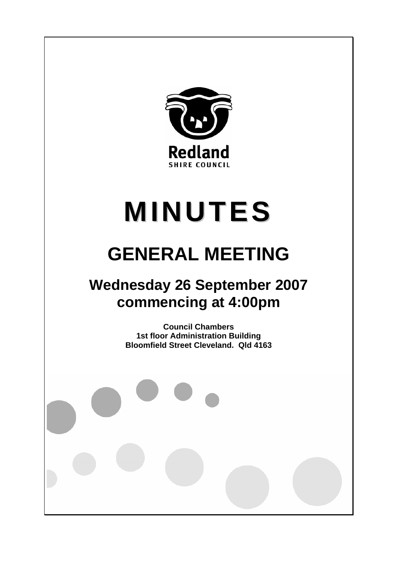

# **MINUTES**

# **GENERAL MEETING**

## **Wednesday 26 September 2007 commencing at 4:00pm**

**Council Chambers 1st floor Administration Building Bloomfield Street Cleveland. Qld 4163**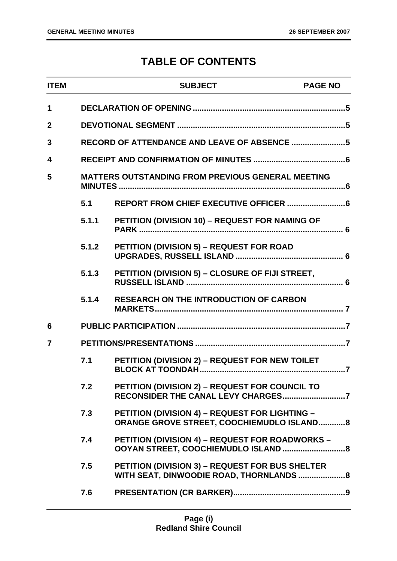### **TABLE OF CONTENTS**

| <b>ITEM</b>    |                                                          | <b>SUBJECT</b>                                                                                     | <b>PAGE NO</b> |  |
|----------------|----------------------------------------------------------|----------------------------------------------------------------------------------------------------|----------------|--|
| 1              |                                                          |                                                                                                    |                |  |
| $\overline{2}$ |                                                          |                                                                                                    |                |  |
| 3              |                                                          |                                                                                                    |                |  |
| 4              |                                                          |                                                                                                    |                |  |
| 5              | <b>MATTERS OUTSTANDING FROM PREVIOUS GENERAL MEETING</b> |                                                                                                    |                |  |
|                | 5.1                                                      |                                                                                                    |                |  |
|                | 5.1.1                                                    | PETITION (DIVISION 10) - REQUEST FOR NAMING OF                                                     |                |  |
|                | 5.1.2                                                    | <b>PETITION (DIVISION 5) - REQUEST FOR ROAD</b>                                                    |                |  |
|                | 5.1.3                                                    | PETITION (DIVISION 5) - CLOSURE OF FIJI STREET,                                                    |                |  |
|                | 5.1.4                                                    | <b>RESEARCH ON THE INTRODUCTION OF CARBON</b>                                                      |                |  |
| 6              |                                                          |                                                                                                    |                |  |
| 7              |                                                          |                                                                                                    |                |  |
|                | 7.1                                                      | PETITION (DIVISION 2) - REQUEST FOR NEW TOILET                                                     |                |  |
|                | 7.2                                                      | PETITION (DIVISION 2) - REQUEST FOR COUNCIL TO                                                     |                |  |
|                | 7.3                                                      | PETITION (DIVISION 4) - REQUEST FOR LIGHTING -<br><b>ORANGE GROVE STREET, COOCHIEMUDLO ISLAND8</b> |                |  |
|                | 7.4                                                      | PETITION (DIVISION 4) - REQUEST FOR ROADWORKS -<br>OOYAN STREET, COOCHIEMUDLO ISLAND  8            |                |  |
|                | 7.5                                                      | PETITION (DIVISION 3) - REQUEST FOR BUS SHELTER<br>WITH SEAT, DINWOODIE ROAD, THORNLANDS  8        |                |  |
|                | 7.6                                                      |                                                                                                    |                |  |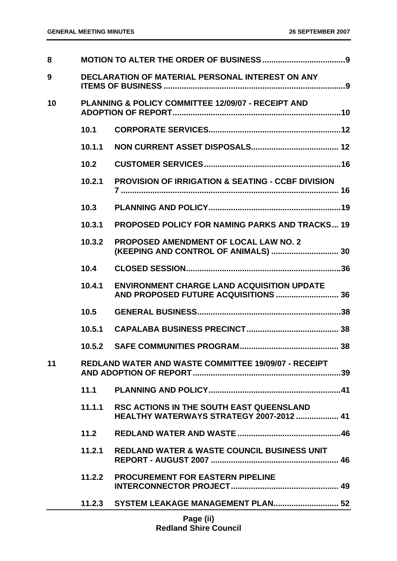| 8  |                                                               |                                                                                                    |
|----|---------------------------------------------------------------|----------------------------------------------------------------------------------------------------|
| 9  | <b>DECLARATION OF MATERIAL PERSONAL INTEREST ON ANY</b>       |                                                                                                    |
| 10 | <b>PLANNING &amp; POLICY COMMITTEE 12/09/07 - RECEIPT AND</b> |                                                                                                    |
|    | 10.1                                                          |                                                                                                    |
|    | 10.1.1                                                        |                                                                                                    |
|    | 10.2                                                          |                                                                                                    |
|    | 10.2.1                                                        | <b>PROVISION OF IRRIGATION &amp; SEATING - CCBF DIVISION</b>                                       |
|    | 10.3                                                          |                                                                                                    |
|    | 10.3.1                                                        | <b>PROPOSED POLICY FOR NAMING PARKS AND TRACKS 19</b>                                              |
|    | 10.3.2                                                        | <b>PROPOSED AMENDMENT OF LOCAL LAW NO. 2</b><br>(KEEPING AND CONTROL OF ANIMALS)  30               |
|    | 10.4                                                          |                                                                                                    |
|    | 10.4.1                                                        | <b>ENVIRONMENT CHARGE LAND ACQUISITION UPDATE</b>                                                  |
|    | 10.5                                                          |                                                                                                    |
|    | 10.5.1                                                        |                                                                                                    |
|    |                                                               |                                                                                                    |
| 11 |                                                               | <b>REDLAND WATER AND WASTE COMMITTEE 19/09/07 - RECEIPT</b>                                        |
|    |                                                               |                                                                                                    |
|    | 11.1.1                                                        | <b>RSC ACTIONS IN THE SOUTH EAST QUEENSLAND</b><br><b>HEALTHY WATERWAYS STRATEGY 2007-2012  41</b> |
|    | 11.2                                                          |                                                                                                    |
|    | 11.2.1                                                        | REDLAND WATER & WASTE COUNCIL BUSINESS UNIT                                                        |
|    |                                                               | 11.2.2 PROCUREMENT FOR EASTERN PIPELINE                                                            |
|    |                                                               | 11.2.3 SYSTEM LEAKAGE MANAGEMENT PLAN 52                                                           |
|    |                                                               | Page (ii)                                                                                          |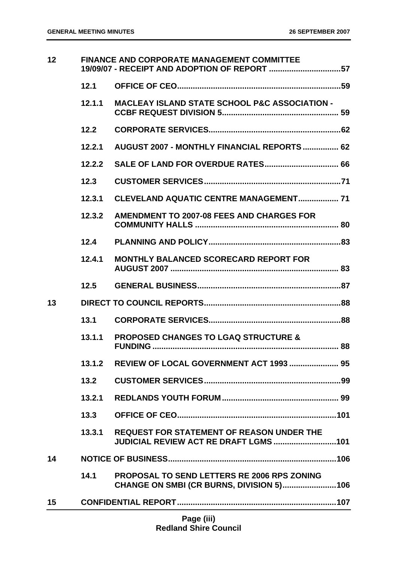| 12 | <b>FINANCE AND CORPORATE MANAGEMENT COMMITTEE</b><br>19/09/07 - RECEIPT AND ADOPTION OF REPORT 57 |                                                          |  |
|----|---------------------------------------------------------------------------------------------------|----------------------------------------------------------|--|
|    | 12.1                                                                                              |                                                          |  |
|    | 12.1.1                                                                                            | <b>MACLEAY ISLAND STATE SCHOOL P&amp;C ASSOCIATION -</b> |  |
|    | 12.2                                                                                              |                                                          |  |
|    | 12.2.1                                                                                            | AUGUST 2007 - MONTHLY FINANCIAL REPORTS  62              |  |
|    | 12.2.2                                                                                            |                                                          |  |
|    | 12.3                                                                                              |                                                          |  |
|    | 12.3.1                                                                                            | <b>CLEVELAND AQUATIC CENTRE MANAGEMENT 71</b>            |  |
|    | 12.3.2                                                                                            | AMENDMENT TO 2007-08 FEES AND CHARGES FOR                |  |
|    | 12.4                                                                                              |                                                          |  |
|    | 12.4.1                                                                                            | <b>MONTHLY BALANCED SCORECARD REPORT FOR</b>             |  |
|    | 12.5                                                                                              |                                                          |  |
| 13 |                                                                                                   |                                                          |  |
|    | 13.1                                                                                              |                                                          |  |
|    | 13.1.1                                                                                            | <b>PROPOSED CHANGES TO LGAQ STRUCTURE &amp;</b>          |  |
|    | 13.1.2                                                                                            | REVIEW OF LOCAL GOVERNMENT ACT 1993  95                  |  |
|    | 13.2                                                                                              |                                                          |  |
|    | 13.2.1                                                                                            |                                                          |  |
|    | 13.3                                                                                              |                                                          |  |
|    | 13.3.1                                                                                            | <b>REQUEST FOR STATEMENT OF REASON UNDER THE</b>         |  |
| 14 |                                                                                                   |                                                          |  |
|    | 14.1                                                                                              | <b>PROPOSAL TO SEND LETTERS RE 2006 RPS ZONING</b>       |  |
| 15 |                                                                                                   |                                                          |  |
|    |                                                                                                   |                                                          |  |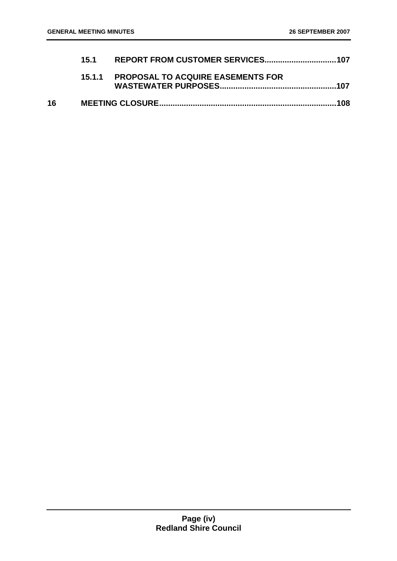|    | 15.1.1 PROPOSAL TO ACQUIRE EASEMENTS FOR |  |
|----|------------------------------------------|--|
| 16 |                                          |  |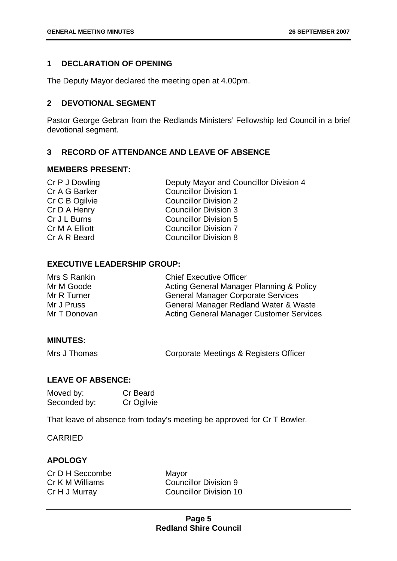#### **1 DECLARATION OF OPENING**

The Deputy Mayor declared the meeting open at 4.00pm.

#### **2 DEVOTIONAL SEGMENT**

Pastor George Gebran from the Redlands Ministers' Fellowship led Council in a brief devotional segment.

#### **3 RECORD OF ATTENDANCE AND LEAVE OF ABSENCE**

#### **MEMBERS PRESENT:**

| Cr P J Dowling | Deputy Mayor and Councillor Division 4 |
|----------------|----------------------------------------|
| Cr A G Barker  | <b>Councillor Division 1</b>           |
| Cr C B Ogilvie | <b>Councillor Division 2</b>           |
| Cr D A Henry   | <b>Councillor Division 3</b>           |
| Cr J L Burns   | <b>Councillor Division 5</b>           |
| Cr M A Elliott | <b>Councillor Division 7</b>           |
| Cr A R Beard   | <b>Councillor Division 8</b>           |
|                |                                        |

#### **EXECUTIVE LEADERSHIP GROUP:**

| Mrs S Rankin | <b>Chief Executive Officer</b>                  |
|--------------|-------------------------------------------------|
| Mr M Goode   | Acting General Manager Planning & Policy        |
| Mr R Turner  | <b>General Manager Corporate Services</b>       |
| Mr J Pruss   | General Manager Redland Water & Waste           |
| Mr T Donovan | <b>Acting General Manager Customer Services</b> |

#### **MINUTES:**

| Mrs J Thomas | Corporate Meetings & Registers Officer |
|--------------|----------------------------------------|
|--------------|----------------------------------------|

#### **LEAVE OF ABSENCE:**

| Moved by:    | <b>Cr Beard</b> |
|--------------|-----------------|
| Seconded by: | Cr Ogilvie      |

That leave of absence from today's meeting be approved for Cr T Bowler.

CARRIED

#### **APOLOGY**

Cr D H Seccombe Mayor

Cr K M Williams Councillor Division 9 Cr H J Murray Councillor Division 10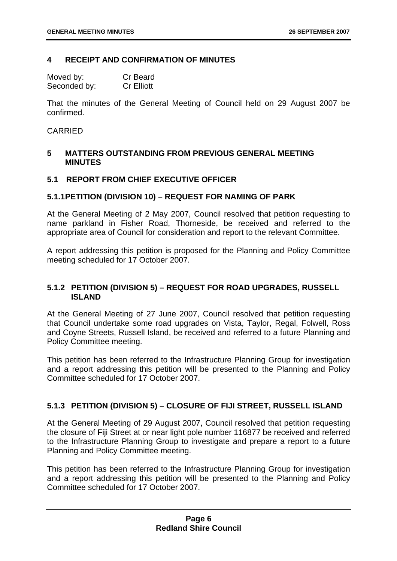#### **4 RECEIPT AND CONFIRMATION OF MINUTES**

| Moved by:    | Cr Beard          |
|--------------|-------------------|
| Seconded by: | <b>Cr Elliott</b> |

That the minutes of the General Meeting of Council held on 29 August 2007 be confirmed.

#### CARRIED

#### **5 MATTERS OUTSTANDING FROM PREVIOUS GENERAL MEETING MINUTES**

#### **5.1 REPORT FROM CHIEF EXECUTIVE OFFICER**

#### **5.1.1 PETITION (DIVISION 10) – REQUEST FOR NAMING OF PARK**

At the General Meeting of 2 May 2007, Council resolved that petition requesting to name parkland in Fisher Road, Thorneside, be received and referred to the appropriate area of Council for consideration and report to the relevant Committee.

A report addressing this petition is proposed for the Planning and Policy Committee meeting scheduled for 17 October 2007.

#### **5.1.2 PETITION (DIVISION 5) – REQUEST FOR ROAD UPGRADES, RUSSELL ISLAND**

At the General Meeting of 27 June 2007, Council resolved that petition requesting that Council undertake some road upgrades on Vista, Taylor, Regal, Folwell, Ross and Coyne Streets, Russell Island, be received and referred to a future Planning and Policy Committee meeting.

This petition has been referred to the Infrastructure Planning Group for investigation and a report addressing this petition will be presented to the Planning and Policy Committee scheduled for 17 October 2007.

#### **5.1.3 PETITION (DIVISION 5) – CLOSURE OF FIJI STREET, RUSSELL ISLAND**

At the General Meeting of 29 August 2007, Council resolved that petition requesting the closure of Fiji Street at or near light pole number 116877 be received and referred to the Infrastructure Planning Group to investigate and prepare a report to a future Planning and Policy Committee meeting.

This petition has been referred to the Infrastructure Planning Group for investigation and a report addressing this petition will be presented to the Planning and Policy Committee scheduled for 17 October 2007.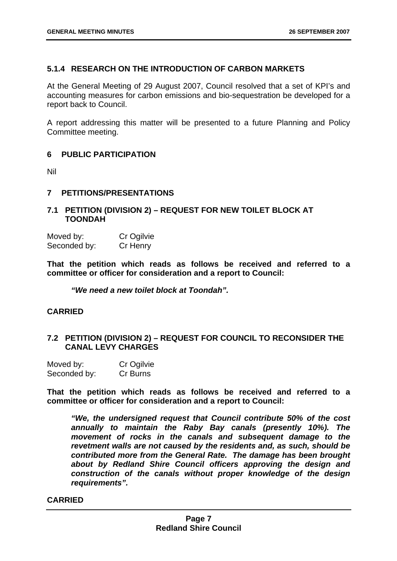#### **5.1.4 RESEARCH ON THE INTRODUCTION OF CARBON MARKETS**

At the General Meeting of 29 August 2007, Council resolved that a set of KPI's and accounting measures for carbon emissions and bio-sequestration be developed for a report back to Council.

A report addressing this matter will be presented to a future Planning and Policy Committee meeting.

#### **6 PUBLIC PARTICIPATION**

Nil

#### **7 PETITIONS/PRESENTATIONS**

#### **7.1 PETITION (DIVISION 2) – REQUEST FOR NEW TOILET BLOCK AT TOONDAH**

| Moved by:    | Cr Ogilvie |
|--------------|------------|
| Seconded by: | Cr Henry   |

**That the petition which reads as follows be received and referred to a committee or officer for consideration and a report to Council:** 

*"We need a new toilet block at Toondah".* 

#### **CARRIED**

#### **7.2 PETITION (DIVISION 2) – REQUEST FOR COUNCIL TO RECONSIDER THE CANAL LEVY CHARGES**

| Moved by:    | Cr Ogilvie |
|--------------|------------|
| Seconded by: | Cr Burns   |

**That the petition which reads as follows be received and referred to a committee or officer for consideration and a report to Council:** 

*"We, the undersigned request that Council contribute 50% of the cost annually to maintain the Raby Bay canals (presently 10%). The movement of rocks in the canals and subsequent damage to the revetment walls are not caused by the residents and, as such, should be contributed more from the General Rate. The damage has been brought about by Redland Shire Council officers approving the design and construction of the canals without proper knowledge of the design requirements".* 

#### **CARRIED**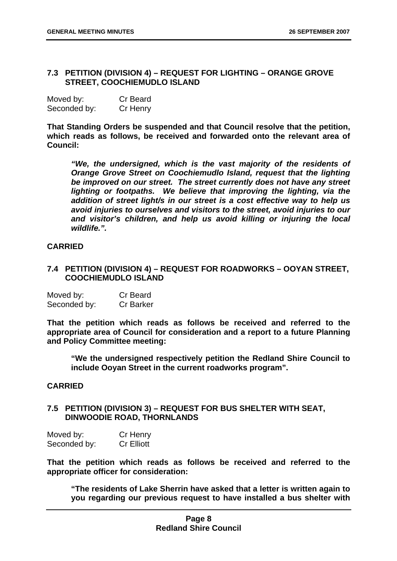#### **7.3 PETITION (DIVISION 4) – REQUEST FOR LIGHTING – ORANGE GROVE STREET, COOCHIEMUDLO ISLAND**

| Moved by:    | <b>Cr</b> Beard |
|--------------|-----------------|
| Seconded by: | Cr Henry        |

**That Standing Orders be suspended and that Council resolve that the petition, which reads as follows, be received and forwarded onto the relevant area of Council:** 

*"We, the undersigned, which is the vast majority of the residents of Orange Grove Street on Coochiemudlo Island, request that the lighting be improved on our street. The street currently does not have any street lighting or footpaths. We believe that improving the lighting, via the addition of street light/s in our street is a cost effective way to help us avoid injuries to ourselves and visitors to the street, avoid injuries to our and visitor's children, and help us avoid killing or injuring the local wildlife.".* 

#### **CARRIED**

**7.4 PETITION (DIVISION 4) – REQUEST FOR ROADWORKS – OOYAN STREET, COOCHIEMUDLO ISLAND** 

| Moved by:    | Cr Beard         |
|--------------|------------------|
| Seconded by: | <b>Cr Barker</b> |

**That the petition which reads as follows be received and referred to the appropriate area of Council for consideration and a report to a future Planning and Policy Committee meeting:** 

**"We the undersigned respectively petition the Redland Shire Council to include Ooyan Street in the current roadworks program".** 

#### **CARRIED**

#### **7.5 PETITION (DIVISION 3) – REQUEST FOR BUS SHELTER WITH SEAT, DINWOODIE ROAD, THORNLANDS**

| Moved by:    | Cr Henry          |
|--------------|-------------------|
| Seconded by: | <b>Cr Elliott</b> |

**That the petition which reads as follows be received and referred to the appropriate officer for consideration:** 

**"The residents of Lake Sherrin have asked that a letter is written again to you regarding our previous request to have installed a bus shelter with**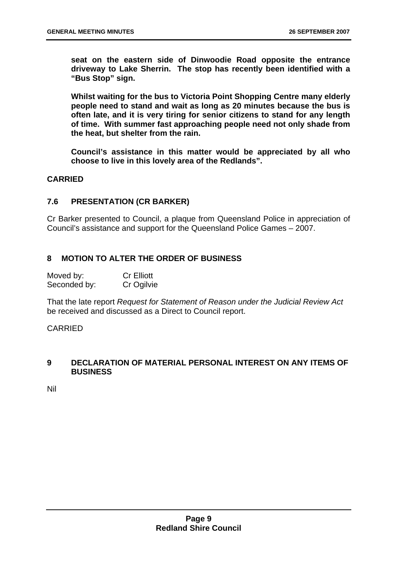**seat on the eastern side of Dinwoodie Road opposite the entrance driveway to Lake Sherrin. The stop has recently been identified with a "Bus Stop" sign.** 

**Whilst waiting for the bus to Victoria Point Shopping Centre many elderly people need to stand and wait as long as 20 minutes because the bus is often late, and it is very tiring for senior citizens to stand for any length of time. With summer fast approaching people need not only shade from the heat, but shelter from the rain.** 

**Council's assistance in this matter would be appreciated by all who choose to live in this lovely area of the Redlands".** 

#### **CARRIED**

#### **7.6 PRESENTATION (CR BARKER)**

Cr Barker presented to Council, a plaque from Queensland Police in appreciation of Council's assistance and support for the Queensland Police Games – 2007.

#### **8 MOTION TO ALTER THE ORDER OF BUSINESS**

| Moved by:    | <b>Cr Elliott</b> |
|--------------|-------------------|
| Seconded by: | Cr Ogilvie        |

That the late report *Request for Statement of Reason under the Judicial Review Act* be received and discussed as a Direct to Council report.

CARRIED

#### **9 DECLARATION OF MATERIAL PERSONAL INTEREST ON ANY ITEMS OF BUSINESS**

Nil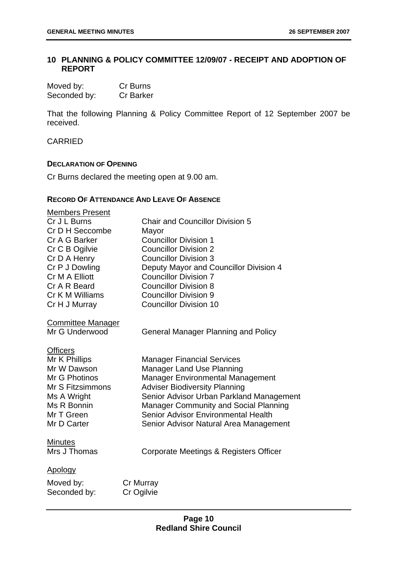#### **10 PLANNING & POLICY COMMITTEE 12/09/07 - RECEIPT AND ADOPTION OF REPORT**

| Moved by:    | Cr Burns         |
|--------------|------------------|
| Seconded by: | <b>Cr Barker</b> |

That the following Planning & Policy Committee Report of 12 September 2007 be received.

#### CARRIED

#### **DECLARATION OF OPENING**

Cr Burns declared the meeting open at 9.00 am.

#### **RECORD OF ATTENDANCE AND LEAVE OF ABSENCE**

| <b>Members Present</b><br>Cr J L Burns<br>Cr D H Seccombe<br>Cr A G Barker<br>Cr C B Ogilvie<br>Cr D A Henry<br>Cr P J Dowling<br>Cr M A Elliott<br>Cr A R Beard<br>Cr K M Williams<br>Cr H J Murray | <b>Chair and Councillor Division 5</b><br>Mayor<br><b>Councillor Division 1</b><br><b>Councillor Division 2</b><br><b>Councillor Division 3</b><br>Deputy Mayor and Councillor Division 4<br><b>Councillor Division 7</b><br><b>Councillor Division 8</b><br><b>Councillor Division 9</b><br><b>Councillor Division 10</b>            |
|------------------------------------------------------------------------------------------------------------------------------------------------------------------------------------------------------|---------------------------------------------------------------------------------------------------------------------------------------------------------------------------------------------------------------------------------------------------------------------------------------------------------------------------------------|
| <b>Committee Manager</b><br>Mr G Underwood                                                                                                                                                           | <b>General Manager Planning and Policy</b>                                                                                                                                                                                                                                                                                            |
| <b>Officers</b><br>Mr K Phillips<br>Mr W Dawson<br>Mr G Photinos<br>Mr S Fitzsimmons<br>Ms A Wright<br>Ms R Bonnin<br>Mr T Green<br>Mr D Carter                                                      | <b>Manager Financial Services</b><br><b>Manager Land Use Planning</b><br><b>Manager Environmental Management</b><br><b>Adviser Biodiversity Planning</b><br>Senior Advisor Urban Parkland Management<br><b>Manager Community and Social Planning</b><br>Senior Advisor Environmental Health<br>Senior Advisor Natural Area Management |
| <b>Minutes</b><br>Mrs J Thomas                                                                                                                                                                       | Corporate Meetings & Registers Officer                                                                                                                                                                                                                                                                                                |
| Apology<br>Moved by:<br>Seconded by:                                                                                                                                                                 | Cr Murray<br>Cr Ogilvie                                                                                                                                                                                                                                                                                                               |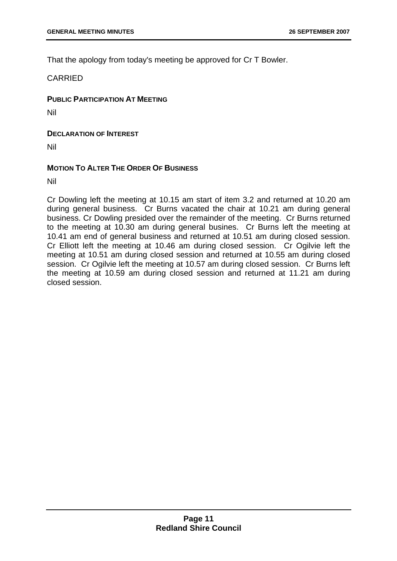That the apology from today's meeting be approved for Cr T Bowler.

#### CARRIED

#### **PUBLIC PARTICIPATION AT MEETING**

Nil

#### **DECLARATION OF INTEREST**

Nil

#### **MOTION TO ALTER THE ORDER OF BUSINESS**

Nil

Cr Dowling left the meeting at 10.15 am start of item 3.2 and returned at 10.20 am during general business. Cr Burns vacated the chair at 10.21 am during general business. Cr Dowling presided over the remainder of the meeting. Cr Burns returned to the meeting at 10.30 am during general busines. Cr Burns left the meeting at 10.41 am end of general business and returned at 10.51 am during closed session. Cr Elliott left the meeting at 10.46 am during closed session. Cr Ogilvie left the meeting at 10.51 am during closed session and returned at 10.55 am during closed session. Cr Ogilvie left the meeting at 10.57 am during closed session. Cr Burns left the meeting at 10.59 am during closed session and returned at 11.21 am during closed session.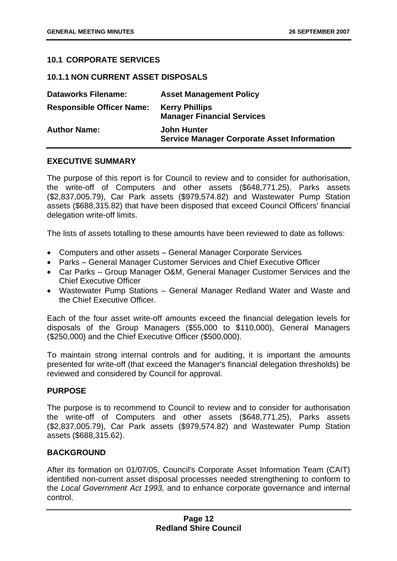#### **10.1 CORPORATE SERVICES**

#### **10.1.1 NON CURRENT ASSET DISPOSALS**

| <b>Dataworks Filename:</b>       | <b>Asset Management Policy</b>                                           |
|----------------------------------|--------------------------------------------------------------------------|
| <b>Responsible Officer Name:</b> | <b>Kerry Phillips</b><br><b>Manager Financial Services</b>               |
| <b>Author Name:</b>              | <b>John Hunter</b><br><b>Service Manager Corporate Asset Information</b> |

#### **EXECUTIVE SUMMARY**

The purpose of this report is for Council to review and to consider for authorisation, the write-off of Computers and other assets (\$648,771.25), Parks assets (\$2,837,005.79), Car Park assets (\$979,574.82) and Wastewater Pump Station assets (\$688,315.82) that have been disposed that exceed Council Officers' financial delegation write-off limits.

The lists of assets totalling to these amounts have been reviewed to date as follows:

- Computers and other assets General Manager Corporate Services
- Parks General Manager Customer Services and Chief Executive Officer
- Car Parks Group Manager O&M, General Manager Customer Services and the Chief Executive Officer
- Wastewater Pump Stations General Manager Redland Water and Waste and the Chief Executive Officer.

Each of the four asset write-off amounts exceed the financial delegation levels for disposals of the Group Managers (\$55,000 to \$110,000), General Managers (\$250,000) and the Chief Executive Officer (\$500,000).

To maintain strong internal controls and for auditing, it is important the amounts presented for write-off (that exceed the Manager's financial delegation thresholds) be reviewed and considered by Council for approval.

#### **PURPOSE**

The purpose is to recommend to Council to review and to consider for authorisation the write-off of Computers and other assets (\$648,771.25), Parks assets (\$2,837,005.79), Car Park assets (\$979,574.82) and Wastewater Pump Station assets (\$688,315.62).

#### **BACKGROUND**

After its formation on 01/07/05, Council's Corporate Asset Information Team (CAIT) identified non-current asset disposal processes needed strengthening to conform to the *Local Government Act 1993,* and to enhance corporate governance and internal control.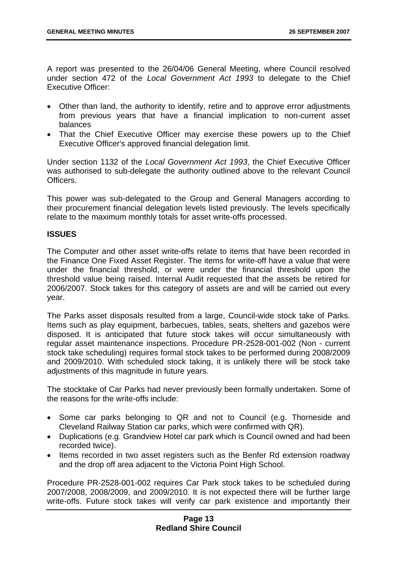A report was presented to the 26/04/06 General Meeting, where Council resolved under section 472 of the *Local Government Act 1993* to delegate to the Chief Executive Officer:

- Other than land, the authority to identify, retire and to approve error adjustments from previous years that have a financial implication to non-current asset balances
- That the Chief Executive Officer may exercise these powers up to the Chief Executive Officer's approved financial delegation limit.

Under section 1132 of the *Local Government Act 1993*, the Chief Executive Officer was authorised to sub-delegate the authority outlined above to the relevant Council Officers.

This power was sub-delegated to the Group and General Managers according to their procurement financial delegation levels listed previously. The levels specifically relate to the maximum monthly totals for asset write-offs processed.

#### **ISSUES**

The Computer and other asset write-offs relate to items that have been recorded in the Finance One Fixed Asset Register. The items for write-off have a value that were under the financial threshold, or were under the financial threshold upon the threshold value being raised. Internal Audit requested that the assets be retired for 2006/2007. Stock takes for this category of assets are and will be carried out every year.

The Parks asset disposals resulted from a large, Council-wide stock take of Parks. Items such as play equipment, barbecues, tables, seats, shelters and gazebos were disposed. It is anticipated that future stock takes will occur simultaneously with regular asset maintenance inspections. Procedure PR-2528-001-002 (Non - current stock take scheduling) requires formal stock takes to be performed during 2008/2009 and 2009/2010. With scheduled stock taking, it is unlikely there will be stock take adjustments of this magnitude in future years.

The stocktake of Car Parks had never previously been formally undertaken. Some of the reasons for the write-offs include:

- Some car parks belonging to QR and not to Council (e.g. Thorneside and Cleveland Railway Station car parks, which were confirmed with QR).
- Duplications (e.g. Grandview Hotel car park which is Council owned and had been recorded twice).
- Items recorded in two asset registers such as the Benfer Rd extension roadway and the drop off area adjacent to the Victoria Point High School.

Procedure PR-2528-001-002 requires Car Park stock takes to be scheduled during 2007/2008, 2008/2009, and 2009/2010. It is not expected there will be further large write-offs. Future stock takes will verify car park existence and importantly their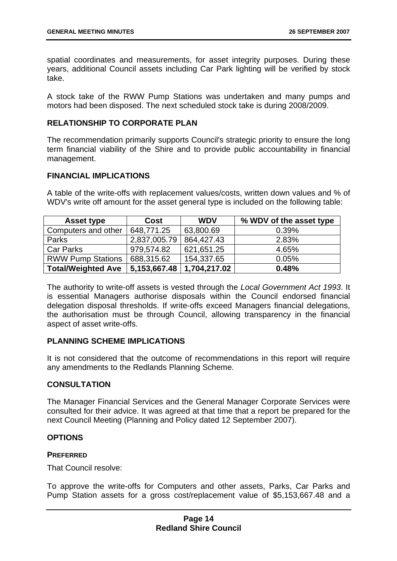spatial coordinates and measurements, for asset integrity purposes. During these years, additional Council assets including Car Park lighting will be verified by stock take.

A stock take of the RWW Pump Stations was undertaken and many pumps and motors had been disposed. The next scheduled stock take is during 2008/2009.

#### **RELATIONSHIP TO CORPORATE PLAN**

The recommendation primarily supports Council's strategic priority to ensure the long term financial viability of the Shire and to provide public accountability in financial management.

#### **FINANCIAL IMPLICATIONS**

A table of the write-offs with replacement values/costs, written down values and % of WDV's write off amount for the asset general type is included on the following table:

| <b>Asset type</b>         | <b>Cost</b>  | <b>WDV</b>   | % WDV of the asset type |
|---------------------------|--------------|--------------|-------------------------|
| Computers and other       | 648,771.25   | 63,800.69    | 0.39%                   |
| Parks                     | 2,837,005.79 | 864,427.43   | 2.83%                   |
| <b>Car Parks</b>          | 979,574.82   | 621,651.25   | 4.65%                   |
| <b>RWW Pump Stations</b>  | 688,315.62   | 154,337.65   | 0.05%                   |
| <b>Total/Weighted Ave</b> | 5,153,667.48 | 1,704,217.02 | 0.48%                   |

The authority to write-off assets is vested through the *Local Government Act 1993*. It is essential Managers authorise disposals within the Council endorsed financial delegation disposal thresholds. If write-offs exceed Managers financial delegations, the authorisation must be through Council, allowing transparency in the financial aspect of asset write-offs.

#### **PLANNING SCHEME IMPLICATIONS**

It is not considered that the outcome of recommendations in this report will require any amendments to the Redlands Planning Scheme.

#### **CONSULTATION**

The Manager Financial Services and the General Manager Corporate Services were consulted for their advice. It was agreed at that time that a report be prepared for the next Council Meeting (Planning and Policy dated 12 September 2007).

#### **OPTIONS**

#### **PREFERRED**

That Council resolve:

To approve the write-offs for Computers and other assets, Parks, Car Parks and Pump Station assets for a gross cost/replacement value of \$5,153,667.48 and a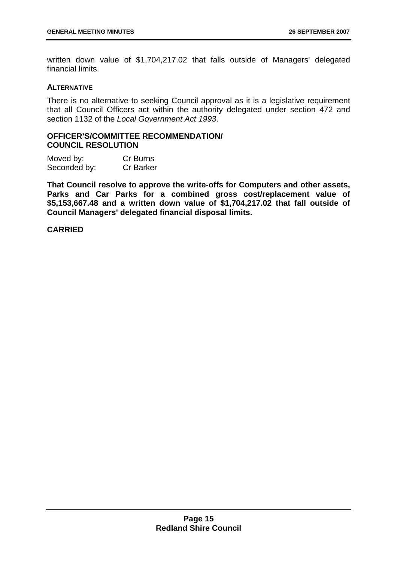written down value of \$1,704,217.02 that falls outside of Managers' delegated financial limits.

#### **ALTERNATIVE**

There is no alternative to seeking Council approval as it is a legislative requirement that all Council Officers act within the authority delegated under section 472 and section 1132 of the *Local Government Act 1993*.

#### **OFFICER'S/COMMITTEE RECOMMENDATION/ COUNCIL RESOLUTION**

| Moved by:    | Cr Burns         |
|--------------|------------------|
| Seconded by: | <b>Cr Barker</b> |

**That Council resolve to approve the write-offs for Computers and other assets, Parks and Car Parks for a combined gross cost/replacement value of \$5,153,667.48 and a written down value of \$1,704,217.02 that fall outside of Council Managers' delegated financial disposal limits.** 

#### **CARRIED**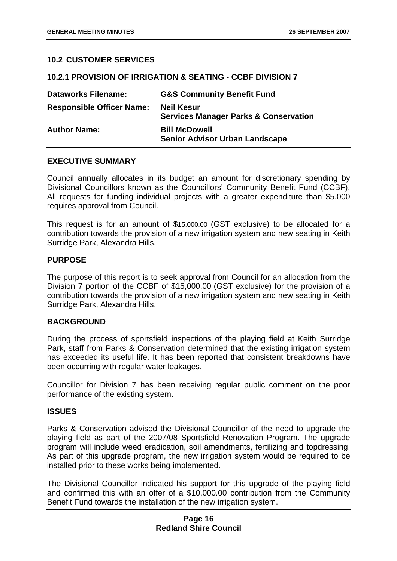#### **10.2 CUSTOMER SERVICES**

#### **10.2.1 PROVISION OF IRRIGATION & SEATING - CCBF DIVISION 7**

| <b>Dataworks Filename:</b>       | <b>G&amp;S Community Benefit Fund</b>                                 |
|----------------------------------|-----------------------------------------------------------------------|
| <b>Responsible Officer Name:</b> | <b>Neil Kesur</b><br><b>Services Manager Parks &amp; Conservation</b> |
| <b>Author Name:</b>              | <b>Bill McDowell</b><br><b>Senior Advisor Urban Landscape</b>         |

#### **EXECUTIVE SUMMARY**

Council annually allocates in its budget an amount for discretionary spending by Divisional Councillors known as the Councillors' Community Benefit Fund (CCBF). All requests for funding individual projects with a greater expenditure than \$5,000 requires approval from Council.

This request is for an amount of \$15,000.00 (GST exclusive) to be allocated for a contribution towards the provision of a new irrigation system and new seating in Keith Surridge Park, Alexandra Hills.

#### **PURPOSE**

The purpose of this report is to seek approval from Council for an allocation from the Division 7 portion of the CCBF of \$15,000.00 (GST exclusive) for the provision of a contribution towards the provision of a new irrigation system and new seating in Keith Surridge Park, Alexandra Hills.

#### **BACKGROUND**

During the process of sportsfield inspections of the playing field at Keith Surridge Park, staff from Parks & Conservation determined that the existing irrigation system has exceeded its useful life. It has been reported that consistent breakdowns have been occurring with regular water leakages.

Councillor for Division 7 has been receiving regular public comment on the poor performance of the existing system.

#### **ISSUES**

Parks & Conservation advised the Divisional Councillor of the need to upgrade the playing field as part of the 2007/08 Sportsfield Renovation Program. The upgrade program will include weed eradication, soil amendments, fertilizing and topdressing. As part of this upgrade program, the new irrigation system would be required to be installed prior to these works being implemented.

The Divisional Councillor indicated his support for this upgrade of the playing field and confirmed this with an offer of a \$10,000.00 contribution from the Community Benefit Fund towards the installation of the new irrigation system.

#### **Page 16 Redland Shire Council**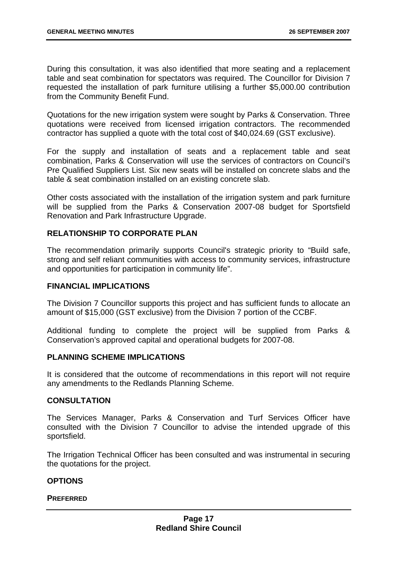During this consultation, it was also identified that more seating and a replacement table and seat combination for spectators was required. The Councillor for Division 7 requested the installation of park furniture utilising a further \$5,000.00 contribution from the Community Benefit Fund.

Quotations for the new irrigation system were sought by Parks & Conservation. Three quotations were received from licensed irrigation contractors. The recommended contractor has supplied a quote with the total cost of \$40,024.69 (GST exclusive).

For the supply and installation of seats and a replacement table and seat combination, Parks & Conservation will use the services of contractors on Council's Pre Qualified Suppliers List. Six new seats will be installed on concrete slabs and the table & seat combination installed on an existing concrete slab.

Other costs associated with the installation of the irrigation system and park furniture will be supplied from the Parks & Conservation 2007-08 budget for Sportsfield Renovation and Park Infrastructure Upgrade.

#### **RELATIONSHIP TO CORPORATE PLAN**

The recommendation primarily supports Council's strategic priority to "Build safe, strong and self reliant communities with access to community services, infrastructure and opportunities for participation in community life".

#### **FINANCIAL IMPLICATIONS**

The Division 7 Councillor supports this project and has sufficient funds to allocate an amount of \$15,000 (GST exclusive) from the Division 7 portion of the CCBF.

Additional funding to complete the project will be supplied from Parks & Conservation's approved capital and operational budgets for 2007-08.

#### **PLANNING SCHEME IMPLICATIONS**

It is considered that the outcome of recommendations in this report will not require any amendments to the Redlands Planning Scheme.

#### **CONSULTATION**

The Services Manager, Parks & Conservation and Turf Services Officer have consulted with the Division 7 Councillor to advise the intended upgrade of this sportsfield.

The Irrigation Technical Officer has been consulted and was instrumental in securing the quotations for the project.

#### **OPTIONS**

#### **PREFERRED**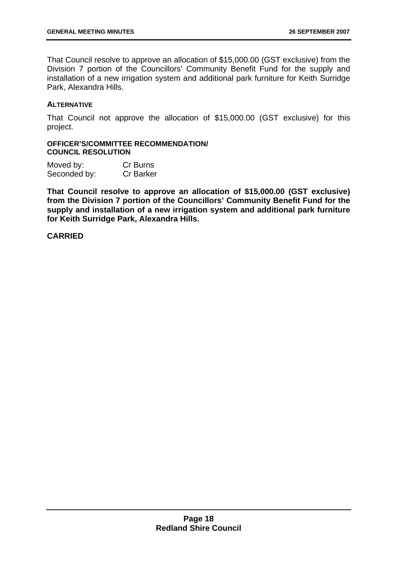That Council resolve to approve an allocation of \$15,000.00 (GST exclusive) from the Division 7 portion of the Councillors' Community Benefit Fund for the supply and installation of a new irrigation system and additional park furniture for Keith Surridge Park, Alexandra Hills.

#### **ALTERNATIVE**

That Council not approve the allocation of \$15,000.00 (GST exclusive) for this project.

#### **OFFICER'S/COMMITTEE RECOMMENDATION/ COUNCIL RESOLUTION**

| Moved by:    | Cr Burns         |
|--------------|------------------|
| Seconded by: | <b>Cr Barker</b> |

**That Council resolve to approve an allocation of \$15,000.00 (GST exclusive) from the Division 7 portion of the Councillors' Community Benefit Fund for the supply and installation of a new irrigation system and additional park furniture for Keith Surridge Park, Alexandra Hills.** 

#### **CARRIED**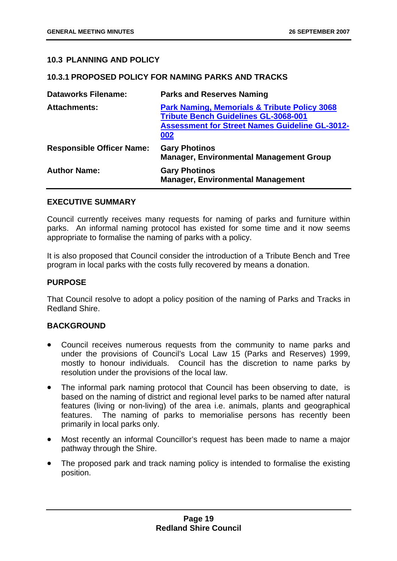#### **10.3 PLANNING AND POLICY**

#### **10.3.1 PROPOSED POLICY FOR NAMING PARKS AND TRACKS**

| <b>Dataworks Filename:</b>       | <b>Parks and Reserves Naming</b>                                                                                                                                       |
|----------------------------------|------------------------------------------------------------------------------------------------------------------------------------------------------------------------|
| <b>Attachments:</b>              | <b>Park Naming, Memorials &amp; Tribute Policy 3068</b><br><b>Tribute Bench Guidelines GL-3068-001</b><br><b>Assessment for Street Names Guideline GL-3012-</b><br>002 |
| <b>Responsible Officer Name:</b> | <b>Gary Photinos</b><br><b>Manager, Environmental Management Group</b>                                                                                                 |
| <b>Author Name:</b>              | <b>Gary Photinos</b><br><b>Manager, Environmental Management</b>                                                                                                       |

#### **EXECUTIVE SUMMARY**

Council currently receives many requests for naming of parks and furniture within parks. An informal naming protocol has existed for some time and it now seems appropriate to formalise the naming of parks with a policy.

It is also proposed that Council consider the introduction of a Tribute Bench and Tree program in local parks with the costs fully recovered by means a donation.

#### **PURPOSE**

That Council resolve to adopt a policy position of the naming of Parks and Tracks in Redland Shire.

#### **BACKGROUND**

- Council receives numerous requests from the community to name parks and under the provisions of Council's Local Law 15 (Parks and Reserves) 1999, mostly to honour individuals. Council has the discretion to name parks by resolution under the provisions of the local law.
- The informal park naming protocol that Council has been observing to date, is based on the naming of district and regional level parks to be named after natural features (living or non-living) of the area i.e. animals, plants and geographical features. The naming of parks to memorialise persons has recently been primarily in local parks only.
- Most recently an informal Councillor's request has been made to name a major pathway through the Shire.
- The proposed park and track naming policy is intended to formalise the existing position.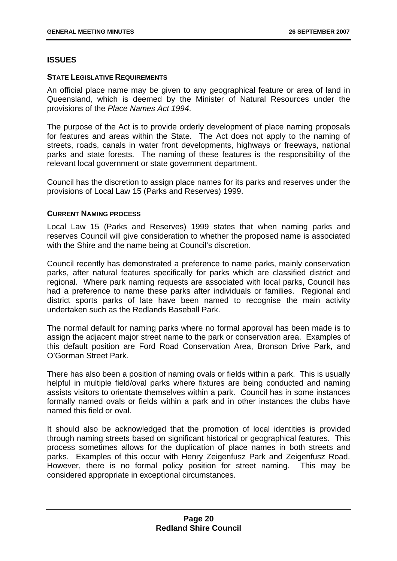#### **ISSUES**

#### **STATE LEGISLATIVE REQUIREMENTS**

An official place name may be given to any geographical feature or area of land in Queensland, which is deemed by the Minister of Natural Resources under the provisions of the *Place Names Act 1994*.

The purpose of the Act is to provide orderly development of place naming proposals for features and areas within the State. The Act does not apply to the naming of streets, roads, canals in water front developments, highways or freeways, national parks and state forests. The naming of these features is the responsibility of the relevant local government or state government department.

Council has the discretion to assign place names for its parks and reserves under the provisions of Local Law 15 (Parks and Reserves) 1999.

#### **CURRENT NAMING PROCESS**

Local Law 15 (Parks and Reserves) 1999 states that when naming parks and reserves Council will give consideration to whether the proposed name is associated with the Shire and the name being at Council's discretion.

Council recently has demonstrated a preference to name parks, mainly conservation parks, after natural features specifically for parks which are classified district and regional. Where park naming requests are associated with local parks, Council has had a preference to name these parks after individuals or families. Regional and district sports parks of late have been named to recognise the main activity undertaken such as the Redlands Baseball Park.

The normal default for naming parks where no formal approval has been made is to assign the adjacent major street name to the park or conservation area. Examples of this default position are Ford Road Conservation Area, Bronson Drive Park, and O'Gorman Street Park.

There has also been a position of naming ovals or fields within a park. This is usually helpful in multiple field/oval parks where fixtures are being conducted and naming assists visitors to orientate themselves within a park. Council has in some instances formally named ovals or fields within a park and in other instances the clubs have named this field or oval.

It should also be acknowledged that the promotion of local identities is provided through naming streets based on significant historical or geographical features. This process sometimes allows for the duplication of place names in both streets and parks. Examples of this occur with Henry Zeigenfusz Park and Zeigenfusz Road. However, there is no formal policy position for street naming. This may be considered appropriate in exceptional circumstances.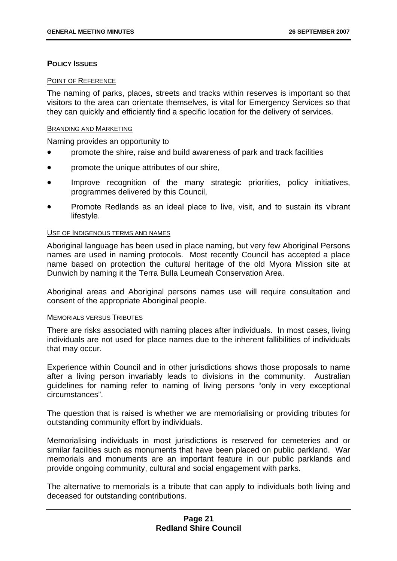#### **POLICY ISSUES**

#### POINT OF REFERENCE

The naming of parks, places, streets and tracks within reserves is important so that visitors to the area can orientate themselves, is vital for Emergency Services so that they can quickly and efficiently find a specific location for the delivery of services.

#### BRANDING AND MARKETING

Naming provides an opportunity to

- promote the shire, raise and build awareness of park and track facilities
- promote the unique attributes of our shire,
- Improve recognition of the many strategic priorities, policy initiatives, programmes delivered by this Council,
- Promote Redlands as an ideal place to live, visit, and to sustain its vibrant lifestyle.

#### USE OF INDIGENOUS TERMS AND NAMES

Aboriginal language has been used in place naming, but very few Aboriginal Persons names are used in naming protocols. Most recently Council has accepted a place name based on protection the cultural heritage of the old Myora Mission site at Dunwich by naming it the Terra Bulla Leumeah Conservation Area.

Aboriginal areas and Aboriginal persons names use will require consultation and consent of the appropriate Aboriginal people.

#### MEMORIALS VERSUS TRIBUTES

There are risks associated with naming places after individuals. In most cases, living individuals are not used for place names due to the inherent fallibilities of individuals that may occur.

Experience within Council and in other jurisdictions shows those proposals to name after a living person invariably leads to divisions in the community. Australian guidelines for naming refer to naming of living persons "only in very exceptional circumstances".

The question that is raised is whether we are memorialising or providing tributes for outstanding community effort by individuals.

Memorialising individuals in most jurisdictions is reserved for cemeteries and or similar facilities such as monuments that have been placed on public parkland. War memorials and monuments are an important feature in our public parklands and provide ongoing community, cultural and social engagement with parks.

The alternative to memorials is a tribute that can apply to individuals both living and deceased for outstanding contributions.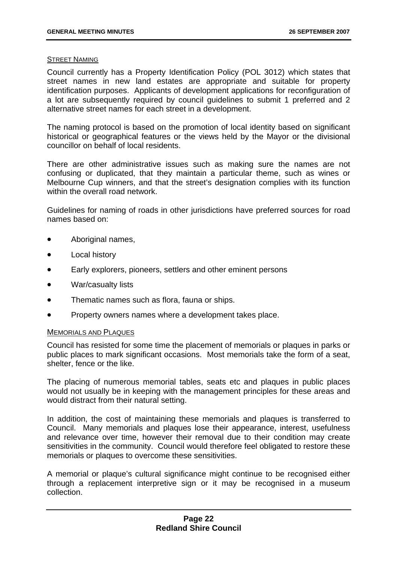#### STREET NAMING

Council currently has a Property Identification Policy (POL 3012) which states that street names in new land estates are appropriate and suitable for property identification purposes. Applicants of development applications for reconfiguration of a lot are subsequently required by council guidelines to submit 1 preferred and 2 alternative street names for each street in a development.

The naming protocol is based on the promotion of local identity based on significant historical or geographical features or the views held by the Mayor or the divisional councillor on behalf of local residents.

There are other administrative issues such as making sure the names are not confusing or duplicated, that they maintain a particular theme, such as wines or Melbourne Cup winners, and that the street's designation complies with its function within the overall road network.

Guidelines for naming of roads in other jurisdictions have preferred sources for road names based on:

- Aboriginal names,
- **Local history**
- Early explorers, pioneers, settlers and other eminent persons
- War/casualty lists
- Thematic names such as flora, fauna or ships.
- Property owners names where a development takes place.

#### MEMORIALS AND PLAQUES

Council has resisted for some time the placement of memorials or plaques in parks or public places to mark significant occasions. Most memorials take the form of a seat, shelter, fence or the like.

The placing of numerous memorial tables, seats etc and plaques in public places would not usually be in keeping with the management principles for these areas and would distract from their natural setting.

In addition, the cost of maintaining these memorials and plaques is transferred to Council. Many memorials and plaques lose their appearance, interest, usefulness and relevance over time, however their removal due to their condition may create sensitivities in the community. Council would therefore feel obligated to restore these memorials or plaques to overcome these sensitivities.

A memorial or plaque's cultural significance might continue to be recognised either through a replacement interpretive sign or it may be recognised in a museum collection.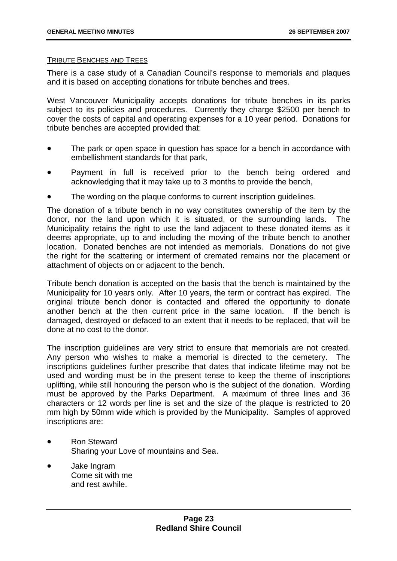#### TRIBUTE BENCHES AND TREES

There is a case study of a Canadian Council's response to memorials and plaques and it is based on accepting donations for tribute benches and trees.

West Vancouver Municipality accepts donations for tribute benches in its parks subject to its policies and procedures. Currently they charge \$2500 per bench to cover the costs of capital and operating expenses for a 10 year period. Donations for tribute benches are accepted provided that:

- The park or open space in question has space for a bench in accordance with embellishment standards for that park,
- Payment in full is received prior to the bench being ordered and acknowledging that it may take up to 3 months to provide the bench,
- The wording on the plaque conforms to current inscription guidelines.

The donation of a tribute bench in no way constitutes ownership of the item by the donor, nor the land upon which it is situated, or the surrounding lands. The Municipality retains the right to use the land adjacent to these donated items as it deems appropriate, up to and including the moving of the tribute bench to another location. Donated benches are not intended as memorials. Donations do not give the right for the scattering or interment of cremated remains nor the placement or attachment of objects on or adjacent to the bench.

Tribute bench donation is accepted on the basis that the bench is maintained by the Municipality for 10 years only. After 10 years, the term or contract has expired. The original tribute bench donor is contacted and offered the opportunity to donate another bench at the then current price in the same location. If the bench is damaged, destroyed or defaced to an extent that it needs to be replaced, that will be done at no cost to the donor.

The inscription guidelines are very strict to ensure that memorials are not created. Any person who wishes to make a memorial is directed to the cemetery. The inscriptions guidelines further prescribe that dates that indicate lifetime may not be used and wording must be in the present tense to keep the theme of inscriptions uplifting, while still honouring the person who is the subject of the donation. Wording must be approved by the Parks Department. A maximum of three lines and 36 characters or 12 words per line is set and the size of the plaque is restricted to 20 mm high by 50mm wide which is provided by the Municipality. Samples of approved inscriptions are:

- Ron Steward Sharing your Love of mountains and Sea.
- Jake Ingram Come sit with me and rest awhile.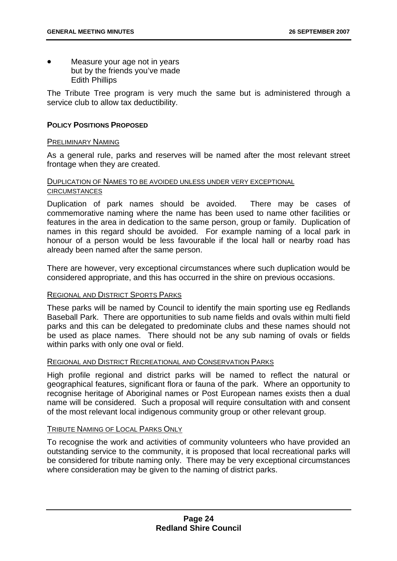Measure your age not in years but by the friends you've made Edith Phillips

The Tribute Tree program is very much the same but is administered through a service club to allow tax deductibility.

#### **POLICY POSITIONS PROPOSED**

#### PRELIMINARY NAMING

As a general rule, parks and reserves will be named after the most relevant street frontage when they are created.

#### DUPLICATION OF NAMES TO BE AVOIDED UNLESS UNDER VERY EXCEPTIONAL **CIRCUMSTANCES**

Duplication of park names should be avoided. There may be cases of commemorative naming where the name has been used to name other facilities or features in the area in dedication to the same person, group or family. Duplication of names in this regard should be avoided. For example naming of a local park in honour of a person would be less favourable if the local hall or nearby road has already been named after the same person.

There are however, very exceptional circumstances where such duplication would be considered appropriate, and this has occurred in the shire on previous occasions.

#### REGIONAL AND DISTRICT SPORTS PARKS

These parks will be named by Council to identify the main sporting use eg Redlands Baseball Park. There are opportunities to sub name fields and ovals within multi field parks and this can be delegated to predominate clubs and these names should not be used as place names. There should not be any sub naming of ovals or fields within parks with only one oval or field.

#### REGIONAL AND DISTRICT RECREATIONAL AND CONSERVATION PARKS

High profile regional and district parks will be named to reflect the natural or geographical features, significant flora or fauna of the park. Where an opportunity to recognise heritage of Aboriginal names or Post European names exists then a dual name will be considered. Such a proposal will require consultation with and consent of the most relevant local indigenous community group or other relevant group.

#### TRIBUTE NAMING OF LOCAL PARKS ONLY

To recognise the work and activities of community volunteers who have provided an outstanding service to the community, it is proposed that local recreational parks will be considered for tribute naming only. There may be very exceptional circumstances where consideration may be given to the naming of district parks.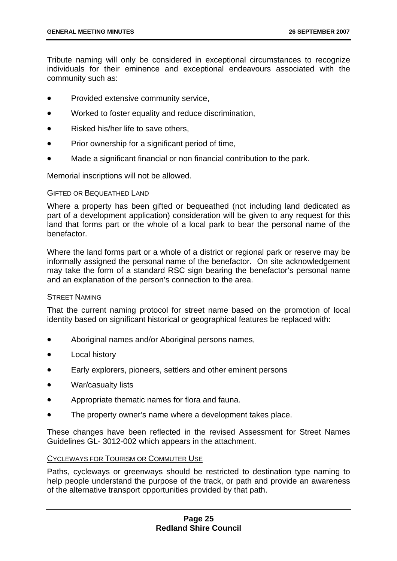Tribute naming will only be considered in exceptional circumstances to recognize individuals for their eminence and exceptional endeavours associated with the community such as:

- Provided extensive community service,
- Worked to foster equality and reduce discrimination,
- Risked his/her life to save others,
- Prior ownership for a significant period of time,
- Made a significant financial or non financial contribution to the park.

Memorial inscriptions will not be allowed.

#### GIFTED OR BEQUEATHED LAND

Where a property has been gifted or bequeathed (not including land dedicated as part of a development application) consideration will be given to any request for this land that forms part or the whole of a local park to bear the personal name of the benefactor.

Where the land forms part or a whole of a district or regional park or reserve may be informally assigned the personal name of the benefactor. On site acknowledgement may take the form of a standard RSC sign bearing the benefactor's personal name and an explanation of the person's connection to the area.

#### STREET NAMING

That the current naming protocol for street name based on the promotion of local identity based on significant historical or geographical features be replaced with:

- Aboriginal names and/or Aboriginal persons names,
- Local history
- Early explorers, pioneers, settlers and other eminent persons
- War/casualty lists
- Appropriate thematic names for flora and fauna.
- The property owner's name where a development takes place.

These changes have been reflected in the revised Assessment for Street Names Guidelines GL- 3012-002 which appears in the attachment.

#### CYCLEWAYS FOR TOURISM OR COMMUTER USE

Paths, cycleways or greenways should be restricted to destination type naming to help people understand the purpose of the track, or path and provide an awareness of the alternative transport opportunities provided by that path.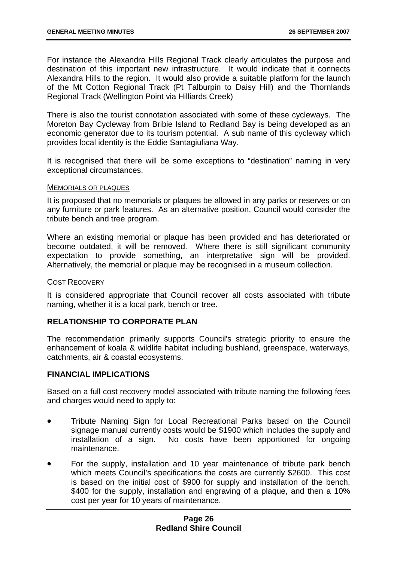For instance the Alexandra Hills Regional Track clearly articulates the purpose and destination of this important new infrastructure. It would indicate that it connects Alexandra Hills to the region. It would also provide a suitable platform for the launch of the Mt Cotton Regional Track (Pt Talburpin to Daisy Hill) and the Thornlands Regional Track (Wellington Point via Hilliards Creek)

There is also the tourist connotation associated with some of these cycleways. The Moreton Bay Cycleway from Bribie Island to Redland Bay is being developed as an economic generator due to its tourism potential. A sub name of this cycleway which provides local identity is the Eddie Santagiuliana Way.

It is recognised that there will be some exceptions to "destination" naming in very exceptional circumstances.

#### MEMORIALS OR PLAQUES

It is proposed that no memorials or plaques be allowed in any parks or reserves or on any furniture or park features. As an alternative position, Council would consider the tribute bench and tree program.

Where an existing memorial or plaque has been provided and has deteriorated or become outdated, it will be removed. Where there is still significant community expectation to provide something, an interpretative sign will be provided. Alternatively, the memorial or plaque may be recognised in a museum collection.

#### COST RECOVERY

It is considered appropriate that Council recover all costs associated with tribute naming, whether it is a local park, bench or tree.

#### **RELATIONSHIP TO CORPORATE PLAN**

The recommendation primarily supports Council's strategic priority to ensure the enhancement of koala & wildlife habitat including bushland, greenspace, waterways, catchments, air & coastal ecosystems.

#### **FINANCIAL IMPLICATIONS**

Based on a full cost recovery model associated with tribute naming the following fees and charges would need to apply to:

- Tribute Naming Sign for Local Recreational Parks based on the Council signage manual currently costs would be \$1900 which includes the supply and installation of a sign. No costs have been apportioned for ongoing maintenance.
- For the supply, installation and 10 year maintenance of tribute park bench which meets Council's specifications the costs are currently \$2600. This cost is based on the initial cost of \$900 for supply and installation of the bench, \$400 for the supply, installation and engraving of a plaque, and then a 10% cost per year for 10 years of maintenance.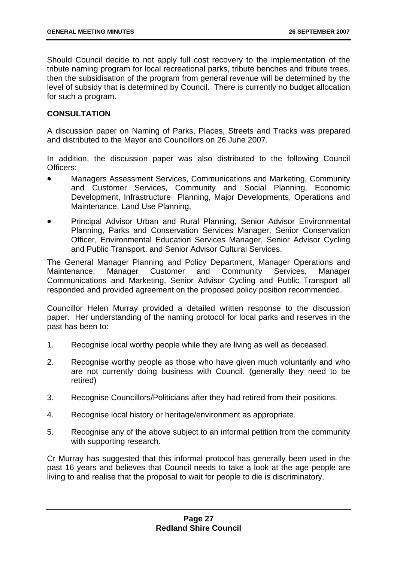Should Council decide to not apply full cost recovery to the implementation of the tribute naming program for local recreational parks, tribute benches and tribute trees, then the subsidisation of the program from general revenue will be determined by the level of subsidy that is determined by Council. There is currently no budget allocation for such a program.

#### **CONSULTATION**

A discussion paper on Naming of Parks, Places, Streets and Tracks was prepared and distributed to the Mayor and Councillors on 26 June 2007.

In addition, the discussion paper was also distributed to the following Council Officers:

- Managers Assessment Services, Communications and Marketing, Community and Customer Services, Community and Social Planning, Economic Development, Infrastructure Planning, Major Developments, Operations and Maintenance, Land Use Planning,
- Principal Advisor Urban and Rural Planning, Senior Advisor Environmental Planning, Parks and Conservation Services Manager, Senior Conservation Officer, Environmental Education Services Manager, Senior Advisor Cycling and Public Transport, and Senior Advisor Cultural Services.

The General Manager Planning and Policy Department, Manager Operations and Maintenance, Manager Customer and Community Services, Manager Communications and Marketing, Senior Advisor Cycling and Public Transport all responded and provided agreement on the proposed policy position recommended.

Councillor Helen Murray provided a detailed written response to the discussion paper. Her understanding of the naming protocol for local parks and reserves in the past has been to:

- 1. Recognise local worthy people while they are living as well as deceased.
- 2. Recognise worthy people as those who have given much voluntarily and who are not currently doing business with Council. (generally they need to be retired)
- 3. Recognise Councillors/Politicians after they had retired from their positions.
- 4. Recognise local history or heritage/environment as appropriate.
- 5. Recognise any of the above subject to an informal petition from the community with supporting research.

Cr Murray has suggested that this informal protocol has generally been used in the past 16 years and believes that Council needs to take a look at the age people are living to and realise that the proposal to wait for people to die is discriminatory.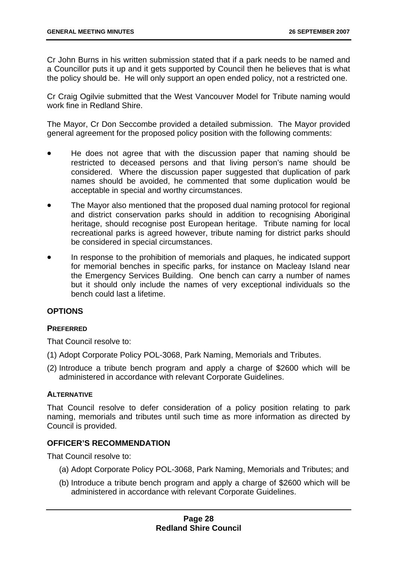Cr John Burns in his written submission stated that if a park needs to be named and a Councillor puts it up and it gets supported by Council then he believes that is what the policy should be. He will only support an open ended policy, not a restricted one.

Cr Craig Ogilvie submitted that the West Vancouver Model for Tribute naming would work fine in Redland Shire.

The Mayor, Cr Don Seccombe provided a detailed submission. The Mayor provided general agreement for the proposed policy position with the following comments:

- He does not agree that with the discussion paper that naming should be restricted to deceased persons and that living person's name should be considered. Where the discussion paper suggested that duplication of park names should be avoided, he commented that some duplication would be acceptable in special and worthy circumstances.
- The Mayor also mentioned that the proposed dual naming protocol for regional and district conservation parks should in addition to recognising Aboriginal heritage, should recognise post European heritage. Tribute naming for local recreational parks is agreed however, tribute naming for district parks should be considered in special circumstances.
- In response to the prohibition of memorials and plaques, he indicated support for memorial benches in specific parks, for instance on Macleay Island near the Emergency Services Building. One bench can carry a number of names but it should only include the names of very exceptional individuals so the bench could last a lifetime.

#### **OPTIONS**

#### **PREFERRED**

That Council resolve to:

- (1) Adopt Corporate Policy POL-3068, Park Naming, Memorials and Tributes.
- (2) Introduce a tribute bench program and apply a charge of \$2600 which will be administered in accordance with relevant Corporate Guidelines.

#### **ALTERNATIVE**

That Council resolve to defer consideration of a policy position relating to park naming, memorials and tributes until such time as more information as directed by Council is provided.

#### **OFFICER'S RECOMMENDATION**

That Council resolve to:

- (a) Adopt Corporate Policy POL-3068, Park Naming, Memorials and Tributes; and
- (b) Introduce a tribute bench program and apply a charge of \$2600 which will be administered in accordance with relevant Corporate Guidelines.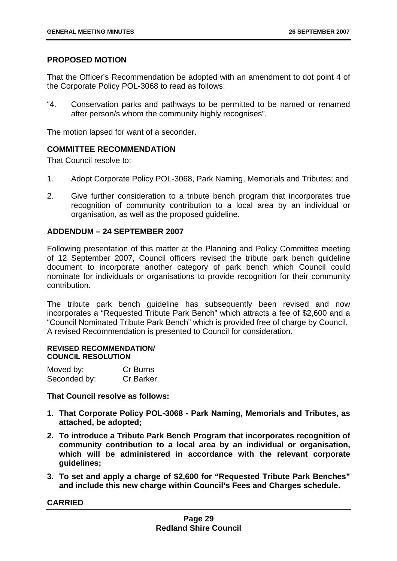#### **PROPOSED MOTION**

That the Officer's Recommendation be adopted with an amendment to dot point 4 of the Corporate Policy POL-3068 to read as follows:

"4. Conservation parks and pathways to be permitted to be named or renamed after person/s whom the community highly recognises".

The motion lapsed for want of a seconder.

#### **COMMITTEE RECOMMENDATION**

That Council resolve to:

- 1. Adopt Corporate Policy POL-3068, Park Naming, Memorials and Tributes; and
- 2. Give further consideration to a tribute bench program that incorporates true recognition of community contribution to a local area by an individual or organisation, as well as the proposed guideline.

#### **ADDENDUM – 24 SEPTEMBER 2007**

Following presentation of this matter at the Planning and Policy Committee meeting of 12 September 2007, Council officers revised the tribute park bench guideline document to incorporate another category of park bench which Council could nominate for individuals or organisations to provide recognition for their community contribution.

The tribute park bench guideline has subsequently been revised and now incorporates a "Requested Tribute Park Bench" which attracts a fee of \$2,600 and a "Council Nominated Tribute Park Bench" which is provided free of charge by Council. A revised Recommendation is presented to Council for consideration.

#### **REVISED RECOMMENDATION/ COUNCIL RESOLUTION**

| Moved by:    | Cr Burns         |
|--------------|------------------|
| Seconded by: | <b>Cr Barker</b> |

#### **That Council resolve as follows:**

- **1. That Corporate Policy POL-3068 Park Naming, Memorials and Tributes, as attached, be adopted;**
- **2. To introduce a Tribute Park Bench Program that incorporates recognition of community contribution to a local area by an individual or organisation, which will be administered in accordance with the relevant corporate guidelines;**
- **3. To set and apply a charge of \$2,600 for "Requested Tribute Park Benches" and include this new charge within Council's Fees and Charges schedule.**

#### **CARRIED**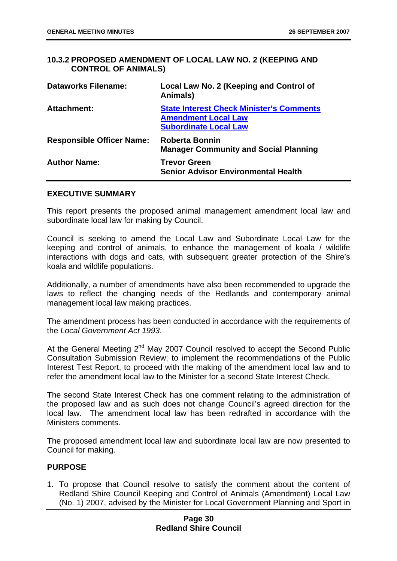#### **10.3.2 PROPOSED AMENDMENT OF LOCAL LAW NO. 2 (KEEPING AND CONTROL OF ANIMALS)**

| <b>Dataworks Filename:</b>       | Local Law No. 2 (Keeping and Control of<br>Animals)                                                           |
|----------------------------------|---------------------------------------------------------------------------------------------------------------|
| <b>Attachment:</b>               | <b>State Interest Check Minister's Comments</b><br><b>Amendment Local Law</b><br><b>Subordinate Local Law</b> |
| <b>Responsible Officer Name:</b> | <b>Roberta Bonnin</b><br><b>Manager Community and Social Planning</b>                                         |
| <b>Author Name:</b>              | <b>Trevor Green</b><br><b>Senior Advisor Environmental Health</b>                                             |

#### **EXECUTIVE SUMMARY**

This report presents the proposed animal management amendment local law and subordinate local law for making by Council.

Council is seeking to amend the Local Law and Subordinate Local Law for the keeping and control of animals, to enhance the management of koala / wildlife interactions with dogs and cats, with subsequent greater protection of the Shire's koala and wildlife populations.

Additionally, a number of amendments have also been recommended to upgrade the laws to reflect the changing needs of the Redlands and contemporary animal management local law making practices.

The amendment process has been conducted in accordance with the requirements of the *Local Government Act 1993*.

At the General Meeting  $2^{nd}$  May 2007 Council resolved to accept the Second Public Consultation Submission Review; to implement the recommendations of the Public Interest Test Report, to proceed with the making of the amendment local law and to refer the amendment local law to the Minister for a second State Interest Check.

The second State Interest Check has one comment relating to the administration of the proposed law and as such does not change Council's agreed direction for the local law. The amendment local law has been redrafted in accordance with the Ministers comments.

The proposed amendment local law and subordinate local law are now presented to Council for making.

#### **PURPOSE**

1. To propose that Council resolve to satisfy the comment about the content of Redland Shire Council Keeping and Control of Animals (Amendment) Local Law (No. 1) 2007, advised by the Minister for Local Government Planning and Sport in

#### **Page 30 Redland Shire Council**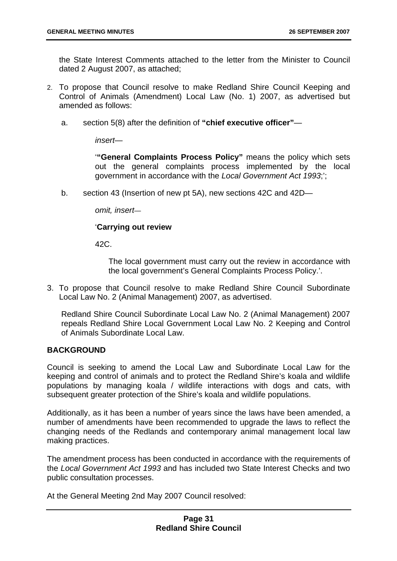the State Interest Comments attached to the letter from the Minister to Council dated 2 August 2007, as attached;

- 2. To propose that Council resolve to make Redland Shire Council Keeping and Control of Animals (Amendment) Local Law (No. 1) 2007, as advertised but amended as follows:
	- a. section 5(8) after the definition of **"chief executive officer"**—

*insert—*

'**"General Complaints Process Policy"** means the policy which sets out the general complaints process implemented by the local government in accordance with the *Local Government Act 1993*;';

b. section 43 (Insertion of new pt 5A), new sections 42C and 42D—

*omit, insert—*

#### '**Carrying out review**

42C.

The local government must carry out the review in accordance with the local government's General Complaints Process Policy.'.

3. To propose that Council resolve to make Redland Shire Council Subordinate Local Law No. 2 (Animal Management) 2007, as advertised.

Redland Shire Council Subordinate Local Law No. 2 (Animal Management) 2007 repeals Redland Shire Local Government Local Law No. 2 Keeping and Control of Animals Subordinate Local Law.

#### **BACKGROUND**

Council is seeking to amend the Local Law and Subordinate Local Law for the keeping and control of animals and to protect the Redland Shire's koala and wildlife populations by managing koala / wildlife interactions with dogs and cats, with subsequent greater protection of the Shire's koala and wildlife populations.

Additionally, as it has been a number of years since the laws have been amended, a number of amendments have been recommended to upgrade the laws to reflect the changing needs of the Redlands and contemporary animal management local law making practices.

The amendment process has been conducted in accordance with the requirements of the *Local Government Act 1993* and has included two State Interest Checks and two public consultation processes.

At the General Meeting 2nd May 2007 Council resolved: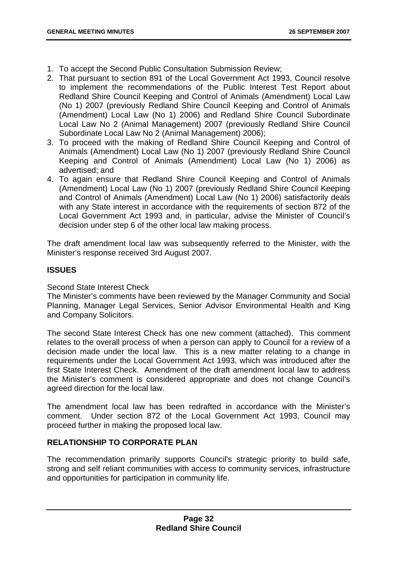- 1. To accept the Second Public Consultation Submission Review;
- 2. That pursuant to section 891 of the Local Government Act 1993, Council resolve to implement the recommendations of the Public Interest Test Report about Redland Shire Council Keeping and Control of Animals (Amendment) Local Law (No 1) 2007 (previously Redland Shire Council Keeping and Control of Animals (Amendment) Local Law (No 1) 2006) and Redland Shire Council Subordinate Local Law No 2 (Animal Management) 2007 (previously Redland Shire Council Subordinate Local Law No 2 (Animal Management) 2006);
- 3. To proceed with the making of Redland Shire Council Keeping and Control of Animals (Amendment) Local Law (No 1) 2007 (previously Redland Shire Council Keeping and Control of Animals (Amendment) Local Law (No 1) 2006) as advertised; and
- 4. To again ensure that Redland Shire Council Keeping and Control of Animals (Amendment) Local Law (No 1) 2007 (previously Redland Shire Council Keeping and Control of Animals (Amendment) Local Law (No 1) 2006) satisfactorily deals with any State interest in accordance with the requirements of section 872 of the Local Government Act 1993 and, in particular, advise the Minister of Council's decision under step 6 of the other local law making process.

The draft amendment local law was subsequently referred to the Minister, with the Minister's response received 3rd August 2007.

#### **ISSUES**

Second State Interest Check

The Minister's comments have been reviewed by the Manager Community and Social Planning, Manager Legal Services, Senior Advisor Environmental Health and King and Company Solicitors.

The second State Interest Check has one new comment (attached). This comment relates to the overall process of when a person can apply to Council for a review of a decision made under the local law. This is a new matter relating to a change in requirements under the Local Government Act 1993, which was introduced after the first State Interest Check. Amendment of the draft amendment local law to address the Minister's comment is considered appropriate and does not change Council's agreed direction for the local law.

The amendment local law has been redrafted in accordance with the Minister's comment. Under section 872 of the Local Government Act 1993, Council may proceed further in making the proposed local law.

#### **RELATIONSHIP TO CORPORATE PLAN**

The recommendation primarily supports Council's strategic priority to build safe, strong and self reliant communities with access to community services, infrastructure and opportunities for participation in community life.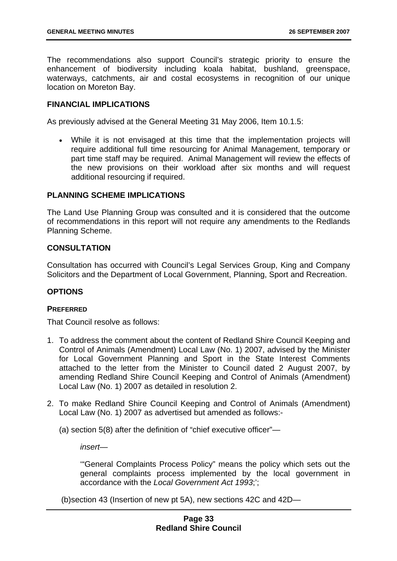The recommendations also support Council's strategic priority to ensure the enhancement of biodiversity including koala habitat, bushland, greenspace, waterways, catchments, air and costal ecosystems in recognition of our unique location on Moreton Bay.

#### **FINANCIAL IMPLICATIONS**

As previously advised at the General Meeting 31 May 2006, Item 10.1.5:

• While it is not envisaged at this time that the implementation projects will require additional full time resourcing for Animal Management, temporary or part time staff may be required. Animal Management will review the effects of the new provisions on their workload after six months and will request additional resourcing if required.

#### **PLANNING SCHEME IMPLICATIONS**

The Land Use Planning Group was consulted and it is considered that the outcome of recommendations in this report will not require any amendments to the Redlands Planning Scheme.

#### **CONSULTATION**

Consultation has occurred with Council's Legal Services Group, King and Company Solicitors and the Department of Local Government, Planning, Sport and Recreation.

#### **OPTIONS**

#### **PREFERRED**

That Council resolve as follows:

- 1. To address the comment about the content of Redland Shire Council Keeping and Control of Animals (Amendment) Local Law (No. 1) 2007, advised by the Minister for Local Government Planning and Sport in the State Interest Comments attached to the letter from the Minister to Council dated 2 August 2007, by amending Redland Shire Council Keeping and Control of Animals (Amendment) Local Law (No. 1) 2007 as detailed in resolution 2.
- 2. To make Redland Shire Council Keeping and Control of Animals (Amendment) Local Law (No. 1) 2007 as advertised but amended as follows:-
	- (a) section 5(8) after the definition of "chief executive officer"—

*insert—*

'"General Complaints Process Policy" means the policy which sets out the general complaints process implemented by the local government in accordance with the *Local Government Act 1993*;';

(b) section 43 (Insertion of new pt 5A), new sections 42C and 42D—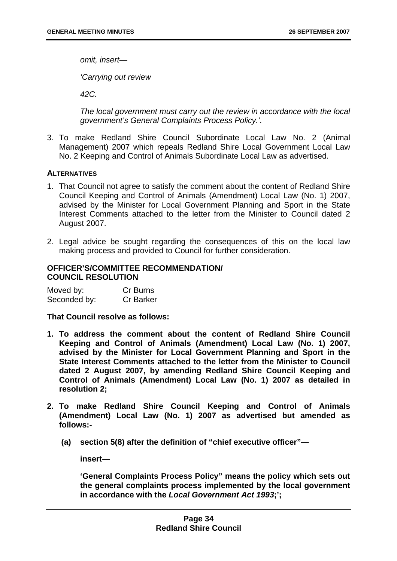*omit, insert—* 

*'Carrying out review* 

*42C.* 

*The local government must carry out the review in accordance with the local government's General Complaints Process Policy.'.* 

3. To make Redland Shire Council Subordinate Local Law No. 2 (Animal Management) 2007 which repeals Redland Shire Local Government Local Law No. 2 Keeping and Control of Animals Subordinate Local Law as advertised.

#### **ALTERNATIVES**

- 1. That Council not agree to satisfy the comment about the content of Redland Shire Council Keeping and Control of Animals (Amendment) Local Law (No. 1) 2007, advised by the Minister for Local Government Planning and Sport in the State Interest Comments attached to the letter from the Minister to Council dated 2 August 2007.
- 2. Legal advice be sought regarding the consequences of this on the local law making process and provided to Council for further consideration.

#### **OFFICER'S/COMMITTEE RECOMMENDATION/ COUNCIL RESOLUTION**

| Moved by:    | Cr Burns         |
|--------------|------------------|
| Seconded by: | <b>Cr Barker</b> |

**That Council resolve as follows:** 

- **1. To address the comment about the content of Redland Shire Council Keeping and Control of Animals (Amendment) Local Law (No. 1) 2007, advised by the Minister for Local Government Planning and Sport in the State Interest Comments attached to the letter from the Minister to Council dated 2 August 2007, by amending Redland Shire Council Keeping and Control of Animals (Amendment) Local Law (No. 1) 2007 as detailed in resolution 2;**
- **2. To make Redland Shire Council Keeping and Control of Animals (Amendment) Local Law (No. 1) 2007 as advertised but amended as follows:-** 
	- **(a) section 5(8) after the definition of "chief executive officer"—**

**insert—** 

**'General Complaints Process Policy" means the policy which sets out the general complaints process implemented by the local government in accordance with the** *Local Government Act 1993***;';**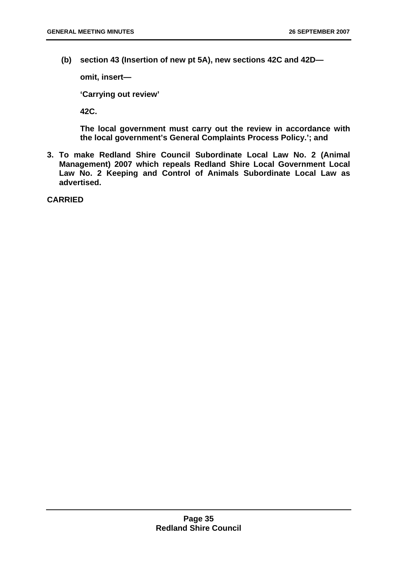**(b) section 43 (Insertion of new pt 5A), new sections 42C and 42D—** 

**omit, insert—** 

**'Carrying out review'** 

**42C.** 

**The local government must carry out the review in accordance with the local government's General Complaints Process Policy.'; and** 

**3. To make Redland Shire Council Subordinate Local Law No. 2 (Animal Management) 2007 which repeals Redland Shire Local Government Local Law No. 2 Keeping and Control of Animals Subordinate Local Law as advertised.** 

**CARRIED**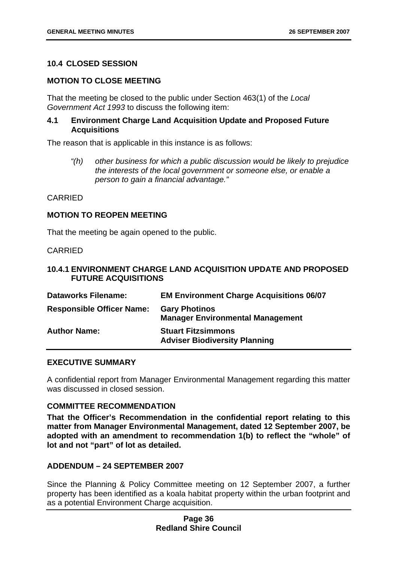# **10.4 CLOSED SESSION**

## **MOTION TO CLOSE MEETING**

That the meeting be closed to the public under Section 463(1) of the *Local Government Act 1993* to discuss the following item:

# **4.1 Environment Charge Land Acquisition Update and Proposed Future Acquisitions**

The reason that is applicable in this instance is as follows:

*"(h) other business for which a public discussion would be likely to prejudice the interests of the local government or someone else, or enable a person to gain a financial advantage."* 

## CARRIED

# **MOTION TO REOPEN MEETING**

That the meeting be again opened to the public.

## CARRIED

# **10.4.1 ENVIRONMENT CHARGE LAND ACQUISITION UPDATE AND PROPOSED FUTURE ACQUISITIONS**

| <b>Dataworks Filename:</b>       | <b>EM Environment Charge Acquisitions 06/07</b>                   |
|----------------------------------|-------------------------------------------------------------------|
| <b>Responsible Officer Name:</b> | <b>Gary Photinos</b><br><b>Manager Environmental Management</b>   |
| <b>Author Name:</b>              | <b>Stuart Fitzsimmons</b><br><b>Adviser Biodiversity Planning</b> |

# **EXECUTIVE SUMMARY**

A confidential report from Manager Environmental Management regarding this matter was discussed in closed session.

# **COMMITTEE RECOMMENDATION**

**That the Officer's Recommendation in the confidential report relating to this matter from Manager Environmental Management, dated 12 September 2007, be adopted with an amendment to recommendation 1(b) to reflect the "whole" of lot and not "part" of lot as detailed.** 

## **ADDENDUM – 24 SEPTEMBER 2007**

Since the Planning & Policy Committee meeting on 12 September 2007, a further property has been identified as a koala habitat property within the urban footprint and as a potential Environment Charge acquisition.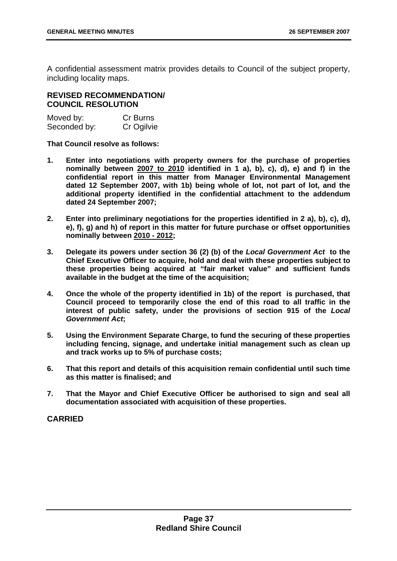A confidential assessment matrix provides details to Council of the subject property, including locality maps.

# **REVISED RECOMMENDATION/ COUNCIL RESOLUTION**

| Moved by:    | Cr Burns   |
|--------------|------------|
| Seconded by: | Cr Ogilvie |

**That Council resolve as follows:** 

- **1. Enter into negotiations with property owners for the purchase of properties nominally between 2007 to 2010 identified in 1 a), b), c), d), e) and f) in the confidential report in this matter from Manager Environmental Management dated 12 September 2007, with 1b) being whole of lot, not part of lot, and the additional property identified in the confidential attachment to the addendum dated 24 September 2007;**
- **2. Enter into preliminary negotiations for the properties identified in 2 a), b), c), d), e), f), g) and h) of report in this matter for future purchase or offset opportunities nominally between 2010 - 2012;**
- **3. Delegate its powers under section 36 (2) (b) of the** *Local Government Act* **to the Chief Executive Officer to acquire, hold and deal with these properties subject to these properties being acquired at "fair market value" and sufficient funds available in the budget at the time of the acquisition;**
- **4. Once the whole of the property identified in 1b) of the report is purchased, that Council proceed to temporarily close the end of this road to all traffic in the interest of public safety, under the provisions of section 915 of the** *Local Government Act***;**
- **5. Using the Environment Separate Charge, to fund the securing of these properties including fencing, signage, and undertake initial management such as clean up and track works up to 5% of purchase costs;**
- **6. That this report and details of this acquisition remain confidential until such time as this matter is finalised; and**
- **7. That the Mayor and Chief Executive Officer be authorised to sign and seal all documentation associated with acquisition of these properties.**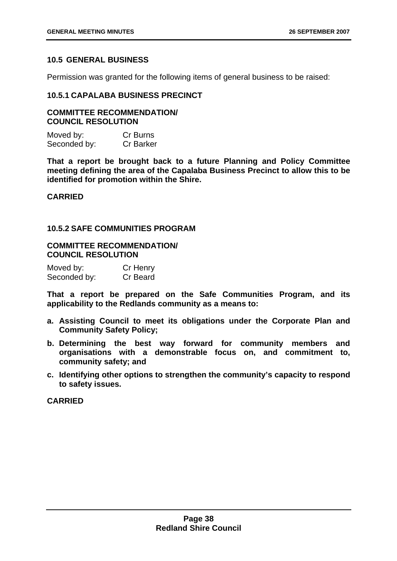# **10.5 GENERAL BUSINESS**

Permission was granted for the following items of general business to be raised:

## **10.5.1 CAPALABA BUSINESS PRECINCT**

## **COMMITTEE RECOMMENDATION/ COUNCIL RESOLUTION**

| Moved by:    | Cr Burns         |
|--------------|------------------|
| Seconded by: | <b>Cr Barker</b> |

**That a report be brought back to a future Planning and Policy Committee meeting defining the area of the Capalaba Business Precinct to allow this to be identified for promotion within the Shire.** 

# **CARRIED**

# **10.5.2 SAFE COMMUNITIES PROGRAM**

# **COMMITTEE RECOMMENDATION/ COUNCIL RESOLUTION**

| Moved by:    | Cr Henry |
|--------------|----------|
| Seconded by: | Cr Beard |

**That a report be prepared on the Safe Communities Program, and its applicability to the Redlands community as a means to:** 

- **a. Assisting Council to meet its obligations under the Corporate Plan and Community Safety Policy;**
- **b. Determining the best way forward for community members and organisations with a demonstrable focus on, and commitment to, community safety; and**
- **c. Identifying other options to strengthen the community's capacity to respond to safety issues.**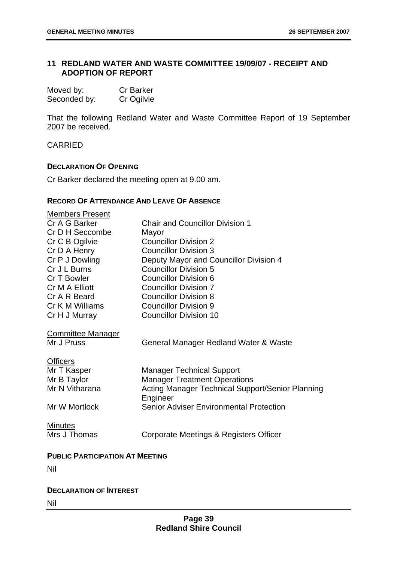# **11 REDLAND WATER AND WASTE COMMITTEE 19/09/07 - RECEIPT AND ADOPTION OF REPORT**

| Moved by:    | <b>Cr Barker</b> |
|--------------|------------------|
| Seconded by: | Cr Ogilvie       |

That the following Redland Water and Waste Committee Report of 19 September 2007 be received.

CARRIED

#### **DECLARATION OF OPENING**

Cr Barker declared the meeting open at 9.00 am.

# **RECORD OF ATTENDANCE AND LEAVE OF ABSENCE**

| <b>Members Present</b>                 |                                                  |
|----------------------------------------|--------------------------------------------------|
| Cr A G Barker                          | <b>Chair and Councillor Division 1</b>           |
| Cr D H Seccombe                        | Mayor                                            |
| Cr C B Ogilvie                         | <b>Councillor Division 2</b>                     |
| Cr D A Henry                           | <b>Councillor Division 3</b>                     |
| Cr P J Dowling                         | Deputy Mayor and Councillor Division 4           |
| Cr J L Burns                           | <b>Councillor Division 5</b>                     |
| Cr T Bowler                            | <b>Councillor Division 6</b>                     |
| Cr M A Elliott                         | <b>Councillor Division 7</b>                     |
| Cr A R Beard                           | <b>Councillor Division 8</b>                     |
| Cr K M Williams                        | <b>Councillor Division 9</b>                     |
| Cr H J Murray                          | <b>Councillor Division 10</b>                    |
|                                        |                                                  |
| <b>Committee Manager</b>               |                                                  |
| Mr J Pruss                             | General Manager Redland Water & Waste            |
| <b>Officers</b>                        |                                                  |
| Mr T Kasper                            | <b>Manager Technical Support</b>                 |
| Mr B Taylor                            | <b>Manager Treatment Operations</b>              |
| Mr N Vitharana                         | Acting Manager Technical Support/Senior Planning |
|                                        | Engineer                                         |
| Mr W Mortlock                          | <b>Senior Adviser Environmental Protection</b>   |
|                                        |                                                  |
| <b>Minutes</b>                         |                                                  |
| Mrs J Thomas                           | Corporate Meetings & Registers Officer           |
|                                        |                                                  |
| <b>PUBLIC PARTICIPATION AT MEETING</b> |                                                  |
|                                        |                                                  |
| Nil                                    |                                                  |
|                                        |                                                  |

## **DECLARATION OF INTEREST**

Nil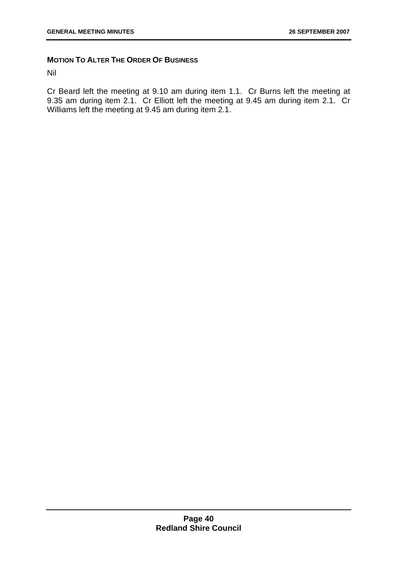# **MOTION TO ALTER THE ORDER OF BUSINESS**

Nil

Cr Beard left the meeting at 9.10 am during item 1.1. Cr Burns left the meeting at 9.35 am during item 2.1. Cr Elliott left the meeting at 9.45 am during item 2.1. Cr Williams left the meeting at 9.45 am during item 2.1.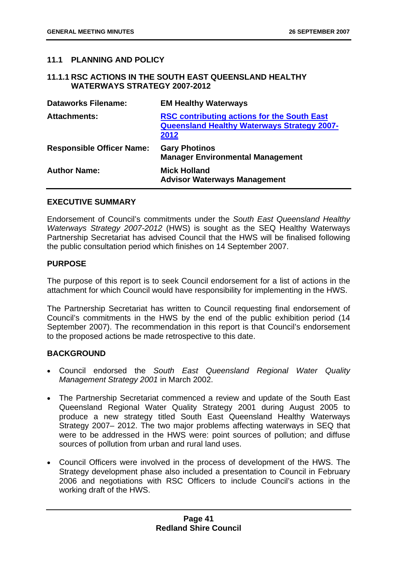# **11.1 PLANNING AND POLICY**

## **11.1.1 RSC ACTIONS IN THE SOUTH EAST QUEENSLAND HEALTHY WATERWAYS STRATEGY 2007-2012**

| <b>Dataworks Filename:</b>       | <b>EM Healthy Waterways</b>                                                                                      |
|----------------------------------|------------------------------------------------------------------------------------------------------------------|
| <b>Attachments:</b>              | <b>RSC contributing actions for the South East</b><br><b>Queensland Healthy Waterways Strategy 2007-</b><br>2012 |
| <b>Responsible Officer Name:</b> | <b>Gary Photinos</b><br><b>Manager Environmental Management</b>                                                  |
| <b>Author Name:</b>              | <b>Mick Holland</b><br><b>Advisor Waterways Management</b>                                                       |

## **EXECUTIVE SUMMARY**

Endorsement of Council's commitments under the *South East Queensland Healthy Waterways Strategy 2007-2012* (HWS) is sought as the SEQ Healthy Waterways Partnership Secretariat has advised Council that the HWS will be finalised following the public consultation period which finishes on 14 September 2007.

## **PURPOSE**

The purpose of this report is to seek Council endorsement for a list of actions in the attachment for which Council would have responsibility for implementing in the HWS.

The Partnership Secretariat has written to Council requesting final endorsement of Council's commitments in the HWS by the end of the public exhibition period (14 September 2007). The recommendation in this report is that Council's endorsement to the proposed actions be made retrospective to this date.

## **BACKGROUND**

- Council endorsed the *South East Queensland Regional Water Quality Management Strategy 2001* in March 2002.
- The Partnership Secretariat commenced a review and update of the South East Queensland Regional Water Quality Strategy 2001 during August 2005 to produce a new strategy titled South East Queensland Healthy Waterways Strategy 2007– 2012. The two major problems affecting waterways in SEQ that were to be addressed in the HWS were: point sources of pollution; and diffuse sources of pollution from urban and rural land uses.
- Council Officers were involved in the process of development of the HWS. The Strategy development phase also included a presentation to Council in February 2006 and negotiations with RSC Officers to include Council's actions in the working draft of the HWS.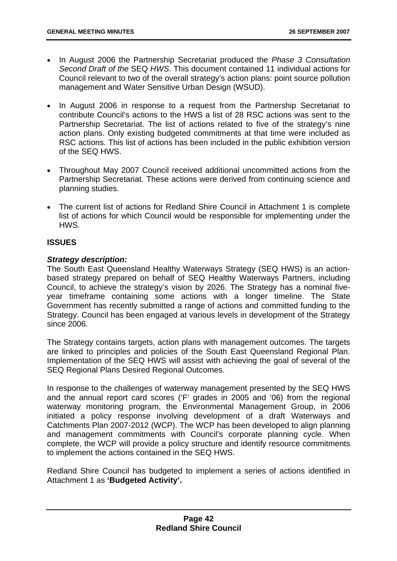- In August 2006 the Partnership Secretariat produced the *Phase 3 Consultation Second Draft of the* SEQ *HWS*. This document contained 11 individual actions for Council relevant to two of the overall strategy's action plans: point source pollution management and Water Sensitive Urban Design (WSUD).
- In August 2006 in response to a request from the Partnership Secretariat to contribute Council's actions to the HWS a list of 28 RSC actions was sent to the Partnership Secretariat. The list of actions related to five of the strategy's nine action plans. Only existing budgeted commitments at that time were included as RSC actions. This list of actions has been included in the public exhibition version of the SEQ HWS.
- Throughout May 2007 Council received additional uncommitted actions from the Partnership Secretariat. These actions were derived from continuing science and planning studies.
- The current list of actions for Redland Shire Council in Attachment 1 is complete list of actions for which Council would be responsible for implementing under the HWS.

# **ISSUES**

# *Strategy description:*

The South East Queensland Healthy Waterways Strategy (SEQ HWS) is an actionbased strategy prepared on behalf of SEQ Healthy Waterways Partners, including Council, to achieve the strategy's vision by 2026. The Strategy has a nominal fiveyear timeframe containing some actions with a longer timeline. The State Government has recently submitted a range of actions and committed funding to the Strategy. Council has been engaged at various levels in development of the Strategy since 2006.

The Strategy contains targets, action plans with management outcomes. The targets are linked to principles and policies of the South East Queensland Regional Plan. Implementation of the SEQ HWS will assist with achieving the goal of several of the SEQ Regional Plans Desired Regional Outcomes.

In response to the challenges of waterway management presented by the SEQ HWS and the annual report card scores ('F' grades in 2005 and '06) from the regional waterway monitoring program, the Environmental Management Group, in 2006 initiated a policy response involving development of a draft Waterways and Catchments Plan 2007-2012 (WCP). The WCP has been developed to align planning and management commitments with Council's corporate planning cycle. When complete, the WCP will provide a policy structure and identify resource commitments to implement the actions contained in the SEQ HWS.

Redland Shire Council has budgeted to implement a series of actions identified in Attachment 1 as **'Budgeted Activity'.**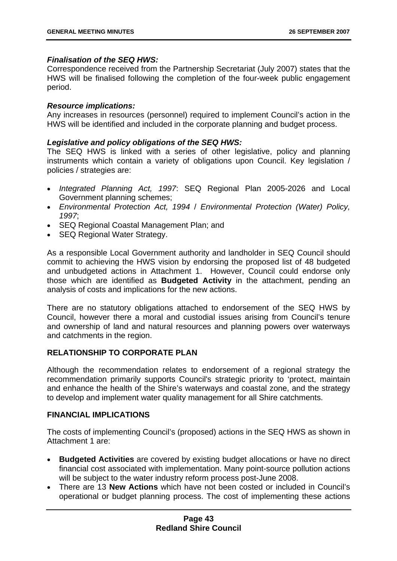# *Finalisation of the SEQ HWS:*

Correspondence received from the Partnership Secretariat (July 2007) states that the HWS will be finalised following the completion of the four-week public engagement period.

## *Resource implications:*

Any increases in resources (personnel) required to implement Council's action in the HWS will be identified and included in the corporate planning and budget process.

# *Legislative and policy obligations of the SEQ HWS:*

The SEQ HWS is linked with a series of other legislative, policy and planning instruments which contain a variety of obligations upon Council. Key legislation / policies / strategies are:

- *Integrated Planning Act, 1997*: SEQ Regional Plan 2005-2026 and Local Government planning schemes;
- *Environmental Protection Act, 1994* / *Environmental Protection (Water) Policy, 1997*;
- SEQ Regional Coastal Management Plan; and
- SEQ Regional Water Strategy.

As a responsible Local Government authority and landholder in SEQ Council should commit to achieving the HWS vision by endorsing the proposed list of 48 budgeted and unbudgeted actions in Attachment 1. However, Council could endorse only those which are identified as **Budgeted Activity** in the attachment, pending an analysis of costs and implications for the new actions.

There are no statutory obligations attached to endorsement of the SEQ HWS by Council, however there a moral and custodial issues arising from Council's tenure and ownership of land and natural resources and planning powers over waterways and catchments in the region.

# **RELATIONSHIP TO CORPORATE PLAN**

Although the recommendation relates to endorsement of a regional strategy the recommendation primarily supports Council's strategic priority to 'protect, maintain and enhance the health of the Shire's waterways and coastal zone, and the strategy to develop and implement water quality management for all Shire catchments.

# **FINANCIAL IMPLICATIONS**

The costs of implementing Council's (proposed) actions in the SEQ HWS as shown in Attachment 1 are:

- **Budgeted Activities** are covered by existing budget allocations or have no direct financial cost associated with implementation. Many point-source pollution actions will be subject to the water industry reform process post-June 2008.
- There are 13 **New Actions** which have not been costed or included in Council's operational or budget planning process. The cost of implementing these actions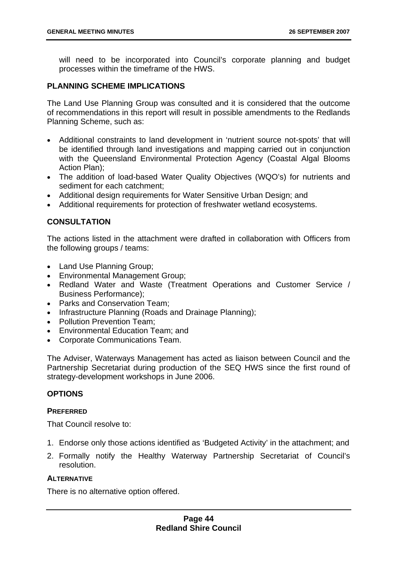will need to be incorporated into Council's corporate planning and budget processes within the timeframe of the HWS.

## **PLANNING SCHEME IMPLICATIONS**

The Land Use Planning Group was consulted and it is considered that the outcome of recommendations in this report will result in possible amendments to the Redlands Planning Scheme, such as:

- Additional constraints to land development in 'nutrient source not-spots' that will be identified through land investigations and mapping carried out in conjunction with the Queensland Environmental Protection Agency (Coastal Algal Blooms Action Plan);
- The addition of load-based Water Quality Objectives (WQO's) for nutrients and sediment for each catchment;
- Additional design requirements for Water Sensitive Urban Design; and
- Additional requirements for protection of freshwater wetland ecosystems.

# **CONSULTATION**

The actions listed in the attachment were drafted in collaboration with Officers from the following groups / teams:

- Land Use Planning Group;
- Environmental Management Group;
- Redland Water and Waste (Treatment Operations and Customer Service / Business Performance);
- Parks and Conservation Team;
- Infrastructure Planning (Roads and Drainage Planning);
- Pollution Prevention Team;
- Environmental Education Team; and
- Corporate Communications Team.

The Adviser, Waterways Management has acted as liaison between Council and the Partnership Secretariat during production of the SEQ HWS since the first round of strategy-development workshops in June 2006.

## **OPTIONS**

## **PREFERRED**

That Council resolve to:

- 1. Endorse only those actions identified as 'Budgeted Activity' in the attachment; and
- 2. Formally notify the Healthy Waterway Partnership Secretariat of Council's resolution.

# **ALTERNATIVE**

There is no alternative option offered.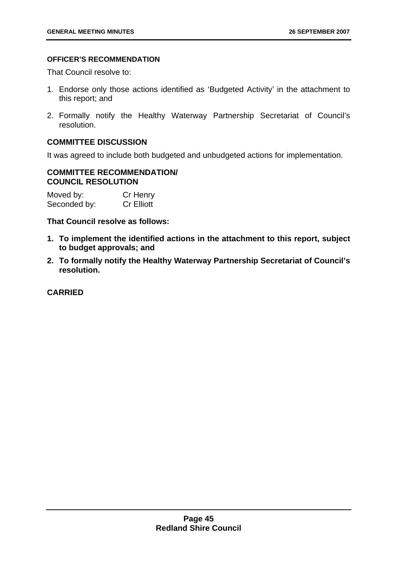#### **OFFICER'S RECOMMENDATION**

That Council resolve to:

- 1. Endorse only those actions identified as 'Budgeted Activity' in the attachment to this report; and
- 2. Formally notify the Healthy Waterway Partnership Secretariat of Council's resolution.

# **COMMITTEE DISCUSSION**

It was agreed to include both budgeted and unbudgeted actions for implementation.

# **COMMITTEE RECOMMENDATION/ COUNCIL RESOLUTION**

| Moved by:    | Cr Henry          |
|--------------|-------------------|
| Seconded by: | <b>Cr Elliott</b> |

## **That Council resolve as follows:**

- **1. To implement the identified actions in the attachment to this report, subject to budget approvals; and**
- **2. To formally notify the Healthy Waterway Partnership Secretariat of Council's resolution.**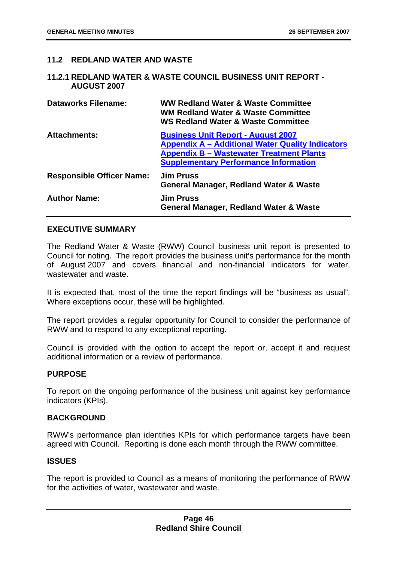# **11.2 REDLAND WATER AND WASTE**

## **11.2.1 REDLAND WATER & WASTE COUNCIL BUSINESS UNIT REPORT - AUGUST 2007**

| <b>Dataworks Filename:</b>       | <b>WW Redland Water &amp; Waste Committee</b><br><b>WM Redland Water &amp; Waste Committee</b><br><b>WS Redland Water &amp; Waste Committee</b>                                                         |
|----------------------------------|---------------------------------------------------------------------------------------------------------------------------------------------------------------------------------------------------------|
| <b>Attachments:</b>              | <b>Business Unit Report - August 2007</b><br><b>Appendix A - Additional Water Quality Indicators</b><br><b>Appendix B – Wastewater Treatment Plants</b><br><b>Supplementary Performance Information</b> |
| <b>Responsible Officer Name:</b> | <b>Jim Pruss</b><br><b>General Manager, Redland Water &amp; Waste</b>                                                                                                                                   |
| <b>Author Name:</b>              | <b>Jim Pruss</b><br>General Manager, Redland Water & Waste                                                                                                                                              |

# **EXECUTIVE SUMMARY**

The Redland Water & Waste (RWW) Council business unit report is presented to Council for noting. The report provides the business unit's performance for the month of August 2007 and covers financial and non-financial indicators for water, wastewater and waste.

It is expected that, most of the time the report findings will be "business as usual". Where exceptions occur, these will be highlighted.

The report provides a regular opportunity for Council to consider the performance of RWW and to respond to any exceptional reporting.

Council is provided with the option to accept the report or, accept it and request additional information or a review of performance.

## **PURPOSE**

To report on the ongoing performance of the business unit against key performance indicators (KPIs).

## **BACKGROUND**

RWW's performance plan identifies KPIs for which performance targets have been agreed with Council. Reporting is done each month through the RWW committee.

## **ISSUES**

The report is provided to Council as a means of monitoring the performance of RWW for the activities of water, wastewater and waste.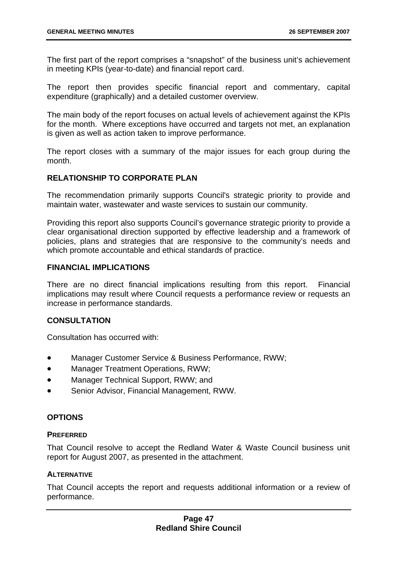The first part of the report comprises a "snapshot" of the business unit's achievement in meeting KPIs (year-to-date) and financial report card.

The report then provides specific financial report and commentary, capital expenditure (graphically) and a detailed customer overview.

The main body of the report focuses on actual levels of achievement against the KPIs for the month. Where exceptions have occurred and targets not met, an explanation is given as well as action taken to improve performance.

The report closes with a summary of the major issues for each group during the month.

# **RELATIONSHIP TO CORPORATE PLAN**

The recommendation primarily supports Council's strategic priority to provide and maintain water, wastewater and waste services to sustain our community.

Providing this report also supports Council's governance strategic priority to provide a clear organisational direction supported by effective leadership and a framework of policies, plans and strategies that are responsive to the community's needs and which promote accountable and ethical standards of practice.

# **FINANCIAL IMPLICATIONS**

There are no direct financial implications resulting from this report. Financial implications may result where Council requests a performance review or requests an increase in performance standards.

## **CONSULTATION**

Consultation has occurred with:

- Manager Customer Service & Business Performance, RWW;
- Manager Treatment Operations, RWW;
- Manager Technical Support, RWW; and
- Senior Advisor, Financial Management, RWW.

## **OPTIONS**

## **PREFERRED**

That Council resolve to accept the Redland Water & Waste Council business unit report for August 2007, as presented in the attachment.

## **ALTERNATIVE**

That Council accepts the report and requests additional information or a review of performance.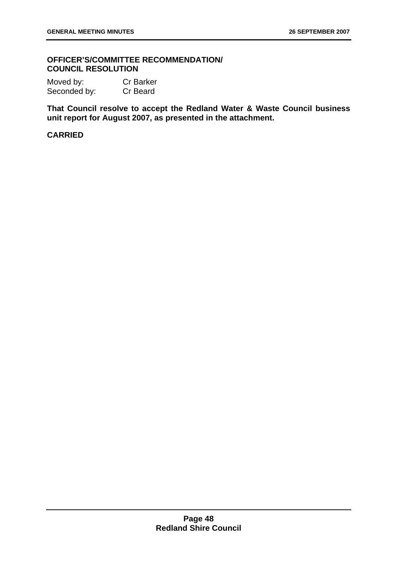# **OFFICER'S/COMMITTEE RECOMMENDATION/ COUNCIL RESOLUTION**

Moved by: Cr Barker Seconded by: Cr Beard

**That Council resolve to accept the Redland Water & Waste Council business unit report for August 2007, as presented in the attachment.**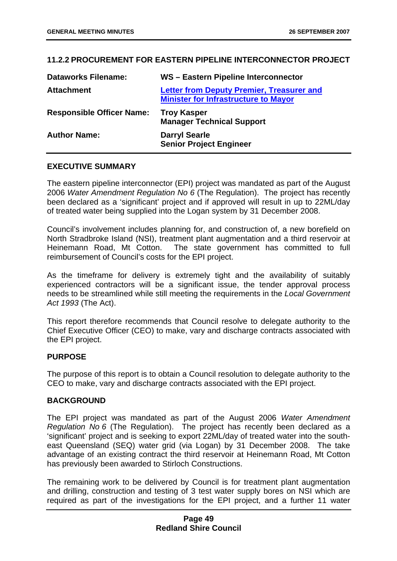# **11.2.2 PROCUREMENT FOR EASTERN PIPELINE INTERCONNECTOR PROJECT**

| <b>Dataworks Filename:</b>       | WS - Eastern Pipeline Interconnector                                                            |
|----------------------------------|-------------------------------------------------------------------------------------------------|
| <b>Attachment</b>                | <b>Letter from Deputy Premier, Treasurer and</b><br><b>Minister for Infrastructure to Mayor</b> |
| <b>Responsible Officer Name:</b> | <b>Troy Kasper</b><br><b>Manager Technical Support</b>                                          |
| <b>Author Name:</b>              | <b>Darryl Searle</b><br><b>Senior Project Engineer</b>                                          |

#### **EXECUTIVE SUMMARY**

The eastern pipeline interconnector (EPI) project was mandated as part of the August 2006 *Water Amendment Regulation No 6* (The Regulation). The project has recently been declared as a 'significant' project and if approved will result in up to 22ML/day of treated water being supplied into the Logan system by 31 December 2008.

Council's involvement includes planning for, and construction of, a new borefield on North Stradbroke Island (NSI), treatment plant augmentation and a third reservoir at Heinemann Road, Mt Cotton. The state government has committed to full reimbursement of Council's costs for the EPI project.

As the timeframe for delivery is extremely tight and the availability of suitably experienced contractors will be a significant issue, the tender approval process needs to be streamlined while still meeting the requirements in the *Local Government Act 1993* (The Act).

This report therefore recommends that Council resolve to delegate authority to the Chief Executive Officer (CEO) to make, vary and discharge contracts associated with the EPI project.

## **PURPOSE**

The purpose of this report is to obtain a Council resolution to delegate authority to the CEO to make, vary and discharge contracts associated with the EPI project.

## **BACKGROUND**

The EPI project was mandated as part of the August 2006 *Water Amendment Regulation No 6* (The Regulation). The project has recently been declared as a 'significant' project and is seeking to export 22ML/day of treated water into the southeast Queensland (SEQ) water grid (via Logan) by 31 December 2008. The take advantage of an existing contract the third reservoir at Heinemann Road, Mt Cotton has previously been awarded to Stirloch Constructions.

The remaining work to be delivered by Council is for treatment plant augmentation and drilling, construction and testing of 3 test water supply bores on NSI which are required as part of the investigations for the EPI project, and a further 11 water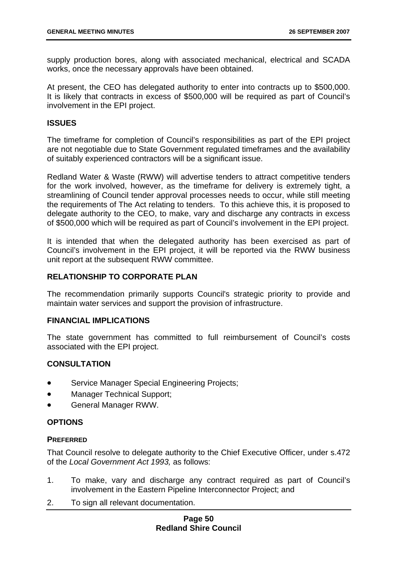supply production bores, along with associated mechanical, electrical and SCADA works, once the necessary approvals have been obtained.

At present, the CEO has delegated authority to enter into contracts up to \$500,000. It is likely that contracts in excess of \$500,000 will be required as part of Council's involvement in the EPI project.

## **ISSUES**

The timeframe for completion of Council's responsibilities as part of the EPI project are not negotiable due to State Government regulated timeframes and the availability of suitably experienced contractors will be a significant issue.

Redland Water & Waste (RWW) will advertise tenders to attract competitive tenders for the work involved, however, as the timeframe for delivery is extremely tight, a streamlining of Council tender approval processes needs to occur, while still meeting the requirements of The Act relating to tenders. To this achieve this, it is proposed to delegate authority to the CEO, to make, vary and discharge any contracts in excess of \$500,000 which will be required as part of Council's involvement in the EPI project.

It is intended that when the delegated authority has been exercised as part of Council's involvement in the EPI project, it will be reported via the RWW business unit report at the subsequent RWW committee.

# **RELATIONSHIP TO CORPORATE PLAN**

The recommendation primarily supports Council's strategic priority to provide and maintain water services and support the provision of infrastructure.

## **FINANCIAL IMPLICATIONS**

The state government has committed to full reimbursement of Council's costs associated with the EPI project.

# **CONSULTATION**

- Service Manager Special Engineering Projects;
- Manager Technical Support;
- General Manager RWW.

## **OPTIONS**

## **PREFERRED**

That Council resolve to delegate authority to the Chief Executive Officer, under s.472 of the *Local Government Act 1993,* as follows:

- 1. To make, vary and discharge any contract required as part of Council's involvement in the Eastern Pipeline Interconnector Project; and
- 2. To sign all relevant documentation.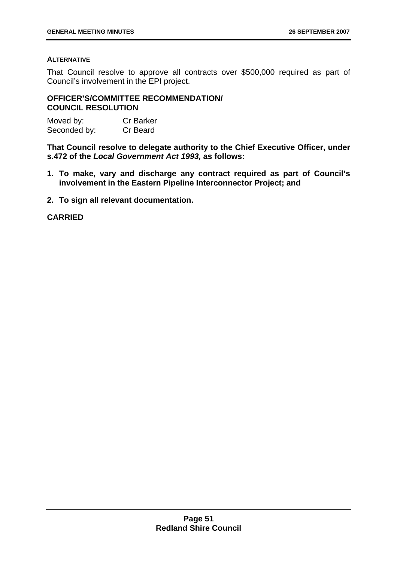#### **ALTERNATIVE**

That Council resolve to approve all contracts over \$500,000 required as part of Council's involvement in the EPI project.

## **OFFICER'S/COMMITTEE RECOMMENDATION/ COUNCIL RESOLUTION**

| Moved by:    | Cr Barker       |
|--------------|-----------------|
| Seconded by: | <b>Cr Beard</b> |

**That Council resolve to delegate authority to the Chief Executive Officer, under s.472 of the** *Local Government Act 1993,* **as follows:** 

- **1. To make, vary and discharge any contract required as part of Council's involvement in the Eastern Pipeline Interconnector Project; and**
- **2. To sign all relevant documentation.**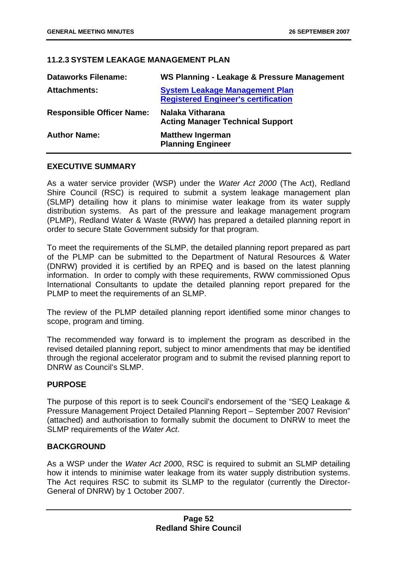# **11.2.3 SYSTEM LEAKAGE MANAGEMENT PLAN**

| <b>Dataworks Filename:</b>       | WS Planning - Leakage & Pressure Management                                         |
|----------------------------------|-------------------------------------------------------------------------------------|
| <b>Attachments:</b>              | <b>System Leakage Management Plan</b><br><b>Registered Engineer's certification</b> |
| <b>Responsible Officer Name:</b> | Nalaka Vitharana<br><b>Acting Manager Technical Support</b>                         |
| <b>Author Name:</b>              | <b>Matthew Ingerman</b><br><b>Planning Engineer</b>                                 |

## **EXECUTIVE SUMMARY**

As a water service provider (WSP) under the *Water Act 2000* (The Act), Redland Shire Council (RSC) is required to submit a system leakage management plan (SLMP) detailing how it plans to minimise water leakage from its water supply distribution systems. As part of the pressure and leakage management program (PLMP), Redland Water & Waste (RWW) has prepared a detailed planning report in order to secure State Government subsidy for that program.

To meet the requirements of the SLMP, the detailed planning report prepared as part of the PLMP can be submitted to the Department of Natural Resources & Water (DNRW) provided it is certified by an RPEQ and is based on the latest planning information. In order to comply with these requirements, RWW commissioned Opus International Consultants to update the detailed planning report prepared for the PLMP to meet the requirements of an SLMP.

The review of the PLMP detailed planning report identified some minor changes to scope, program and timing.

The recommended way forward is to implement the program as described in the revised detailed planning report, subject to minor amendments that may be identified through the regional accelerator program and to submit the revised planning report to DNRW as Council's SLMP.

## **PURPOSE**

The purpose of this report is to seek Council's endorsement of the "SEQ Leakage & Pressure Management Project Detailed Planning Report – September 2007 Revision" (attached) and authorisation to formally submit the document to DNRW to meet the SLMP requirements of the *Water Act*.

## **BACKGROUND**

As a WSP under the *Water Act 200*0, RSC is required to submit an SLMP detailing how it intends to minimise water leakage from its water supply distribution systems. The Act requires RSC to submit its SLMP to the regulator (currently the Director-General of DNRW) by 1 October 2007.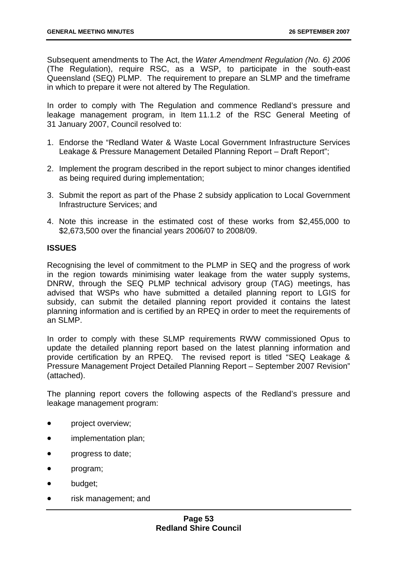Subsequent amendments to The Act, the *Water Amendment Regulation (No. 6) 2006* (The Regulation), require RSC, as a WSP, to participate in the south-east Queensland (SEQ) PLMP. The requirement to prepare an SLMP and the timeframe in which to prepare it were not altered by The Regulation.

In order to comply with The Regulation and commence Redland's pressure and leakage management program, in Item 11.1.2 of the RSC General Meeting of 31 January 2007, Council resolved to:

- 1. Endorse the "Redland Water & Waste Local Government Infrastructure Services Leakage & Pressure Management Detailed Planning Report - Draft Report";
- 2. Implement the program described in the report subject to minor changes identified as being required during implementation;
- 3. Submit the report as part of the Phase 2 subsidy application to Local Government Infrastructure Services; and
- 4. Note this increase in the estimated cost of these works from \$2,455,000 to \$2,673,500 over the financial years 2006/07 to 2008/09.

# **ISSUES**

Recognising the level of commitment to the PLMP in SEQ and the progress of work in the region towards minimising water leakage from the water supply systems, DNRW, through the SEQ PLMP technical advisory group (TAG) meetings, has advised that WSPs who have submitted a detailed planning report to LGIS for subsidy, can submit the detailed planning report provided it contains the latest planning information and is certified by an RPEQ in order to meet the requirements of an SLMP.

In order to comply with these SLMP requirements RWW commissioned Opus to update the detailed planning report based on the latest planning information and provide certification by an RPEQ. The revised report is titled "SEQ Leakage & Pressure Management Project Detailed Planning Report – September 2007 Revision" (attached).

The planning report covers the following aspects of the Redland's pressure and leakage management program:

- project overview;
- implementation plan;
- **progress to date;**
- program;
- budget;
- risk management; and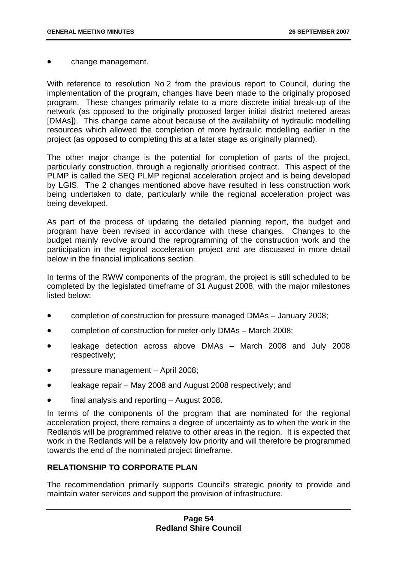• change management.

With reference to resolution No 2 from the previous report to Council, during the implementation of the program, changes have been made to the originally proposed program. These changes primarily relate to a more discrete initial break-up of the network (as opposed to the originally proposed larger initial district metered areas [DMAs]). This change came about because of the availability of hydraulic modelling resources which allowed the completion of more hydraulic modelling earlier in the project (as opposed to completing this at a later stage as originally planned).

The other major change is the potential for completion of parts of the project, particularly construction, through a regionally prioritised contract. This aspect of the PLMP is called the SEQ PLMP regional acceleration project and is being developed by LGIS. The 2 changes mentioned above have resulted in less construction work being undertaken to date, particularly while the regional acceleration project was being developed.

As part of the process of updating the detailed planning report, the budget and program have been revised in accordance with these changes. Changes to the budget mainly revolve around the reprogramming of the construction work and the participation in the regional acceleration project and are discussed in more detail below in the financial implications section.

In terms of the RWW components of the program, the project is still scheduled to be completed by the legislated timeframe of 31 August 2008, with the major milestones listed below:

- completion of construction for pressure managed DMAs January 2008;
- completion of construction for meter-only DMAs March 2008;
- leakage detection across above DMAs March 2008 and July 2008 respectively;
- pressure management April 2008;
- leakage repair May 2008 and August 2008 respectively; and
- final analysis and reporting August 2008.

In terms of the components of the program that are nominated for the regional acceleration project, there remains a degree of uncertainty as to when the work in the Redlands will be programmed relative to other areas in the region. It is expected that work in the Redlands will be a relatively low priority and will therefore be programmed towards the end of the nominated project timeframe.

# **RELATIONSHIP TO CORPORATE PLAN**

The recommendation primarily supports Council's strategic priority to provide and maintain water services and support the provision of infrastructure.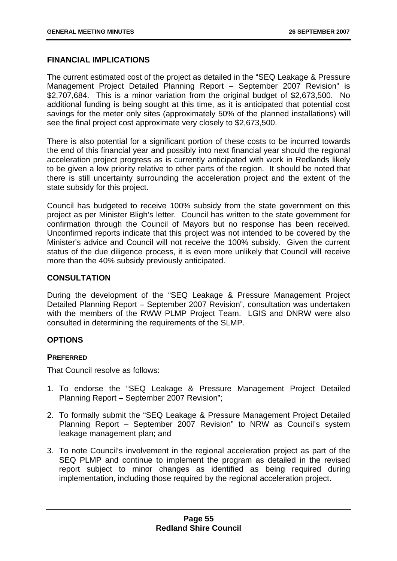# **FINANCIAL IMPLICATIONS**

The current estimated cost of the project as detailed in the "SEQ Leakage & Pressure Management Project Detailed Planning Report - September 2007 Revision" is \$2,707,684. This is a minor variation from the original budget of \$2,673,500. No additional funding is being sought at this time, as it is anticipated that potential cost savings for the meter only sites (approximately 50% of the planned installations) will see the final project cost approximate very closely to \$2,673,500.

There is also potential for a significant portion of these costs to be incurred towards the end of this financial year and possibly into next financial year should the regional acceleration project progress as is currently anticipated with work in Redlands likely to be given a low priority relative to other parts of the region. It should be noted that there is still uncertainty surrounding the acceleration project and the extent of the state subsidy for this project.

Council has budgeted to receive 100% subsidy from the state government on this project as per Minister Bligh's letter. Council has written to the state government for confirmation through the Council of Mayors but no response has been received. Unconfirmed reports indicate that this project was not intended to be covered by the Minister's advice and Council will not receive the 100% subsidy. Given the current status of the due diligence process, it is even more unlikely that Council will receive more than the 40% subsidy previously anticipated.

# **CONSULTATION**

During the development of the "SEQ Leakage & Pressure Management Project Detailed Planning Report – September 2007 Revision", consultation was undertaken with the members of the RWW PLMP Project Team. LGIS and DNRW were also consulted in determining the requirements of the SLMP.

## **OPTIONS**

## **PREFERRED**

That Council resolve as follows:

- 1. To endorse the "SEQ Leakage & Pressure Management Project Detailed Planning Report – September 2007 Revision";
- 2. To formally submit the "SEQ Leakage & Pressure Management Project Detailed Planning Report – September 2007 Revision" to NRW as Council's system leakage management plan; and
- 3. To note Council's involvement in the regional acceleration project as part of the SEQ PLMP and continue to implement the program as detailed in the revised report subject to minor changes as identified as being required during implementation, including those required by the regional acceleration project.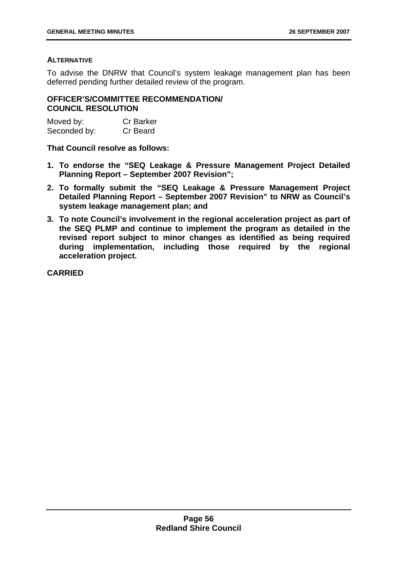# **ALTERNATIVE**

To advise the DNRW that Council's system leakage management plan has been deferred pending further detailed review of the program.

# **OFFICER'S/COMMITTEE RECOMMENDATION/ COUNCIL RESOLUTION**

| Moved by:    | <b>Cr Barker</b> |
|--------------|------------------|
| Seconded by: | Cr Beard         |

**That Council resolve as follows:** 

- **1. To endorse the "SEQ Leakage & Pressure Management Project Detailed Planning Report – September 2007 Revision";**
- **2. To formally submit the "SEQ Leakage & Pressure Management Project Detailed Planning Report – September 2007 Revision" to NRW as Council's system leakage management plan; and**
- **3. To note Council's involvement in the regional acceleration project as part of the SEQ PLMP and continue to implement the program as detailed in the revised report subject to minor changes as identified as being required during implementation, including those required by the regional acceleration project.**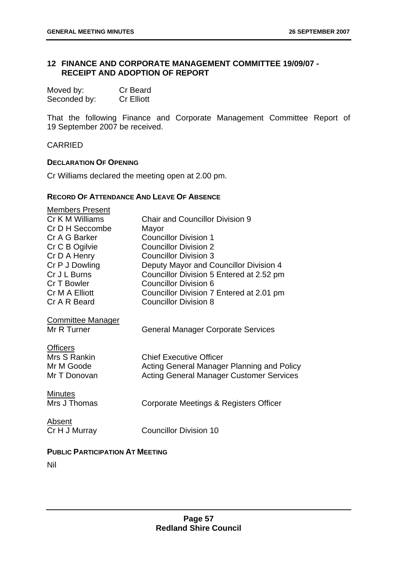# **12 FINANCE AND CORPORATE MANAGEMENT COMMITTEE 19/09/07 - RECEIPT AND ADOPTION OF REPORT**

| Moved by:    | <b>Cr</b> Beard   |
|--------------|-------------------|
| Seconded by: | <b>Cr Elliott</b> |

That the following Finance and Corporate Management Committee Report of 19 September 2007 be received.

CARRIED

#### **DECLARATION OF OPENING**

Cr Williams declared the meeting open at 2.00 pm.

#### **RECORD OF ATTENDANCE AND LEAVE OF ABSENCE**

| <b>Members Present</b>                 |                                                 |
|----------------------------------------|-------------------------------------------------|
| Cr K M Williams                        | <b>Chair and Councillor Division 9</b>          |
| Cr D H Seccombe                        | Mayor                                           |
| Cr A G Barker                          | <b>Councillor Division 1</b>                    |
| Cr C B Ogilvie                         | <b>Councillor Division 2</b>                    |
| Cr D A Henry                           | <b>Councillor Division 3</b>                    |
| Cr P J Dowling                         | Deputy Mayor and Councillor Division 4          |
| Cr J L Burns                           | Councillor Division 5 Entered at 2.52 pm        |
| Cr T Bowler                            | <b>Councillor Division 6</b>                    |
| Cr M A Elliott                         | Councillor Division 7 Entered at 2.01 pm        |
| Cr A R Beard                           | <b>Councillor Division 8</b>                    |
| <b>Committee Manager</b>               |                                                 |
| Mr R Turner                            | <b>General Manager Corporate Services</b>       |
| <b>Officers</b>                        |                                                 |
| Mrs S Rankin                           | <b>Chief Executive Officer</b>                  |
| Mr M Goode                             | Acting General Manager Planning and Policy      |
| Mr T Donovan                           | <b>Acting General Manager Customer Services</b> |
| <b>Minutes</b>                         |                                                 |
| Mrs J Thomas                           | Corporate Meetings & Registers Officer          |
|                                        |                                                 |
| <b>Absent</b>                          |                                                 |
| Cr H J Murray                          | <b>Councillor Division 10</b>                   |
| <b>PUBLIC PARTICIPATION AT MEETING</b> |                                                 |
|                                        |                                                 |

Nil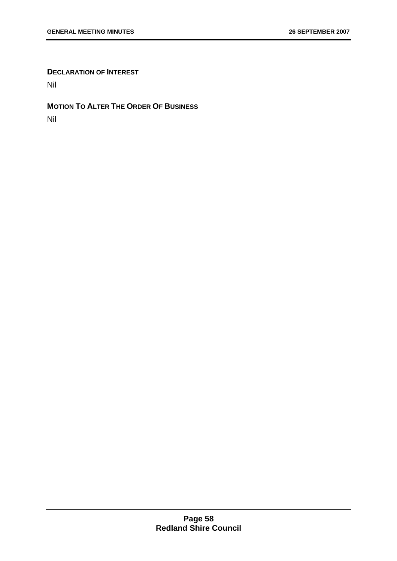# **DECLARATION OF INTEREST**

Nil

# **MOTION TO ALTER THE ORDER OF BUSINESS**

Nil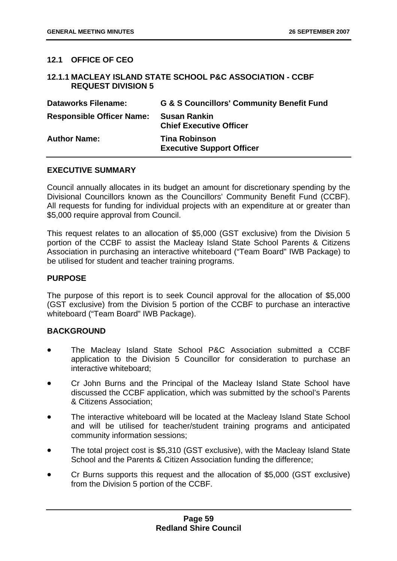## **12.1 OFFICE OF CEO**

# **12.1.1 MACLEAY ISLAND STATE SCHOOL P&C ASSOCIATION - CCBF REQUEST DIVISION 5**

| <b>Dataworks Filename:</b>       | <b>G &amp; S Councillors' Community Benefit Fund</b>     |
|----------------------------------|----------------------------------------------------------|
| <b>Responsible Officer Name:</b> | <b>Susan Rankin</b><br><b>Chief Executive Officer</b>    |
| <b>Author Name:</b>              | <b>Tina Robinson</b><br><b>Executive Support Officer</b> |

## **EXECUTIVE SUMMARY**

Council annually allocates in its budget an amount for discretionary spending by the Divisional Councillors known as the Councillors' Community Benefit Fund (CCBF). All requests for funding for individual projects with an expenditure at or greater than \$5,000 require approval from Council.

This request relates to an allocation of \$5,000 (GST exclusive) from the Division 5 portion of the CCBF to assist the Macleay Island State School Parents & Citizens Association in purchasing an interactive whiteboard ("Team Board" IWB Package) to be utilised for student and teacher training programs.

#### **PURPOSE**

The purpose of this report is to seek Council approval for the allocation of \$5,000 (GST exclusive) from the Division 5 portion of the CCBF to purchase an interactive whiteboard ("Team Board" IWB Package).

## **BACKGROUND**

- The Macleay Island State School P&C Association submitted a CCBF application to the Division 5 Councillor for consideration to purchase an interactive whiteboard;
- Cr John Burns and the Principal of the Macleay Island State School have discussed the CCBF application, which was submitted by the school's Parents & Citizens Association;
- The interactive whiteboard will be located at the Macleay Island State School and will be utilised for teacher/student training programs and anticipated community information sessions;
- The total project cost is \$5,310 (GST exclusive), with the Macleay Island State School and the Parents & Citizen Association funding the difference;
- Cr Burns supports this request and the allocation of \$5,000 (GST exclusive) from the Division 5 portion of the CCBF.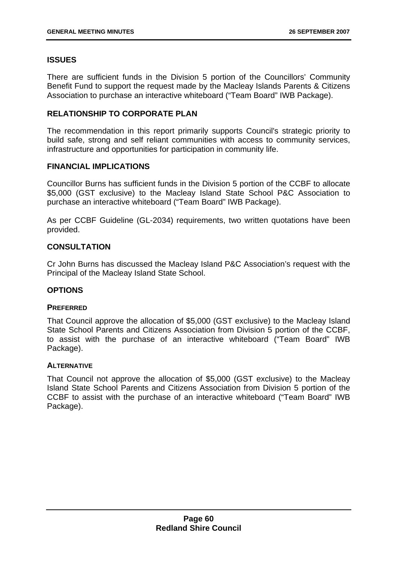# **ISSUES**

There are sufficient funds in the Division 5 portion of the Councillors' Community Benefit Fund to support the request made by the Macleay Islands Parents & Citizens Association to purchase an interactive whiteboard ("Team Board" IWB Package).

# **RELATIONSHIP TO CORPORATE PLAN**

The recommendation in this report primarily supports Council's strategic priority to build safe, strong and self reliant communities with access to community services, infrastructure and opportunities for participation in community life.

# **FINANCIAL IMPLICATIONS**

Councillor Burns has sufficient funds in the Division 5 portion of the CCBF to allocate \$5,000 (GST exclusive) to the Macleay Island State School P&C Association to purchase an interactive whiteboard ("Team Board" IWB Package).

As per CCBF Guideline (GL-2034) requirements, two written quotations have been provided.

# **CONSULTATION**

Cr John Burns has discussed the Macleay Island P&C Association's request with the Principal of the Macleay Island State School.

# **OPTIONS**

## **PREFERRED**

That Council approve the allocation of \$5,000 (GST exclusive) to the Macleay Island State School Parents and Citizens Association from Division 5 portion of the CCBF, to assist with the purchase of an interactive whiteboard ("Team Board" IWB Package).

## **ALTERNATIVE**

That Council not approve the allocation of \$5,000 (GST exclusive) to the Macleay Island State School Parents and Citizens Association from Division 5 portion of the CCBF to assist with the purchase of an interactive whiteboard ("Team Board" IWB Package).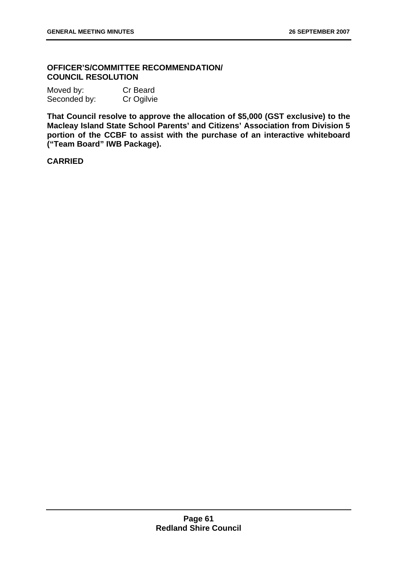# **OFFICER'S/COMMITTEE RECOMMENDATION/ COUNCIL RESOLUTION**

| Moved by:    | <b>Cr Beard</b> |
|--------------|-----------------|
| Seconded by: | Cr Ogilvie      |

**That Council resolve to approve the allocation of \$5,000 (GST exclusive) to the Macleay Island State School Parents' and Citizens' Association from Division 5 portion of the CCBF to assist with the purchase of an interactive whiteboard ("Team Board" IWB Package).**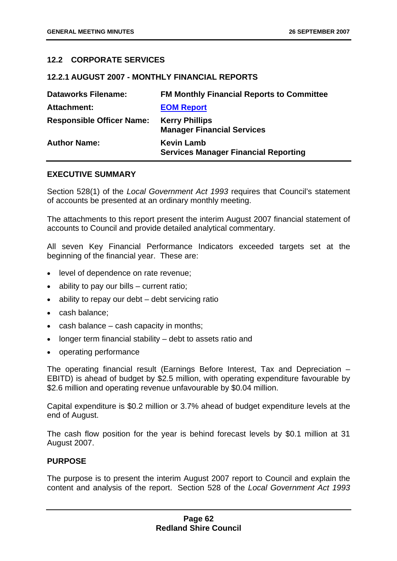# **12.2 CORPORATE SERVICES**

#### **12.2.1 AUGUST 2007 - MONTHLY FINANCIAL REPORTS**

| <b>Dataworks Filename:</b>       | <b>FM Monthly Financial Reports to Committee</b>                 |
|----------------------------------|------------------------------------------------------------------|
| <b>Attachment:</b>               | <b>EOM Report</b>                                                |
| <b>Responsible Officer Name:</b> | <b>Kerry Phillips</b><br><b>Manager Financial Services</b>       |
| <b>Author Name:</b>              | <b>Kevin Lamb</b><br><b>Services Manager Financial Reporting</b> |

## **EXECUTIVE SUMMARY**

Section 528(1) of the *Local Government Act 1993* requires that Council's statement of accounts be presented at an ordinary monthly meeting.

The attachments to this report present the interim August 2007 financial statement of accounts to Council and provide detailed analytical commentary.

All seven Key Financial Performance Indicators exceeded targets set at the beginning of the financial year. These are:

- level of dependence on rate revenue;
- ability to pay our bills  $-$  current ratio;
- ability to repay our debt debt servicing ratio
- cash balance;
- cash balance cash capacity in months;
- longer term financial stability debt to assets ratio and
- operating performance

The operating financial result (Earnings Before Interest, Tax and Depreciation – EBITD) is ahead of budget by \$2.5 million, with operating expenditure favourable by \$2.6 million and operating revenue unfavourable by \$0.04 million.

Capital expenditure is \$0.2 million or 3.7% ahead of budget expenditure levels at the end of August.

The cash flow position for the year is behind forecast levels by \$0.1 million at 31 August 2007.

#### **PURPOSE**

The purpose is to present the interim August 2007 report to Council and explain the content and analysis of the report. Section 528 of the *Local Government Act 1993*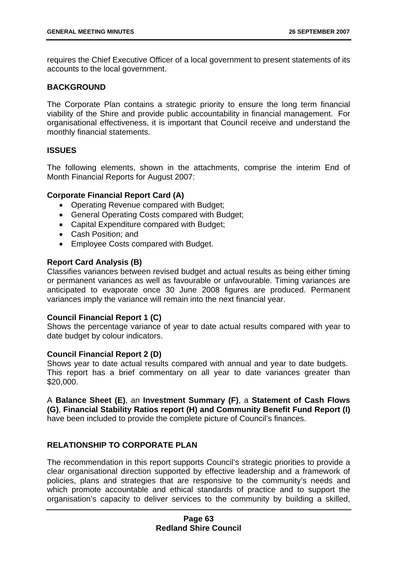requires the Chief Executive Officer of a local government to present statements of its accounts to the local government.

## **BACKGROUND**

The Corporate Plan contains a strategic priority to ensure the long term financial viability of the Shire and provide public accountability in financial management. For organisational effectiveness, it is important that Council receive and understand the monthly financial statements.

# **ISSUES**

The following elements, shown in the attachments, comprise the interim End of Month Financial Reports for August 2007:

# **Corporate Financial Report Card (A)**

- Operating Revenue compared with Budget;
- General Operating Costs compared with Budget;
- Capital Expenditure compared with Budget;
- Cash Position; and
- Employee Costs compared with Budget.

# **Report Card Analysis (B)**

Classifies variances between revised budget and actual results as being either timing or permanent variances as well as favourable or unfavourable. Timing variances are anticipated to evaporate once 30 June 2008 figures are produced. Permanent variances imply the variance will remain into the next financial year.

## **Council Financial Report 1 (C)**

Shows the percentage variance of year to date actual results compared with year to date budget by colour indicators.

## **Council Financial Report 2 (D)**

Shows year to date actual results compared with annual and year to date budgets. This report has a brief commentary on all year to date variances greater than \$20,000.

## A **Balance Sheet (E)**, an **Investment Summary (F)**, a **Statement of Cash Flows (G)**, **Financial Stability Ratios report (H) and Community Benefit Fund Report (I)**  have been included to provide the complete picture of Council's finances.

# **RELATIONSHIP TO CORPORATE PLAN**

The recommendation in this report supports Council's strategic priorities to provide a clear organisational direction supported by effective leadership and a framework of policies, plans and strategies that are responsive to the community's needs and which promote accountable and ethical standards of practice and to support the organisation's capacity to deliver services to the community by building a skilled,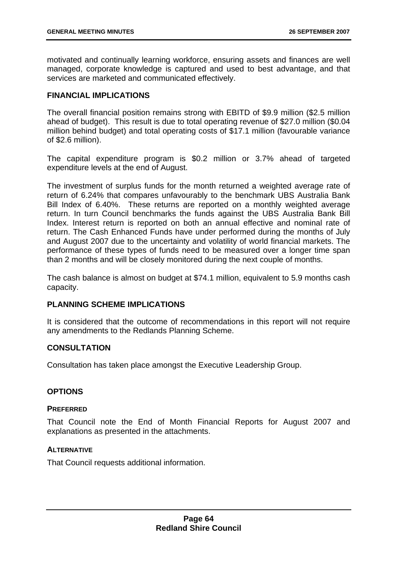motivated and continually learning workforce, ensuring assets and finances are well managed, corporate knowledge is captured and used to best advantage, and that services are marketed and communicated effectively.

# **FINANCIAL IMPLICATIONS**

The overall financial position remains strong with EBITD of \$9.9 million (\$2.5 million ahead of budget). This result is due to total operating revenue of \$27.0 million (\$0.04 million behind budget) and total operating costs of \$17.1 million (favourable variance of \$2.6 million).

The capital expenditure program is \$0.2 million or 3.7% ahead of targeted expenditure levels at the end of August.

The investment of surplus funds for the month returned a weighted average rate of return of 6.24% that compares unfavourably to the benchmark UBS Australia Bank Bill Index of 6.40%. These returns are reported on a monthly weighted average return. In turn Council benchmarks the funds against the UBS Australia Bank Bill Index. Interest return is reported on both an annual effective and nominal rate of return. The Cash Enhanced Funds have under performed during the months of July and August 2007 due to the uncertainty and volatility of world financial markets. The performance of these types of funds need to be measured over a longer time span than 2 months and will be closely monitored during the next couple of months.

The cash balance is almost on budget at \$74.1 million, equivalent to 5.9 months cash capacity.

# **PLANNING SCHEME IMPLICATIONS**

It is considered that the outcome of recommendations in this report will not require any amendments to the Redlands Planning Scheme.

## **CONSULTATION**

Consultation has taken place amongst the Executive Leadership Group.

## **OPTIONS**

## **PREFERRED**

That Council note the End of Month Financial Reports for August 2007 and explanations as presented in the attachments.

## **ALTERNATIVE**

That Council requests additional information.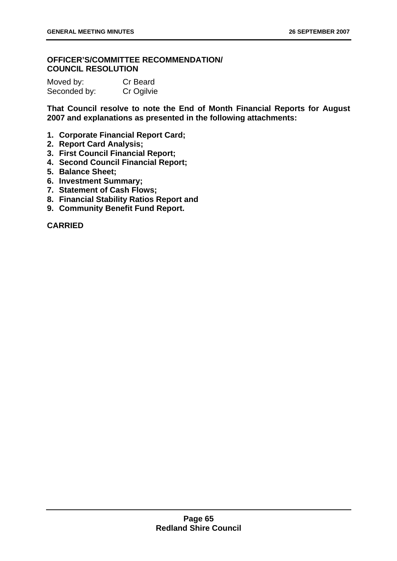# **OFFICER'S/COMMITTEE RECOMMENDATION/ COUNCIL RESOLUTION**

| Moved by:    | <b>Cr Beard</b> |
|--------------|-----------------|
| Seconded by: | Cr Ogilvie      |

**That Council resolve to note the End of Month Financial Reports for August 2007 and explanations as presented in the following attachments:** 

- **1. Corporate Financial Report Card;**
- **2. Report Card Analysis;**
- **3. First Council Financial Report;**
- **4. Second Council Financial Report;**
- **5. Balance Sheet;**
- **6. Investment Summary;**
- **7. Statement of Cash Flows;**
- **8. Financial Stability Ratios Report and**
- **9. Community Benefit Fund Report.**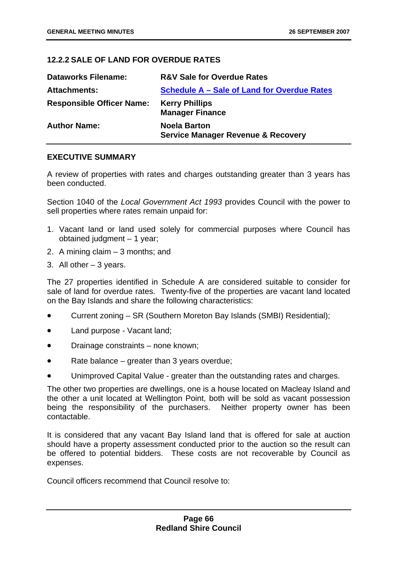# **12.2.2 SALE OF LAND FOR OVERDUE RATES**

| <b>Dataworks Filename:</b>       | <b>R&amp;V Sale for Overdue Rates</b>                                |
|----------------------------------|----------------------------------------------------------------------|
| <b>Attachments:</b>              | Schedule A - Sale of Land for Overdue Rates                          |
| <b>Responsible Officer Name:</b> | <b>Kerry Phillips</b><br><b>Manager Finance</b>                      |
| <b>Author Name:</b>              | <b>Noela Barton</b><br><b>Service Manager Revenue &amp; Recovery</b> |

## **EXECUTIVE SUMMARY**

A review of properties with rates and charges outstanding greater than 3 years has been conducted.

Section 1040 of the *Local Government Act 1993* provides Council with the power to sell properties where rates remain unpaid for:

- 1. Vacant land or land used solely for commercial purposes where Council has obtained judgment – 1 year;
- 2. A mining claim 3 months; and
- 3. All other 3 years.

The 27 properties identified in Schedule A are considered suitable to consider for sale of land for overdue rates. Twenty-five of the properties are vacant land located on the Bay Islands and share the following characteristics:

- Current zoning SR (Southern Moreton Bay Islands (SMBI) Residential);
- Land purpose Vacant land;
- Drainage constraints none known;
- Rate balance greater than 3 years overdue;
- Unimproved Capital Value greater than the outstanding rates and charges.

The other two properties are dwellings, one is a house located on Macleay Island and the other a unit located at Wellington Point, both will be sold as vacant possession being the responsibility of the purchasers. Neither property owner has been contactable.

It is considered that any vacant Bay Island land that is offered for sale at auction should have a property assessment conducted prior to the auction so the result can be offered to potential bidders. These costs are not recoverable by Council as expenses.

Council officers recommend that Council resolve to: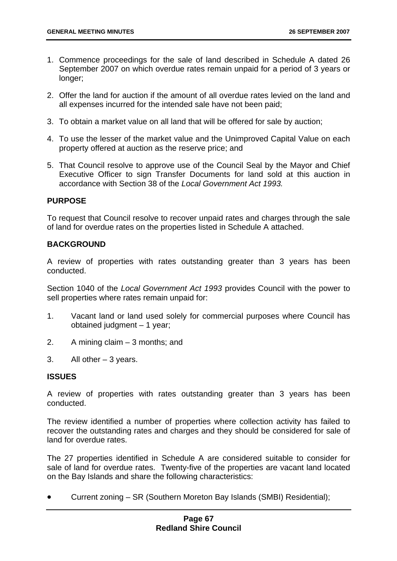- 1. Commence proceedings for the sale of land described in Schedule A dated 26 September 2007 on which overdue rates remain unpaid for a period of 3 years or longer;
- 2. Offer the land for auction if the amount of all overdue rates levied on the land and all expenses incurred for the intended sale have not been paid;
- 3. To obtain a market value on all land that will be offered for sale by auction;
- 4. To use the lesser of the market value and the Unimproved Capital Value on each property offered at auction as the reserve price; and
- 5. That Council resolve to approve use of the Council Seal by the Mayor and Chief Executive Officer to sign Transfer Documents for land sold at this auction in accordance with Section 38 of the *Local Government Act 1993.*

# **PURPOSE**

To request that Council resolve to recover unpaid rates and charges through the sale of land for overdue rates on the properties listed in Schedule A attached.

# **BACKGROUND**

A review of properties with rates outstanding greater than 3 years has been conducted.

Section 1040 of the *Local Government Act 1993* provides Council with the power to sell properties where rates remain unpaid for:

- 1. Vacant land or land used solely for commercial purposes where Council has obtained judgment – 1 year;
- 2. A mining claim 3 months; and
- 3. All other  $-3$  years.

## **ISSUES**

A review of properties with rates outstanding greater than 3 years has been conducted.

The review identified a number of properties where collection activity has failed to recover the outstanding rates and charges and they should be considered for sale of land for overdue rates.

The 27 properties identified in Schedule A are considered suitable to consider for sale of land for overdue rates. Twenty-five of the properties are vacant land located on the Bay Islands and share the following characteristics:

• Current zoning – SR (Southern Moreton Bay Islands (SMBI) Residential);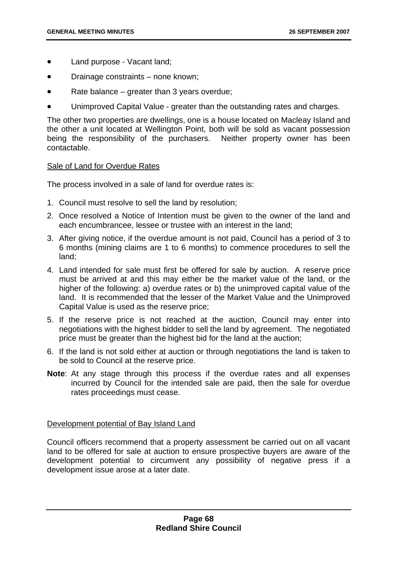- Land purpose Vacant land;
- Drainage constraints none known;
- Rate balance greater than 3 years overdue;
- Unimproved Capital Value greater than the outstanding rates and charges.

The other two properties are dwellings, one is a house located on Macleay Island and the other a unit located at Wellington Point, both will be sold as vacant possession being the responsibility of the purchasers. Neither property owner has been contactable.

## Sale of Land for Overdue Rates

The process involved in a sale of land for overdue rates is:

- 1. Council must resolve to sell the land by resolution;
- 2. Once resolved a Notice of Intention must be given to the owner of the land and each encumbrancee, lessee or trustee with an interest in the land;
- 3. After giving notice, if the overdue amount is not paid, Council has a period of 3 to 6 months (mining claims are 1 to 6 months) to commence procedures to sell the land;
- 4. Land intended for sale must first be offered for sale by auction. A reserve price must be arrived at and this may either be the market value of the land, or the higher of the following: a) overdue rates or b) the unimproved capital value of the land. It is recommended that the lesser of the Market Value and the Unimproved Capital Value is used as the reserve price;
- 5. If the reserve price is not reached at the auction, Council may enter into negotiations with the highest bidder to sell the land by agreement. The negotiated price must be greater than the highest bid for the land at the auction;
- 6. If the land is not sold either at auction or through negotiations the land is taken to be sold to Council at the reserve price.
- **Note**: At any stage through this process if the overdue rates and all expenses incurred by Council for the intended sale are paid, then the sale for overdue rates proceedings must cease.

#### Development potential of Bay Island Land

Council officers recommend that a property assessment be carried out on all vacant land to be offered for sale at auction to ensure prospective buyers are aware of the development potential to circumvent any possibility of negative press if a development issue arose at a later date.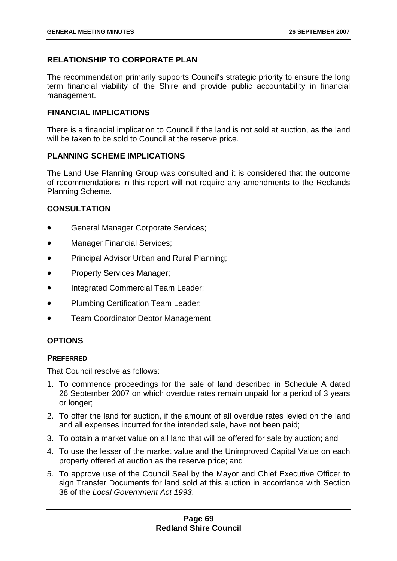# **RELATIONSHIP TO CORPORATE PLAN**

The recommendation primarily supports Council's strategic priority to ensure the long term financial viability of the Shire and provide public accountability in financial management.

# **FINANCIAL IMPLICATIONS**

There is a financial implication to Council if the land is not sold at auction, as the land will be taken to be sold to Council at the reserve price.

# **PLANNING SCHEME IMPLICATIONS**

The Land Use Planning Group was consulted and it is considered that the outcome of recommendations in this report will not require any amendments to the Redlands Planning Scheme.

# **CONSULTATION**

- General Manager Corporate Services;
- Manager Financial Services;
- Principal Advisor Urban and Rural Planning;
- Property Services Manager;
- Integrated Commercial Team Leader:
- Plumbing Certification Team Leader;
- Team Coordinator Debtor Management.

# **OPTIONS**

# **PREFERRED**

That Council resolve as follows:

- 1. To commence proceedings for the sale of land described in Schedule A dated 26 September 2007 on which overdue rates remain unpaid for a period of 3 years or longer;
- 2. To offer the land for auction, if the amount of all overdue rates levied on the land and all expenses incurred for the intended sale, have not been paid;
- 3. To obtain a market value on all land that will be offered for sale by auction; and
- 4. To use the lesser of the market value and the Unimproved Capital Value on each property offered at auction as the reserve price; and
- 5. To approve use of the Council Seal by the Mayor and Chief Executive Officer to sign Transfer Documents for land sold at this auction in accordance with Section 38 of the *Local Government Act 1993*.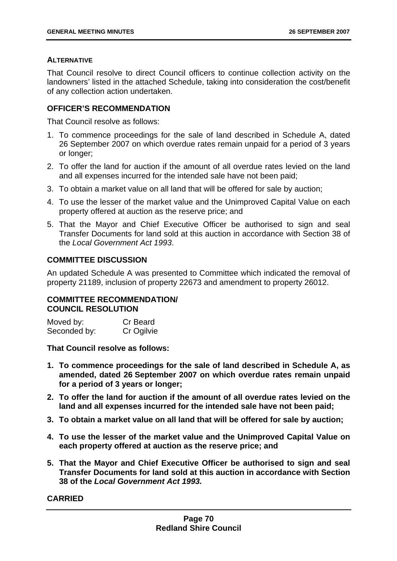# **ALTERNATIVE**

That Council resolve to direct Council officers to continue collection activity on the landowners' listed in the attached Schedule, taking into consideration the cost/benefit of any collection action undertaken.

# **OFFICER'S RECOMMENDATION**

That Council resolve as follows:

- 1. To commence proceedings for the sale of land described in Schedule A, dated 26 September 2007 on which overdue rates remain unpaid for a period of 3 years or longer;
- 2. To offer the land for auction if the amount of all overdue rates levied on the land and all expenses incurred for the intended sale have not been paid;
- 3. To obtain a market value on all land that will be offered for sale by auction;
- 4. To use the lesser of the market value and the Unimproved Capital Value on each property offered at auction as the reserve price; and
- 5. That the Mayor and Chief Executive Officer be authorised to sign and seal Transfer Documents for land sold at this auction in accordance with Section 38 of the *Local Government Act 1993*.

# **COMMITTEE DISCUSSION**

An updated Schedule A was presented to Committee which indicated the removal of property 21189, inclusion of property 22673 and amendment to property 26012.

# **COMMITTEE RECOMMENDATION/ COUNCIL RESOLUTION**

Moved by: Cr Beard Seconded by: Cr Ogilvie

**That Council resolve as follows:** 

- **1. To commence proceedings for the sale of land described in Schedule A, as amended, dated 26 September 2007 on which overdue rates remain unpaid for a period of 3 years or longer;**
- **2. To offer the land for auction if the amount of all overdue rates levied on the land and all expenses incurred for the intended sale have not been paid;**
- **3. To obtain a market value on all land that will be offered for sale by auction;**
- **4. To use the lesser of the market value and the Unimproved Capital Value on each property offered at auction as the reserve price; and**
- **5. That the Mayor and Chief Executive Officer be authorised to sign and seal Transfer Documents for land sold at this auction in accordance with Section 38 of the** *Local Government Act 1993.*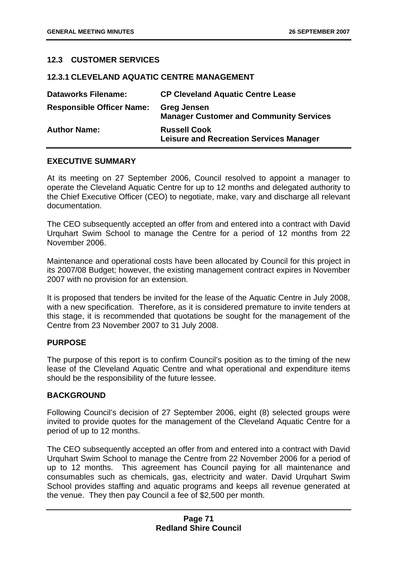# **12.3 CUSTOMER SERVICES**

## **12.3.1 CLEVELAND AQUATIC CENTRE MANAGEMENT**

| <b>Dataworks Filename:</b>       | <b>CP Cleveland Aquatic Centre Lease</b>                              |
|----------------------------------|-----------------------------------------------------------------------|
| <b>Responsible Officer Name:</b> | <b>Greg Jensen</b><br><b>Manager Customer and Community Services</b>  |
| <b>Author Name:</b>              | <b>Russell Cook</b><br><b>Leisure and Recreation Services Manager</b> |

## **EXECUTIVE SUMMARY**

At its meeting on 27 September 2006, Council resolved to appoint a manager to operate the Cleveland Aquatic Centre for up to 12 months and delegated authority to the Chief Executive Officer (CEO) to negotiate, make, vary and discharge all relevant documentation.

The CEO subsequently accepted an offer from and entered into a contract with David Urquhart Swim School to manage the Centre for a period of 12 months from 22 November 2006.

Maintenance and operational costs have been allocated by Council for this project in its 2007/08 Budget; however, the existing management contract expires in November 2007 with no provision for an extension.

It is proposed that tenders be invited for the lease of the Aquatic Centre in July 2008, with a new specification. Therefore, as it is considered premature to invite tenders at this stage, it is recommended that quotations be sought for the management of the Centre from 23 November 2007 to 31 July 2008.

## **PURPOSE**

The purpose of this report is to confirm Council's position as to the timing of the new lease of the Cleveland Aquatic Centre and what operational and expenditure items should be the responsibility of the future lessee.

## **BACKGROUND**

Following Council's decision of 27 September 2006, eight (8) selected groups were invited to provide quotes for the management of the Cleveland Aquatic Centre for a period of up to 12 months.

The CEO subsequently accepted an offer from and entered into a contract with David Urquhart Swim School to manage the Centre from 22 November 2006 for a period of up to 12 months. This agreement has Council paying for all maintenance and consumables such as chemicals, gas, electricity and water. David Urquhart Swim School provides staffing and aquatic programs and keeps all revenue generated at the venue. They then pay Council a fee of \$2,500 per month.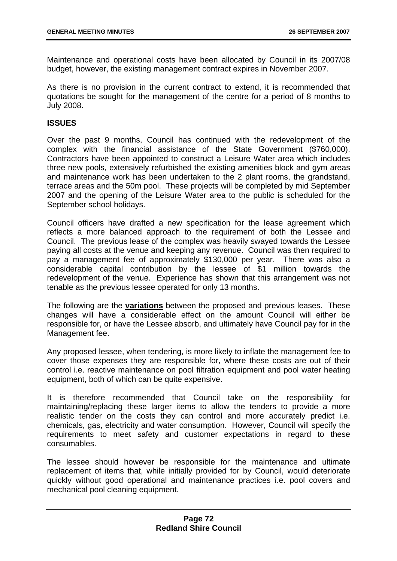Maintenance and operational costs have been allocated by Council in its 2007/08 budget, however, the existing management contract expires in November 2007.

As there is no provision in the current contract to extend, it is recommended that quotations be sought for the management of the centre for a period of 8 months to July 2008.

## **ISSUES**

Over the past 9 months, Council has continued with the redevelopment of the complex with the financial assistance of the State Government (\$760,000). Contractors have been appointed to construct a Leisure Water area which includes three new pools, extensively refurbished the existing amenities block and gym areas and maintenance work has been undertaken to the 2 plant rooms, the grandstand, terrace areas and the 50m pool. These projects will be completed by mid September 2007 and the opening of the Leisure Water area to the public is scheduled for the September school holidays.

Council officers have drafted a new specification for the lease agreement which reflects a more balanced approach to the requirement of both the Lessee and Council. The previous lease of the complex was heavily swayed towards the Lessee paying all costs at the venue and keeping any revenue. Council was then required to pay a management fee of approximately \$130,000 per year. There was also a considerable capital contribution by the lessee of \$1 million towards the redevelopment of the venue. Experience has shown that this arrangement was not tenable as the previous lessee operated for only 13 months.

The following are the **variations** between the proposed and previous leases. These changes will have a considerable effect on the amount Council will either be responsible for, or have the Lessee absorb, and ultimately have Council pay for in the Management fee.

Any proposed lessee, when tendering, is more likely to inflate the management fee to cover those expenses they are responsible for, where these costs are out of their control i.e. reactive maintenance on pool filtration equipment and pool water heating equipment, both of which can be quite expensive.

It is therefore recommended that Council take on the responsibility for maintaining/replacing these larger items to allow the tenders to provide a more realistic tender on the costs they can control and more accurately predict i.e. chemicals, gas, electricity and water consumption. However, Council will specify the requirements to meet safety and customer expectations in regard to these consumables.

The lessee should however be responsible for the maintenance and ultimate replacement of items that, while initially provided for by Council, would deteriorate quickly without good operational and maintenance practices i.e. pool covers and mechanical pool cleaning equipment.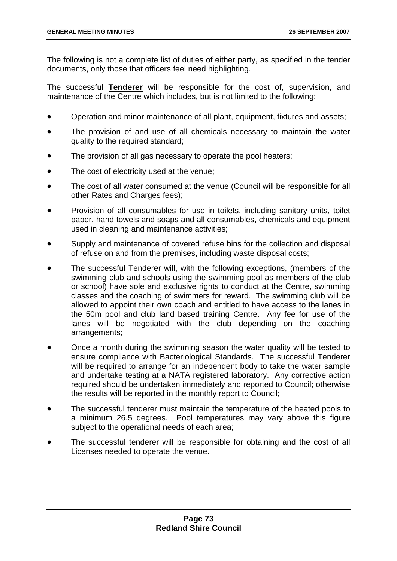The following is not a complete list of duties of either party, as specified in the tender documents, only those that officers feel need highlighting.

The successful **Tenderer** will be responsible for the cost of, supervision, and maintenance of the Centre which includes, but is not limited to the following:

- Operation and minor maintenance of all plant, equipment, fixtures and assets;
- The provision of and use of all chemicals necessary to maintain the water quality to the required standard;
- The provision of all gas necessary to operate the pool heaters;
- The cost of electricity used at the venue;
- The cost of all water consumed at the venue (Council will be responsible for all other Rates and Charges fees);
- Provision of all consumables for use in toilets, including sanitary units, toilet paper, hand towels and soaps and all consumables, chemicals and equipment used in cleaning and maintenance activities;
- Supply and maintenance of covered refuse bins for the collection and disposal of refuse on and from the premises, including waste disposal costs;
- The successful Tenderer will, with the following exceptions, (members of the swimming club and schools using the swimming pool as members of the club or school) have sole and exclusive rights to conduct at the Centre, swimming classes and the coaching of swimmers for reward. The swimming club will be allowed to appoint their own coach and entitled to have access to the lanes in the 50m pool and club land based training Centre. Any fee for use of the lanes will be negotiated with the club depending on the coaching arrangements;
- Once a month during the swimming season the water quality will be tested to ensure compliance with Bacteriological Standards. The successful Tenderer will be required to arrange for an independent body to take the water sample and undertake testing at a NATA registered laboratory. Any corrective action required should be undertaken immediately and reported to Council; otherwise the results will be reported in the monthly report to Council;
- The successful tenderer must maintain the temperature of the heated pools to a minimum 26.5 degrees. Pool temperatures may vary above this figure subject to the operational needs of each area;
- The successful tenderer will be responsible for obtaining and the cost of all Licenses needed to operate the venue.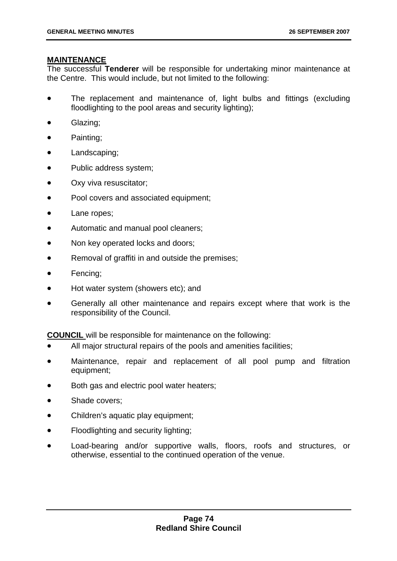### **MAINTENANCE**

The successful **Tenderer** will be responsible for undertaking minor maintenance at the Centre. This would include, but not limited to the following:

- The replacement and maintenance of, light bulbs and fittings (excluding floodlighting to the pool areas and security lighting);
- Glazing;
- Painting;
- Landscaping;
- Public address system;
- Oxy viva resuscitator;
- Pool covers and associated equipment;
- Lane ropes;
- Automatic and manual pool cleaners;
- Non key operated locks and doors;
- Removal of graffiti in and outside the premises;
- Fencing;
- Hot water system (showers etc); and
- Generally all other maintenance and repairs except where that work is the responsibility of the Council.

**COUNCIL** will be responsible for maintenance on the following:

- All major structural repairs of the pools and amenities facilities;
- Maintenance, repair and replacement of all pool pump and filtration equipment;
- Both gas and electric pool water heaters;
- Shade covers:
- Children's aquatic play equipment;
- Floodlighting and security lighting;
- Load-bearing and/or supportive walls, floors, roofs and structures, or otherwise, essential to the continued operation of the venue.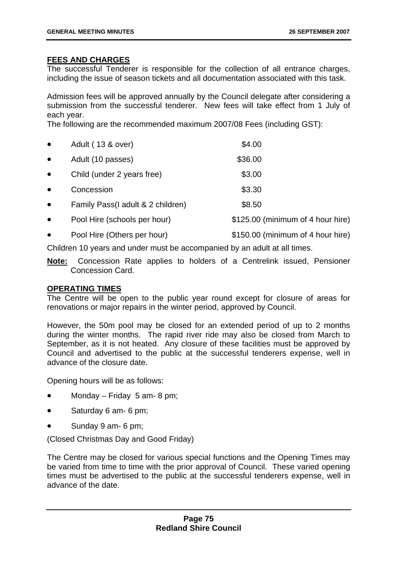## **FEES AND CHARGES**

The successful Tenderer is responsible for the collection of all entrance charges, including the issue of season tickets and all documentation associated with this task.

Admission fees will be approved annually by the Council delegate after considering a submission from the successful tenderer. New fees will take effect from 1 July of each year.

The following are the recommended maximum 2007/08 Fees (including GST):

| $\bullet$ | Adult (13 & over)                 | \$4.00                            |
|-----------|-----------------------------------|-----------------------------------|
| $\bullet$ | Adult (10 passes)                 | \$36.00                           |
| $\bullet$ | Child (under 2 years free)        | \$3.00                            |
| $\bullet$ | Concession                        | \$3.30                            |
| $\bullet$ | Family Pass(I adult & 2 children) | \$8.50                            |
| $\bullet$ | Pool Hire (schools per hour)      | \$125.00 (minimum of 4 hour hire) |

Pool Hire (Others per hour) \$150.00 (minimum of 4 hour hire)

Children 10 years and under must be accompanied by an adult at all times.

**Note:** Concession Rate applies to holders of a Centrelink issued, Pensioner Concession Card.

### **OPERATING TIMES**

The Centre will be open to the public year round except for closure of areas for renovations or major repairs in the winter period, approved by Council.

However, the 50m pool may be closed for an extended period of up to 2 months during the winter months. The rapid river ride may also be closed from March to September, as it is not heated. Any closure of these facilities must be approved by Council and advertised to the public at the successful tenderers expense, well in advance of the closure date.

Opening hours will be as follows:

- Monday Friday  $5$  am-  $8$  pm;
- Saturday 6 am- 6 pm;
- Sunday 9 am- 6 pm;

(Closed Christmas Day and Good Friday)

The Centre may be closed for various special functions and the Opening Times may be varied from time to time with the prior approval of Council. These varied opening times must be advertised to the public at the successful tenderers expense, well in advance of the date.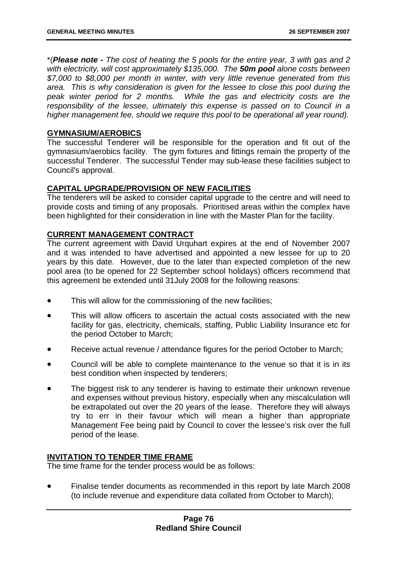\*(*Please note - The cost of heating the 5 pools for the entire year, 3 with gas and 2 with electricity, will cost approximately \$135,000. The 50m pool alone costs between \$7,000 to \$8,000 per month in winter, with very little revenue generated from this area. This is why consideration is given for the lessee to close this pool during the peak winter period for 2 months. While the gas and electricity costs are the responsibility of the lessee, ultimately this expense is passed on to Council in a higher management fee, should we require this pool to be operational all year round).* 

# **GYMNASIUM/AEROBICS**

The successful Tenderer will be responsible for the operation and fit out of the gymnasium/aerobics facility. The gym fixtures and fittings remain the property of the successful Tenderer. The successful Tender may sub-lease these facilities subject to Council's approval.

## **CAPITAL UPGRADE/PROVISION OF NEW FACILITIES**

The tenderers will be asked to consider capital upgrade to the centre and will need to provide costs and timing of any proposals. Prioritised areas within the complex have been highlighted for their consideration in line with the Master Plan for the facility.

# **CURRENT MANAGEMENT CONTRACT**

The current agreement with David Urquhart expires at the end of November 2007 and it was intended to have advertised and appointed a new lessee for up to 20 years by this date. However, due to the later than expected completion of the new pool area (to be opened for 22 September school holidays) officers recommend that this agreement be extended until 31July 2008 for the following reasons:

- This will allow for the commissioning of the new facilities;
- This will allow officers to ascertain the actual costs associated with the new facility for gas, electricity, chemicals, staffing, Public Liability Insurance etc for the period October to March;
- Receive actual revenue / attendance figures for the period October to March;
- Council will be able to complete maintenance to the venue so that it is in its best condition when inspected by tenderers;
- The biggest risk to any tenderer is having to estimate their unknown revenue and expenses without previous history, especially when any miscalculation will be extrapolated out over the 20 years of the lease. Therefore they will always try to err in their favour which will mean a higher than appropriate Management Fee being paid by Council to cover the lessee's risk over the full period of the lease.

### **INVITATION TO TENDER TIME FRAME**

The time frame for the tender process would be as follows:

• Finalise tender documents as recommended in this report by late March 2008 (to include revenue and expenditure data collated from October to March);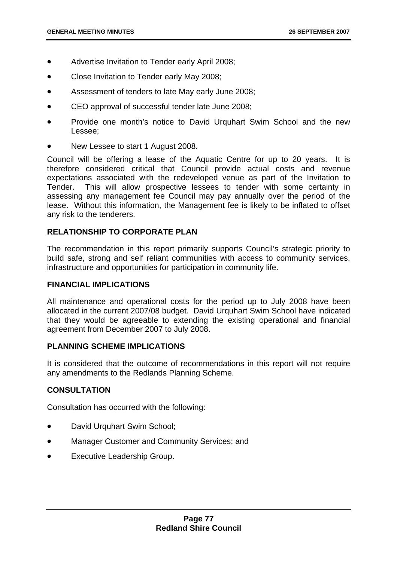- Advertise Invitation to Tender early April 2008;
- Close Invitation to Tender early May 2008;
- Assessment of tenders to late May early June 2008;
- CEO approval of successful tender late June 2008;
- Provide one month's notice to David Urquhart Swim School and the new Lessee;
- New Lessee to start 1 August 2008.

Council will be offering a lease of the Aquatic Centre for up to 20 years. It is therefore considered critical that Council provide actual costs and revenue expectations associated with the redeveloped venue as part of the Invitation to Tender. This will allow prospective lessees to tender with some certainty in assessing any management fee Council may pay annually over the period of the lease. Without this information, the Management fee is likely to be inflated to offset any risk to the tenderers.

## **RELATIONSHIP TO CORPORATE PLAN**

The recommendation in this report primarily supports Council's strategic priority to build safe, strong and self reliant communities with access to community services, infrastructure and opportunities for participation in community life.

### **FINANCIAL IMPLICATIONS**

All maintenance and operational costs for the period up to July 2008 have been allocated in the current 2007/08 budget. David Urquhart Swim School have indicated that they would be agreeable to extending the existing operational and financial agreement from December 2007 to July 2008.

## **PLANNING SCHEME IMPLICATIONS**

It is considered that the outcome of recommendations in this report will not require any amendments to the Redlands Planning Scheme.

# **CONSULTATION**

Consultation has occurred with the following:

- David Urquhart Swim School;
- Manager Customer and Community Services; and
- Executive Leadership Group.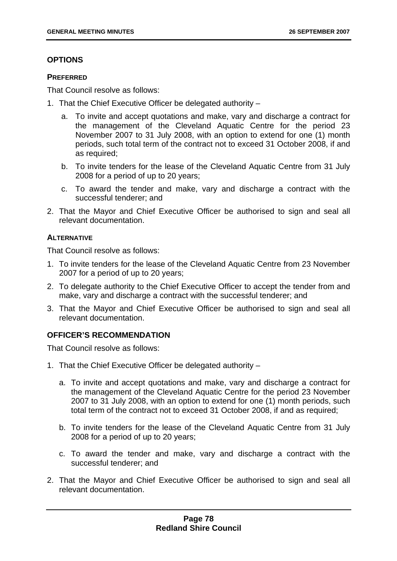# **OPTIONS**

## **PREFERRED**

That Council resolve as follows:

- 1. That the Chief Executive Officer be delegated authority
	- a. To invite and accept quotations and make, vary and discharge a contract for the management of the Cleveland Aquatic Centre for the period 23 November 2007 to 31 July 2008, with an option to extend for one (1) month periods, such total term of the contract not to exceed 31 October 2008, if and as required;
	- b. To invite tenders for the lease of the Cleveland Aquatic Centre from 31 July 2008 for a period of up to 20 years;
	- c. To award the tender and make, vary and discharge a contract with the successful tenderer; and
- 2. That the Mayor and Chief Executive Officer be authorised to sign and seal all relevant documentation.

## **ALTERNATIVE**

That Council resolve as follows:

- 1. To invite tenders for the lease of the Cleveland Aquatic Centre from 23 November 2007 for a period of up to 20 years;
- 2. To delegate authority to the Chief Executive Officer to accept the tender from and make, vary and discharge a contract with the successful tenderer; and
- 3. That the Mayor and Chief Executive Officer be authorised to sign and seal all relevant documentation.

# **OFFICER'S RECOMMENDATION**

That Council resolve as follows:

- 1. That the Chief Executive Officer be delegated authority
	- a. To invite and accept quotations and make, vary and discharge a contract for the management of the Cleveland Aquatic Centre for the period 23 November 2007 to 31 July 2008, with an option to extend for one (1) month periods, such total term of the contract not to exceed 31 October 2008, if and as required;
	- b. To invite tenders for the lease of the Cleveland Aquatic Centre from 31 July 2008 for a period of up to 20 years;
	- c. To award the tender and make, vary and discharge a contract with the successful tenderer; and
- 2. That the Mayor and Chief Executive Officer be authorised to sign and seal all relevant documentation.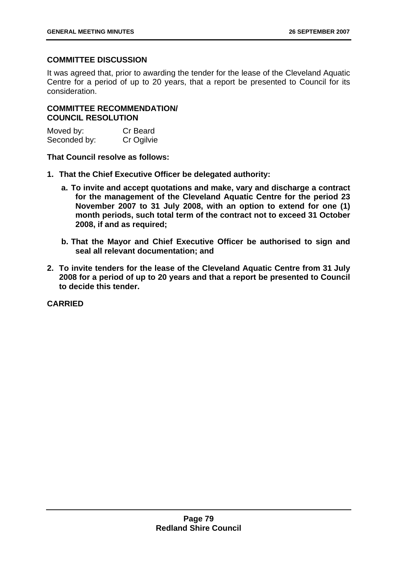## **COMMITTEE DISCUSSION**

It was agreed that, prior to awarding the tender for the lease of the Cleveland Aquatic Centre for a period of up to 20 years, that a report be presented to Council for its consideration.

## **COMMITTEE RECOMMENDATION/ COUNCIL RESOLUTION**

| Moved by:    | <b>Cr Beard</b> |
|--------------|-----------------|
| Seconded by: | Cr Ogilvie      |

**That Council resolve as follows:** 

- **1. That the Chief Executive Officer be delegated authority:** 
	- **a. To invite and accept quotations and make, vary and discharge a contract for the management of the Cleveland Aquatic Centre for the period 23 November 2007 to 31 July 2008, with an option to extend for one (1) month periods, such total term of the contract not to exceed 31 October 2008, if and as required;**
	- **b. That the Mayor and Chief Executive Officer be authorised to sign and seal all relevant documentation; and**
- **2. To invite tenders for the lease of the Cleveland Aquatic Centre from 31 July 2008 for a period of up to 20 years and that a report be presented to Council to decide this tender.**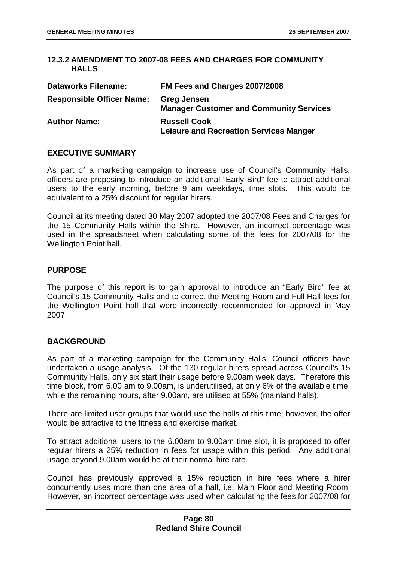## **12.3.2 AMENDMENT TO 2007-08 FEES AND CHARGES FOR COMMUNITY HALLS**

| <b>Dataworks Filename:</b>       | FM Fees and Charges 2007/2008                                        |
|----------------------------------|----------------------------------------------------------------------|
| <b>Responsible Officer Name:</b> | <b>Greg Jensen</b><br><b>Manager Customer and Community Services</b> |
| <b>Author Name:</b>              | <b>Russell Cook</b><br><b>Leisure and Recreation Services Manger</b> |

### **EXECUTIVE SUMMARY**

As part of a marketing campaign to increase use of Council's Community Halls, officers are proposing to introduce an additional "Early Bird" fee to attract additional users to the early morning, before 9 am weekdays, time slots. This would be equivalent to a 25% discount for regular hirers.

Council at its meeting dated 30 May 2007 adopted the 2007/08 Fees and Charges for the 15 Community Halls within the Shire. However, an incorrect percentage was used in the spreadsheet when calculating some of the fees for 2007/08 for the Wellington Point hall.

### **PURPOSE**

The purpose of this report is to gain approval to introduce an "Early Bird" fee at Council's 15 Community Halls and to correct the Meeting Room and Full Hall fees for the Wellington Point hall that were incorrectly recommended for approval in May 2007.

### **BACKGROUND**

As part of a marketing campaign for the Community Halls, Council officers have undertaken a usage analysis. Of the 130 regular hirers spread across Council's 15 Community Halls, only six start their usage before 9.00am week days. Therefore this time block, from 6.00 am to 9.00am, is underutilised, at only 6% of the available time, while the remaining hours, after 9.00am, are utilised at 55% (mainland halls).

There are limited user groups that would use the halls at this time; however, the offer would be attractive to the fitness and exercise market.

To attract additional users to the 6.00am to 9.00am time slot, it is proposed to offer regular hirers a 25% reduction in fees for usage within this period. Any additional usage beyond 9.00am would be at their normal hire rate.

Council has previously approved a 15% reduction in hire fees where a hirer concurrently uses more than one area of a hall, i.e. Main Floor and Meeting Room. However, an incorrect percentage was used when calculating the fees for 2007/08 for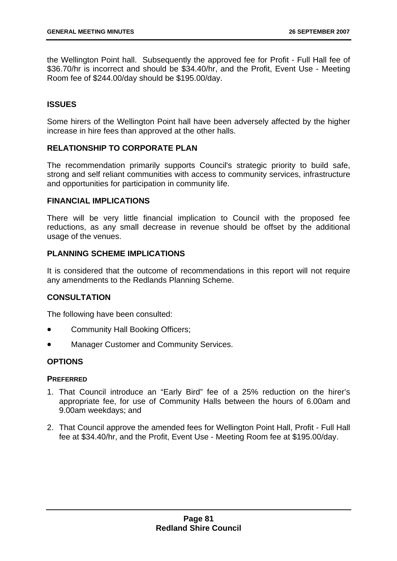the Wellington Point hall. Subsequently the approved fee for Profit - Full Hall fee of \$36.70/hr is incorrect and should be \$34.40/hr, and the Profit, Event Use - Meeting Room fee of \$244.00/day should be \$195.00/day.

# **ISSUES**

Some hirers of the Wellington Point hall have been adversely affected by the higher increase in hire fees than approved at the other halls.

# **RELATIONSHIP TO CORPORATE PLAN**

The recommendation primarily supports Council's strategic priority to build safe, strong and self reliant communities with access to community services, infrastructure and opportunities for participation in community life.

## **FINANCIAL IMPLICATIONS**

There will be very little financial implication to Council with the proposed fee reductions, as any small decrease in revenue should be offset by the additional usage of the venues.

# **PLANNING SCHEME IMPLICATIONS**

It is considered that the outcome of recommendations in this report will not require any amendments to the Redlands Planning Scheme.

# **CONSULTATION**

The following have been consulted:

- Community Hall Booking Officers;
- Manager Customer and Community Services.

### **OPTIONS**

### **PREFERRED**

- 1. That Council introduce an "Early Bird" fee of a 25% reduction on the hirer's appropriate fee, for use of Community Halls between the hours of 6.00am and 9.00am weekdays; and
- 2. That Council approve the amended fees for Wellington Point Hall, Profit Full Hall fee at \$34.40/hr, and the Profit, Event Use - Meeting Room fee at \$195.00/day.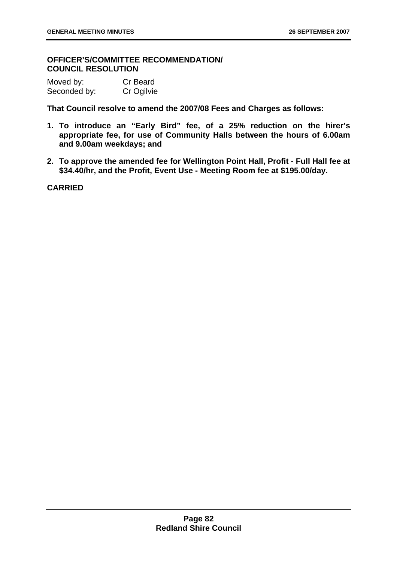### **OFFICER'S/COMMITTEE RECOMMENDATION/ COUNCIL RESOLUTION**

| Moved by:    | Cr Beard   |
|--------------|------------|
| Seconded by: | Cr Ogilvie |

**That Council resolve to amend the 2007/08 Fees and Charges as follows:** 

- **1. To introduce an "Early Bird" fee, of a 25% reduction on the hirer's appropriate fee, for use of Community Halls between the hours of 6.00am and 9.00am weekdays; and**
- **2. To approve the amended fee for Wellington Point Hall, Profit Full Hall fee at \$34.40/hr, and the Profit, Event Use - Meeting Room fee at \$195.00/day.**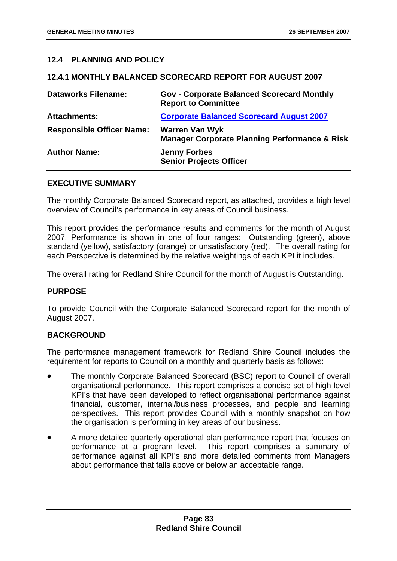## **12.4 PLANNING AND POLICY**

#### **12.4.1 MONTHLY BALANCED SCORECARD REPORT FOR AUGUST 2007**

| <b>Dataworks Filename:</b>       | <b>Gov - Corporate Balanced Scorecard Monthly</b><br><b>Report to Committee</b>   |
|----------------------------------|-----------------------------------------------------------------------------------|
| <b>Attachments:</b>              | <b>Corporate Balanced Scorecard August 2007</b>                                   |
| <b>Responsible Officer Name:</b> | <b>Warren Van Wyk</b><br><b>Manager Corporate Planning Performance &amp; Risk</b> |
| <b>Author Name:</b>              | <b>Jenny Forbes</b><br><b>Senior Projects Officer</b>                             |

#### **EXECUTIVE SUMMARY**

The monthly Corporate Balanced Scorecard report, as attached, provides a high level overview of Council's performance in key areas of Council business.

This report provides the performance results and comments for the month of August 2007. Performance is shown in one of four ranges: Outstanding (green), above standard (yellow), satisfactory (orange) or unsatisfactory (red). The overall rating for each Perspective is determined by the relative weightings of each KPI it includes.

The overall rating for Redland Shire Council for the month of August is Outstanding.

### **PURPOSE**

To provide Council with the Corporate Balanced Scorecard report for the month of August 2007.

### **BACKGROUND**

The performance management framework for Redland Shire Council includes the requirement for reports to Council on a monthly and quarterly basis as follows:

- The monthly Corporate Balanced Scorecard (BSC) report to Council of overall organisational performance. This report comprises a concise set of high level KPI's that have been developed to reflect organisational performance against financial, customer, internal/business processes, and people and learning perspectives. This report provides Council with a monthly snapshot on how the organisation is performing in key areas of our business.
- A more detailed quarterly operational plan performance report that focuses on performance at a program level. This report comprises a summary of performance against all KPI's and more detailed comments from Managers about performance that falls above or below an acceptable range.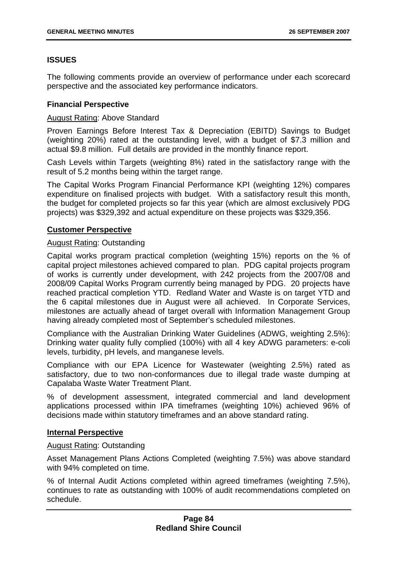# **ISSUES**

The following comments provide an overview of performance under each scorecard perspective and the associated key performance indicators.

## **Financial Perspective**

### August Rating: Above Standard

Proven Earnings Before Interest Tax & Depreciation (EBITD) Savings to Budget (weighting 20%) rated at the outstanding level, with a budget of \$7.3 million and actual \$9.8 million. Full details are provided in the monthly finance report.

Cash Levels within Targets (weighting 8%) rated in the satisfactory range with the result of 5.2 months being within the target range.

The Capital Works Program Financial Performance KPI (weighting 12%) compares expenditure on finalised projects with budget. With a satisfactory result this month, the budget for completed projects so far this year (which are almost exclusively PDG projects) was \$329,392 and actual expenditure on these projects was \$329,356.

### **Customer Perspective**

### August Rating: Outstanding

Capital works program practical completion (weighting 15%) reports on the % of capital project milestones achieved compared to plan. PDG capital projects program of works is currently under development, with 242 projects from the 2007/08 and 2008/09 Capital Works Program currently being managed by PDG. 20 projects have reached practical completion YTD. Redland Water and Waste is on target YTD and the 6 capital milestones due in August were all achieved. In Corporate Services, milestones are actually ahead of target overall with Information Management Group having already completed most of September's scheduled milestones.

Compliance with the Australian Drinking Water Guidelines (ADWG, weighting 2.5%): Drinking water quality fully complied (100%) with all 4 key ADWG parameters: e-coli levels, turbidity, pH levels, and manganese levels.

Compliance with our EPA Licence for Wastewater (weighting 2.5%) rated as satisfactory, due to two non-conformances due to illegal trade waste dumping at Capalaba Waste Water Treatment Plant.

% of development assessment, integrated commercial and land development applications processed within IPA timeframes (weighting 10%) achieved 96% of decisions made within statutory timeframes and an above standard rating.

### **Internal Perspective**

### August Rating: Outstanding

Asset Management Plans Actions Completed (weighting 7.5%) was above standard with 94% completed on time.

% of Internal Audit Actions completed within agreed timeframes (weighting 7.5%), continues to rate as outstanding with 100% of audit recommendations completed on schedule.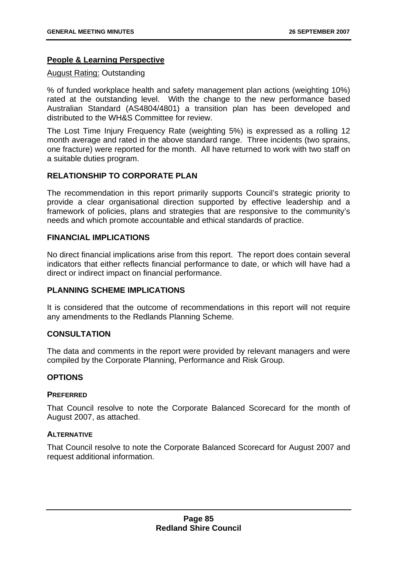## **People & Learning Perspective**

## August Rating: Outstanding

% of funded workplace health and safety management plan actions (weighting 10%) rated at the outstanding level. With the change to the new performance based Australian Standard (AS4804/4801) a transition plan has been developed and distributed to the WH&S Committee for review.

The Lost Time Injury Frequency Rate (weighting 5%) is expressed as a rolling 12 month average and rated in the above standard range. Three incidents (two sprains, one fracture) were reported for the month. All have returned to work with two staff on a suitable duties program.

## **RELATIONSHIP TO CORPORATE PLAN**

The recommendation in this report primarily supports Council's strategic priority to provide a clear organisational direction supported by effective leadership and a framework of policies, plans and strategies that are responsive to the community's needs and which promote accountable and ethical standards of practice.

## **FINANCIAL IMPLICATIONS**

No direct financial implications arise from this report. The report does contain several indicators that either reflects financial performance to date, or which will have had a direct or indirect impact on financial performance.

# **PLANNING SCHEME IMPLICATIONS**

It is considered that the outcome of recommendations in this report will not require any amendments to the Redlands Planning Scheme.

### **CONSULTATION**

The data and comments in the report were provided by relevant managers and were compiled by the Corporate Planning, Performance and Risk Group.

## **OPTIONS**

### **PREFERRED**

That Council resolve to note the Corporate Balanced Scorecard for the month of August 2007, as attached.

## **ALTERNATIVE**

That Council resolve to note the Corporate Balanced Scorecard for August 2007 and request additional information.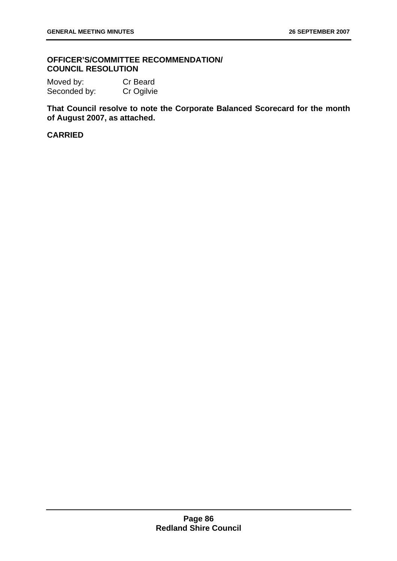## **OFFICER'S/COMMITTEE RECOMMENDATION/ COUNCIL RESOLUTION**

Moved by: Cr Beard Seconded by: Cr Ogilvie

**That Council resolve to note the Corporate Balanced Scorecard for the month of August 2007, as attached.**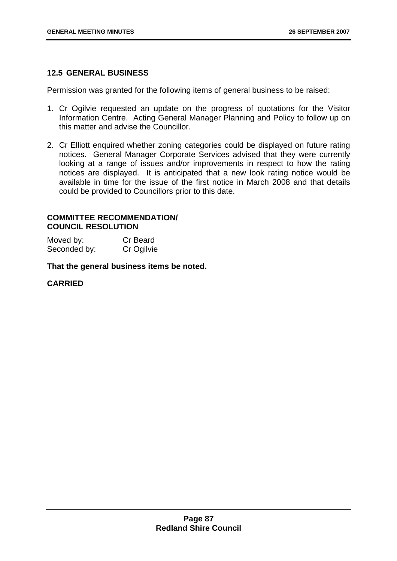## **12.5 GENERAL BUSINESS**

Permission was granted for the following items of general business to be raised:

- 1. Cr Ogilvie requested an update on the progress of quotations for the Visitor Information Centre. Acting General Manager Planning and Policy to follow up on this matter and advise the Councillor.
- 2. Cr Elliott enquired whether zoning categories could be displayed on future rating notices. General Manager Corporate Services advised that they were currently looking at a range of issues and/or improvements in respect to how the rating notices are displayed. It is anticipated that a new look rating notice would be available in time for the issue of the first notice in March 2008 and that details could be provided to Councillors prior to this date.

## **COMMITTEE RECOMMENDATION/ COUNCIL RESOLUTION**

Moved by: Cr Beard Seconded by: Cr Ogilvie

**That the general business items be noted.**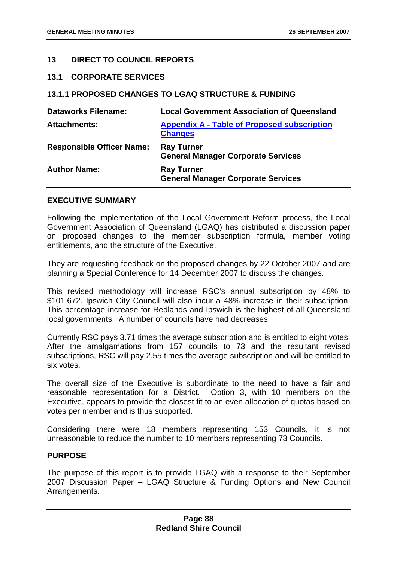## **13 DIRECT TO COUNCIL REPORTS**

#### **13.1 CORPORATE SERVICES**

### **13.1.1 PROPOSED CHANGES TO LGAQ STRUCTURE & FUNDING**

| <b>Dataworks Filename:</b>       | <b>Local Government Association of Queensland</b>                    |
|----------------------------------|----------------------------------------------------------------------|
| <b>Attachments:</b>              | <b>Appendix A - Table of Proposed subscription</b><br><b>Changes</b> |
| <b>Responsible Officer Name:</b> | <b>Ray Turner</b><br><b>General Manager Corporate Services</b>       |
| <b>Author Name:</b>              | <b>Ray Turner</b><br><b>General Manager Corporate Services</b>       |

#### **EXECUTIVE SUMMARY**

Following the implementation of the Local Government Reform process, the Local Government Association of Queensland (LGAQ) has distributed a discussion paper on proposed changes to the member subscription formula, member voting entitlements, and the structure of the Executive.

They are requesting feedback on the proposed changes by 22 October 2007 and are planning a Special Conference for 14 December 2007 to discuss the changes.

This revised methodology will increase RSC's annual subscription by 48% to \$101,672. Ipswich City Council will also incur a 48% increase in their subscription. This percentage increase for Redlands and Ipswich is the highest of all Queensland local governments. A number of councils have had decreases.

Currently RSC pays 3.71 times the average subscription and is entitled to eight votes. After the amalgamations from 157 councils to 73 and the resultant revised subscriptions, RSC will pay 2.55 times the average subscription and will be entitled to six votes.

The overall size of the Executive is subordinate to the need to have a fair and reasonable representation for a District. Option 3, with 10 members on the Executive, appears to provide the closest fit to an even allocation of quotas based on votes per member and is thus supported.

Considering there were 18 members representing 153 Councils, it is not unreasonable to reduce the number to 10 members representing 73 Councils.

# **PURPOSE**

The purpose of this report is to provide LGAQ with a response to their September 2007 Discussion Paper – LGAQ Structure & Funding Options and New Council Arrangements.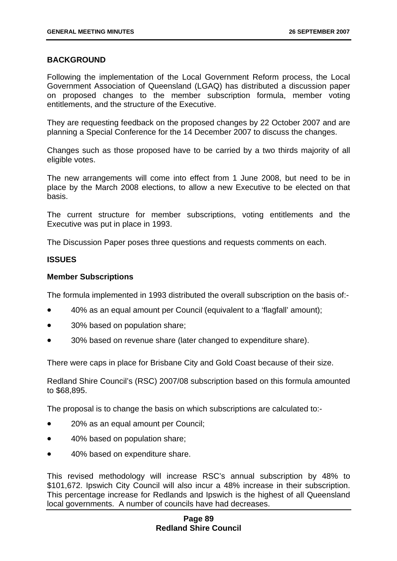## **BACKGROUND**

Following the implementation of the Local Government Reform process, the Local Government Association of Queensland (LGAQ) has distributed a discussion paper on proposed changes to the member subscription formula, member voting entitlements, and the structure of the Executive.

They are requesting feedback on the proposed changes by 22 October 2007 and are planning a Special Conference for the 14 December 2007 to discuss the changes.

Changes such as those proposed have to be carried by a two thirds majority of all eligible votes.

The new arrangements will come into effect from 1 June 2008, but need to be in place by the March 2008 elections, to allow a new Executive to be elected on that basis.

The current structure for member subscriptions, voting entitlements and the Executive was put in place in 1993.

The Discussion Paper poses three questions and requests comments on each.

#### **ISSUES**

#### **Member Subscriptions**

The formula implemented in 1993 distributed the overall subscription on the basis of:-

- 40% as an equal amount per Council (equivalent to a 'flagfall' amount);
- 30% based on population share;
- 30% based on revenue share (later changed to expenditure share).

There were caps in place for Brisbane City and Gold Coast because of their size.

Redland Shire Council's (RSC) 2007/08 subscription based on this formula amounted to \$68,895.

The proposal is to change the basis on which subscriptions are calculated to:-

- 20% as an equal amount per Council;
- 40% based on population share;
- 40% based on expenditure share.

This revised methodology will increase RSC's annual subscription by 48% to \$101,672. Ipswich City Council will also incur a 48% increase in their subscription. This percentage increase for Redlands and Ipswich is the highest of all Queensland local governments. A number of councils have had decreases.

### **Page 89 Redland Shire Council**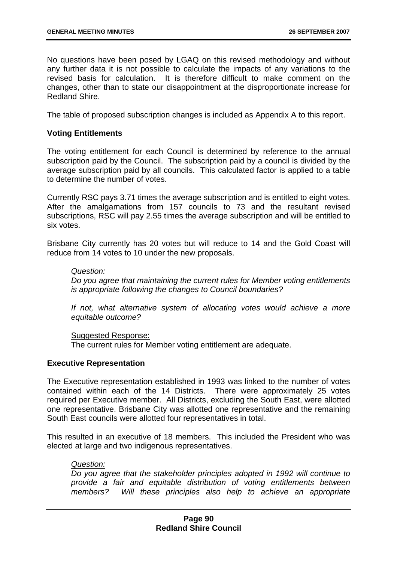No questions have been posed by LGAQ on this revised methodology and without any further data it is not possible to calculate the impacts of any variations to the revised basis for calculation. It is therefore difficult to make comment on the changes, other than to state our disappointment at the disproportionate increase for Redland Shire.

The table of proposed subscription changes is included as Appendix A to this report.

## **Voting Entitlements**

The voting entitlement for each Council is determined by reference to the annual subscription paid by the Council. The subscription paid by a council is divided by the average subscription paid by all councils. This calculated factor is applied to a table to determine the number of votes.

Currently RSC pays 3.71 times the average subscription and is entitled to eight votes. After the amalgamations from 157 councils to 73 and the resultant revised subscriptions, RSC will pay 2.55 times the average subscription and will be entitled to six votes.

Brisbane City currently has 20 votes but will reduce to 14 and the Gold Coast will reduce from 14 votes to 10 under the new proposals.

### *Question:*

*Do you agree that maintaining the current rules for Member voting entitlements is appropriate following the changes to Council boundaries?* 

*If not, what alternative system of allocating votes would achieve a more equitable outcome?* 

#### Suggested Response:

The current rules for Member voting entitlement are adequate.

### **Executive Representation**

The Executive representation established in 1993 was linked to the number of votes contained within each of the 14 Districts. There were approximately 25 votes required per Executive member. All Districts, excluding the South East, were allotted one representative. Brisbane City was allotted one representative and the remaining South East councils were allotted four representatives in total.

This resulted in an executive of 18 members. This included the President who was elected at large and two indigenous representatives.

#### *Question:*

*Do you agree that the stakeholder principles adopted in 1992 will continue to provide a fair and equitable distribution of voting entitlements between members? Will these principles also help to achieve an appropriate*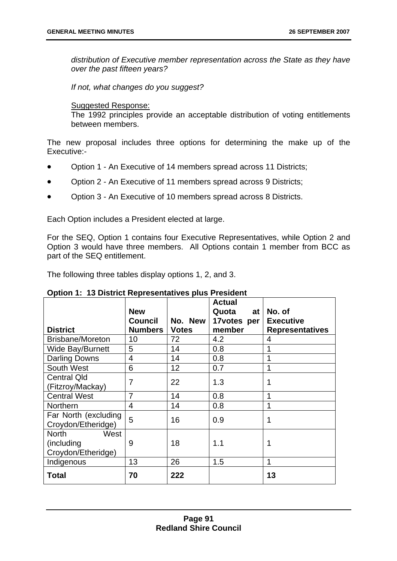*distribution of Executive member representation across the State as they have over the past fifteen years?* 

*If not, what changes do you suggest?* 

#### Suggested Response:

The 1992 principles provide an acceptable distribution of voting entitlements between members.

The new proposal includes three options for determining the make up of the Executive:-

- Option 1 An Executive of 14 members spread across 11 Districts;
- Option 2 An Executive of 11 members spread across 9 Districts;
- Option 3 An Executive of 10 members spread across 8 Districts.

Each Option includes a President elected at large.

For the SEQ, Option 1 contains four Executive Representatives, while Option 2 and Option 3 would have three members. All Options contain 1 member from BCC as part of the SEQ entitlement.

The following three tables display options 1, 2, and 3.

|                                                          | <b>New</b><br><b>Council</b> | No. New      | <b>Actual</b><br>Quota<br>at<br>17votes per | No. of<br><b>Executive</b> |
|----------------------------------------------------------|------------------------------|--------------|---------------------------------------------|----------------------------|
| <b>District</b>                                          | <b>Numbers</b>               | <b>Votes</b> | member                                      | <b>Representatives</b>     |
| <b>Brisbane/Moreton</b>                                  | 10                           | 72           | 4.2                                         | 4                          |
| Wide Bay/Burnett                                         | 5                            | 14           | 0.8                                         | 1                          |
| <b>Darling Downs</b>                                     | 4                            | 14           | 0.8                                         | 1                          |
| South West                                               | 6                            | 12           | 0.7                                         | 1                          |
| <b>Central Qld</b><br>(Fitzroy/Mackay)                   | 7                            | 22           | 1.3                                         | 1                          |
| <b>Central West</b>                                      | 7                            | 14           | 0.8                                         | 1                          |
| Northern                                                 | 4                            | 14           | 0.8                                         | 1                          |
| Far North (excluding<br>Croydon/Etheridge)               | 5                            | 16           | 0.9                                         | 1                          |
| <b>North</b><br>West<br>(including<br>Croydon/Etheridge) | 9                            | 18           | 1.1                                         | 1                          |
| Indigenous                                               | 13                           | 26           | 1.5                                         | 1                          |
| <b>Total</b>                                             | 70                           | 222          |                                             | 13                         |

### **Option 1: 13 District Representatives plus President**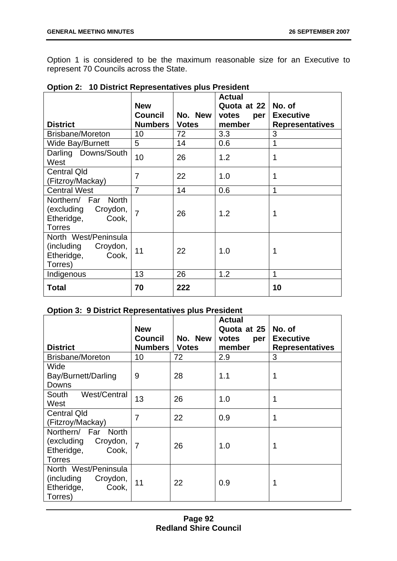Option 1 is considered to be the maximum reasonable size for an Executive to represent 70 Councils across the State.

|                                                                                    | <b>New</b><br><b>Council</b> | No. New      | <b>Actual</b><br>Quota at 22<br>votes<br>per | No. of<br><b>Executive</b> |
|------------------------------------------------------------------------------------|------------------------------|--------------|----------------------------------------------|----------------------------|
| <b>District</b>                                                                    | <b>Numbers</b>               | <b>Votes</b> | member                                       | <b>Representatives</b>     |
| <b>Brisbane/Moreton</b>                                                            | 10                           | 72           | 3.3                                          | 3                          |
| Wide Bay/Burnett                                                                   | 5                            | 14           | 0.6                                          |                            |
| Darling Downs/South<br>West                                                        | 10                           | 26           | 1.2                                          | 1                          |
| <b>Central Qld</b><br>(Fitzroy/Mackay)                                             | $\overline{7}$               | 22           | 1.0                                          | 1                          |
| <b>Central West</b>                                                                | $\overline{7}$               | 14           | 0.6                                          | 1                          |
| Northern/ Far North<br>(excluding Croydon,<br>Etheridge,<br>Cook,<br><b>Torres</b> | $\overline{7}$               | 26           | 1.2                                          | 1                          |
| North West/Peninsula<br>(including Croydon,<br>Etheridge,<br>Cook,<br>Torres)      | 11                           | 22           | 1.0                                          | 1                          |
| Indigenous                                                                         | 13                           | 26           | 1.2                                          | 1                          |
| <b>Total</b>                                                                       | 70                           | 222          |                                              | 10                         |

| <b>Option 2: 10 District Representatives plus President</b> |  |  |
|-------------------------------------------------------------|--|--|
|                                                             |  |  |

# **Option 3: 9 District Representatives plus President**

| <b>District</b>                                                                       | <b>New</b><br><b>Council</b><br><b>Numbers</b> | No. New<br><b>Votes</b> | <b>Actual</b><br>Quota at 25<br>votes<br>per<br>member | No. of<br><b>Executive</b><br><b>Representatives</b> |
|---------------------------------------------------------------------------------------|------------------------------------------------|-------------------------|--------------------------------------------------------|------------------------------------------------------|
| <b>Brisbane/Moreton</b>                                                               | 10                                             | 72                      | 2.9                                                    | 3                                                    |
| Wide<br>Bay/Burnett/Darling<br>Downs                                                  | 9                                              | 28                      | 1.1                                                    | 1                                                    |
| West/Central<br>South<br>West                                                         | 13                                             | 26                      | 1.0                                                    | 1                                                    |
| <b>Central Qld</b><br>(Fitzroy/Mackay)                                                | 7                                              | 22                      | 0.9                                                    | 1                                                    |
| Northern/ Far<br>North<br>(excluding Croydon,<br>Etheridge,<br>Cook,<br><b>Torres</b> | $\overline{7}$                                 | 26                      | 1.0                                                    | 1                                                    |
| North West/Peninsula<br>(including<br>Croydon,<br>Etheridge,<br>Cook,<br>Torres)      | 11                                             | 22                      | 0.9                                                    | 1                                                    |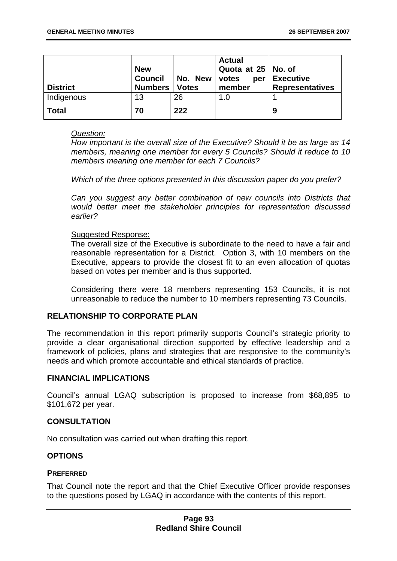| <b>District</b> | <b>New</b><br><b>Council</b><br><b>Numbers</b> | No. New<br><b>Votes</b> | <b>Actual</b><br>Quota at 25   No. of<br>votes<br>per<br>member | <b>Executive</b><br><b>Representatives</b> |
|-----------------|------------------------------------------------|-------------------------|-----------------------------------------------------------------|--------------------------------------------|
| Indigenous      | 13                                             | 26                      | 1.0                                                             |                                            |
| <b>Total</b>    | 70                                             | 222                     |                                                                 | 9                                          |

### *Question:*

*How important is the overall size of the Executive? Should it be as large as 14 members, meaning one member for every 5 Councils? Should it reduce to 10 members meaning one member for each 7 Councils?* 

*Which of the three options presented in this discussion paper do you prefer?* 

*Can you suggest any better combination of new councils into Districts that would better meet the stakeholder principles for representation discussed earlier?* 

## Suggested Response:

The overall size of the Executive is subordinate to the need to have a fair and reasonable representation for a District. Option 3, with 10 members on the Executive, appears to provide the closest fit to an even allocation of quotas based on votes per member and is thus supported.

Considering there were 18 members representing 153 Councils, it is not unreasonable to reduce the number to 10 members representing 73 Councils.

# **RELATIONSHIP TO CORPORATE PLAN**

The recommendation in this report primarily supports Council's strategic priority to provide a clear organisational direction supported by effective leadership and a framework of policies, plans and strategies that are responsive to the community's needs and which promote accountable and ethical standards of practice.

### **FINANCIAL IMPLICATIONS**

Council's annual LGAQ subscription is proposed to increase from \$68,895 to \$101,672 per year.

# **CONSULTATION**

No consultation was carried out when drafting this report.

# **OPTIONS**

### **PREFERRED**

That Council note the report and that the Chief Executive Officer provide responses to the questions posed by LGAQ in accordance with the contents of this report.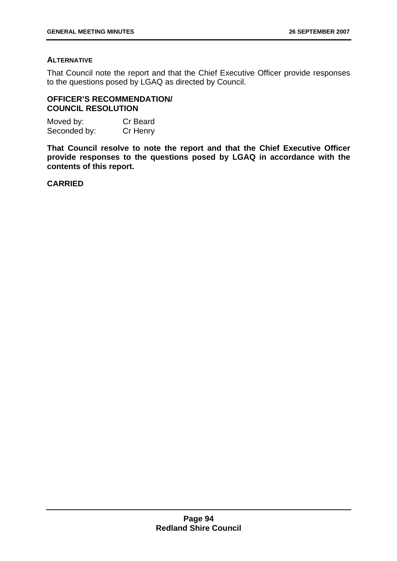## **ALTERNATIVE**

That Council note the report and that the Chief Executive Officer provide responses to the questions posed by LGAQ as directed by Council.

# **OFFICER'S RECOMMENDATION/ COUNCIL RESOLUTION**

| Moved by:    | Cr Beard |
|--------------|----------|
| Seconded by: | Cr Henry |

**That Council resolve to note the report and that the Chief Executive Officer provide responses to the questions posed by LGAQ in accordance with the contents of this report.**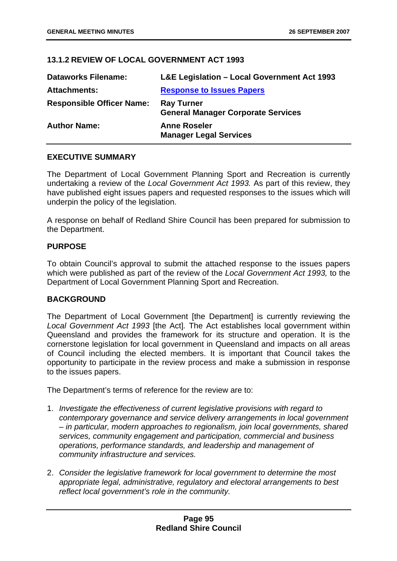# **13.1.2 REVIEW OF LOCAL GOVERNMENT ACT 1993**

| <b>Dataworks Filename:</b>       | <b>L&amp;E Legislation - Local Government Act 1993</b>         |
|----------------------------------|----------------------------------------------------------------|
| <b>Attachments:</b>              | <b>Response to Issues Papers</b>                               |
| <b>Responsible Officer Name:</b> | <b>Ray Turner</b><br><b>General Manager Corporate Services</b> |
| <b>Author Name:</b>              | <b>Anne Roseler</b><br><b>Manager Legal Services</b>           |

# **EXECUTIVE SUMMARY**

The Department of Local Government Planning Sport and Recreation is currently undertaking a review of the *Local Government Act 1993.* As part of this review, they have published eight issues papers and requested responses to the issues which will underpin the policy of the legislation.

A response on behalf of Redland Shire Council has been prepared for submission to the Department.

## **PURPOSE**

To obtain Council's approval to submit the attached response to the issues papers which were published as part of the review of the *Local Government Act 1993,* to the Department of Local Government Planning Sport and Recreation.

# **BACKGROUND**

The Department of Local Government [the Department] is currently reviewing the *Local Government Act 1993* [the Act]*.* The Act establishes local government within Queensland and provides the framework for its structure and operation. It is the cornerstone legislation for local government in Queensland and impacts on all areas of Council including the elected members. It is important that Council takes the opportunity to participate in the review process and make a submission in response to the issues papers.

The Department's terms of reference for the review are to:

- 1. *Investigate the effectiveness of current legislative provisions with regard to contemporary governance and service delivery arrangements in local government – in particular, modern approaches to regionalism, join local governments, shared services, community engagement and participation, commercial and business operations, performance standards, and leadership and management of community infrastructure and services.*
- 2. *Consider the legislative framework for local government to determine the most appropriate legal, administrative, regulatory and electoral arrangements to best reflect local government's role in the community.*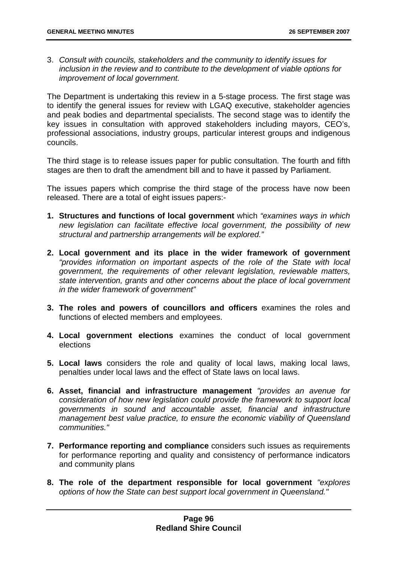3. *Consult with councils, stakeholders and the community to identify issues for inclusion in the review and to contribute to the development of viable options for improvement of local government.* 

The Department is undertaking this review in a 5-stage process. The first stage was to identify the general issues for review with LGAQ executive, stakeholder agencies and peak bodies and departmental specialists. The second stage was to identify the key issues in consultation with approved stakeholders including mayors, CEO's, professional associations, industry groups, particular interest groups and indigenous councils.

The third stage is to release issues paper for public consultation. The fourth and fifth stages are then to draft the amendment bill and to have it passed by Parliament.

The issues papers which comprise the third stage of the process have now been released. There are a total of eight issues papers:-

- **1. Structures and functions of local government** which *"examines ways in which new legislation can facilitate effective local government, the possibility of new structural and partnership arrangements will be explored."*
- **2. Local government and its place in the wider framework of government** *"provides information on important aspects of the role of the State with local government, the requirements of other relevant legislation, reviewable matters, state intervention, grants and other concerns about the place of local government in the wider framework of government"*
- **3. The roles and powers of councillors and officers** examines the roles and functions of elected members and employees.
- **4. Local government elections** examines the conduct of local government elections
- **5. Local laws** considers the role and quality of local laws, making local laws, penalties under local laws and the effect of State laws on local laws.
- **6. Asset, financial and infrastructure management** *"provides an avenue for consideration of how new legislation could provide the framework to support local governments in sound and accountable asset, financial and infrastructure management best value practice, to ensure the economic viability of Queensland communities."*
- **7. Performance reporting and compliance** considers such issues as requirements for performance reporting and quality and consistency of performance indicators and community plans
- **8. The role of the department responsible for local government** *"explores options of how the State can best support local government in Queensland."*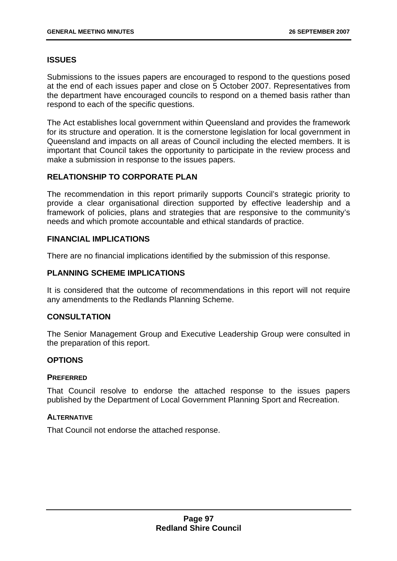# **ISSUES**

Submissions to the issues papers are encouraged to respond to the questions posed at the end of each issues paper and close on 5 October 2007. Representatives from the department have encouraged councils to respond on a themed basis rather than respond to each of the specific questions.

The Act establishes local government within Queensland and provides the framework for its structure and operation. It is the cornerstone legislation for local government in Queensland and impacts on all areas of Council including the elected members. It is important that Council takes the opportunity to participate in the review process and make a submission in response to the issues papers.

# **RELATIONSHIP TO CORPORATE PLAN**

The recommendation in this report primarily supports Council's strategic priority to provide a clear organisational direction supported by effective leadership and a framework of policies, plans and strategies that are responsive to the community's needs and which promote accountable and ethical standards of practice.

## **FINANCIAL IMPLICATIONS**

There are no financial implications identified by the submission of this response.

# **PLANNING SCHEME IMPLICATIONS**

It is considered that the outcome of recommendations in this report will not require any amendments to the Redlands Planning Scheme.

# **CONSULTATION**

The Senior Management Group and Executive Leadership Group were consulted in the preparation of this report.

### **OPTIONS**

### **PREFERRED**

That Council resolve to endorse the attached response to the issues papers published by the Department of Local Government Planning Sport and Recreation.

### **ALTERNATIVE**

That Council not endorse the attached response.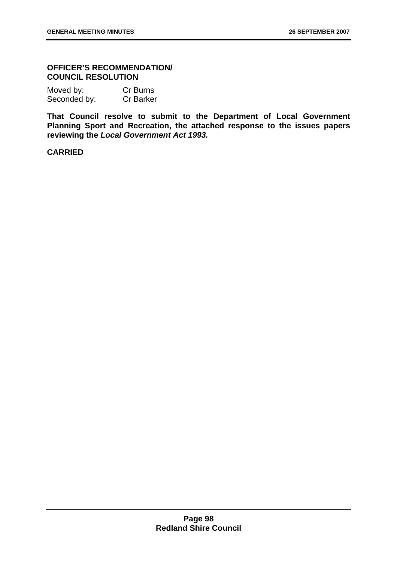# **OFFICER'S RECOMMENDATION/ COUNCIL RESOLUTION**

| Moved by:    | Cr Burns         |
|--------------|------------------|
| Seconded by: | <b>Cr Barker</b> |

**That Council resolve to submit to the Department of Local Government Planning Sport and Recreation, the attached response to the issues papers reviewing the** *Local Government Act 1993.*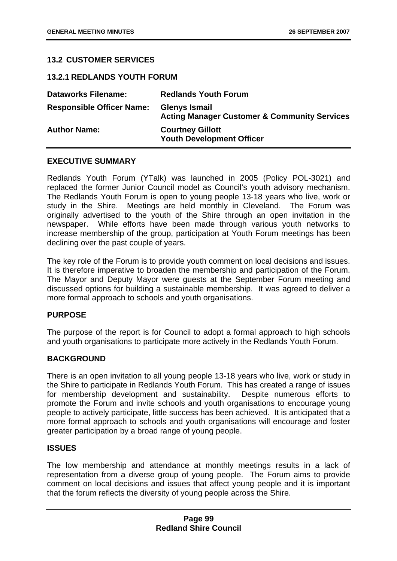# **13.2 CUSTOMER SERVICES**

## **13.2.1 REDLANDS YOUTH FORUM**

| <b>Dataworks Filename:</b>       | <b>Redlands Youth Forum</b>                                                     |
|----------------------------------|---------------------------------------------------------------------------------|
| <b>Responsible Officer Name:</b> | <b>Glenys Ismail</b><br><b>Acting Manager Customer &amp; Community Services</b> |
| <b>Author Name:</b>              | <b>Courtney Gillott</b><br><b>Youth Development Officer</b>                     |

### **EXECUTIVE SUMMARY**

Redlands Youth Forum (YTalk) was launched in 2005 (Policy POL-3021) and replaced the former Junior Council model as Council's youth advisory mechanism. The Redlands Youth Forum is open to young people 13-18 years who live, work or study in the Shire. Meetings are held monthly in Cleveland. The Forum was originally advertised to the youth of the Shire through an open invitation in the newspaper. While efforts have been made through various youth networks to increase membership of the group, participation at Youth Forum meetings has been declining over the past couple of years.

The key role of the Forum is to provide youth comment on local decisions and issues. It is therefore imperative to broaden the membership and participation of the Forum. The Mayor and Deputy Mayor were guests at the September Forum meeting and discussed options for building a sustainable membership. It was agreed to deliver a more formal approach to schools and youth organisations.

### **PURPOSE**

The purpose of the report is for Council to adopt a formal approach to high schools and youth organisations to participate more actively in the Redlands Youth Forum.

### **BACKGROUND**

There is an open invitation to all young people 13-18 years who live, work or study in the Shire to participate in Redlands Youth Forum. This has created a range of issues for membership development and sustainability. Despite numerous efforts to promote the Forum and invite schools and youth organisations to encourage young people to actively participate, little success has been achieved. It is anticipated that a more formal approach to schools and youth organisations will encourage and foster greater participation by a broad range of young people.

### **ISSUES**

The low membership and attendance at monthly meetings results in a lack of representation from a diverse group of young people. The Forum aims to provide comment on local decisions and issues that affect young people and it is important that the forum reflects the diversity of young people across the Shire.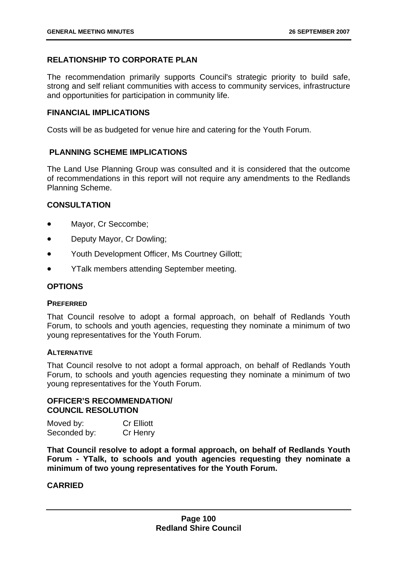# **RELATIONSHIP TO CORPORATE PLAN**

The recommendation primarily supports Council's strategic priority to build safe, strong and self reliant communities with access to community services, infrastructure and opportunities for participation in community life.

## **FINANCIAL IMPLICATIONS**

Costs will be as budgeted for venue hire and catering for the Youth Forum.

# **PLANNING SCHEME IMPLICATIONS**

The Land Use Planning Group was consulted and it is considered that the outcome of recommendations in this report will not require any amendments to the Redlands Planning Scheme.

## **CONSULTATION**

- Mayor, Cr Seccombe;
- Deputy Mayor, Cr Dowling;
- Youth Development Officer, Ms Courtney Gillott;
- YTalk members attending September meeting.

### **OPTIONS**

### **PREFERRED**

That Council resolve to adopt a formal approach, on behalf of Redlands Youth Forum, to schools and youth agencies, requesting they nominate a minimum of two young representatives for the Youth Forum.

### **ALTERNATIVE**

That Council resolve to not adopt a formal approach, on behalf of Redlands Youth Forum, to schools and youth agencies requesting they nominate a minimum of two young representatives for the Youth Forum.

## **OFFICER'S RECOMMENDATION/ COUNCIL RESOLUTION**

| Moved by:    | <b>Cr Elliott</b> |
|--------------|-------------------|
| Seconded by: | Cr Henry          |

**That Council resolve to adopt a formal approach, on behalf of Redlands Youth Forum - YTalk, to schools and youth agencies requesting they nominate a minimum of two young representatives for the Youth Forum.**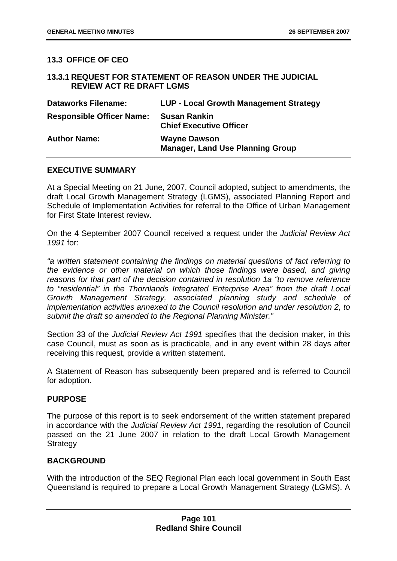## **13.3 OFFICE OF CEO**

## **13.3.1 REQUEST FOR STATEMENT OF REASON UNDER THE JUDICIAL REVIEW ACT RE DRAFT LGMS**

| <b>Dataworks Filename:</b>       | <b>LUP - Local Growth Management Strategy</b>                  |
|----------------------------------|----------------------------------------------------------------|
| <b>Responsible Officer Name:</b> | <b>Susan Rankin</b><br><b>Chief Executive Officer</b>          |
| <b>Author Name:</b>              | <b>Wayne Dawson</b><br><b>Manager, Land Use Planning Group</b> |

#### **EXECUTIVE SUMMARY**

At a Special Meeting on 21 June, 2007, Council adopted, subject to amendments, the draft Local Growth Management Strategy (LGMS), associated Planning Report and Schedule of Implementation Activities for referral to the Office of Urban Management for First State Interest review.

On the 4 September 2007 Council received a request under the *Judicial Review Act 1991* for:

*"a written statement containing the findings on material questions of fact referring to the evidence or other material on which those findings were based, and giving reasons for that part of the decision contained in resolution 1a "to remove reference to "residential" in the Thornlands Integrated Enterprise Area" from the draft Local Growth Management Strategy, associated planning study and schedule of implementation activities annexed to the Council resolution and under resolution 2, to submit the draft so amended to the Regional Planning Minister."* 

Section 33 of the *Judicial Review Act 1991* specifies that the decision maker, in this case Council, must as soon as is practicable, and in any event within 28 days after receiving this request, provide a written statement.

A Statement of Reason has subsequently been prepared and is referred to Council for adoption.

#### **PURPOSE**

The purpose of this report is to seek endorsement of the written statement prepared in accordance with the *Judicial Review Act 1991*, regarding the resolution of Council passed on the 21 June 2007 in relation to the draft Local Growth Management **Strategy** 

## **BACKGROUND**

With the introduction of the SEQ Regional Plan each local government in South East Queensland is required to prepare a Local Growth Management Strategy (LGMS). A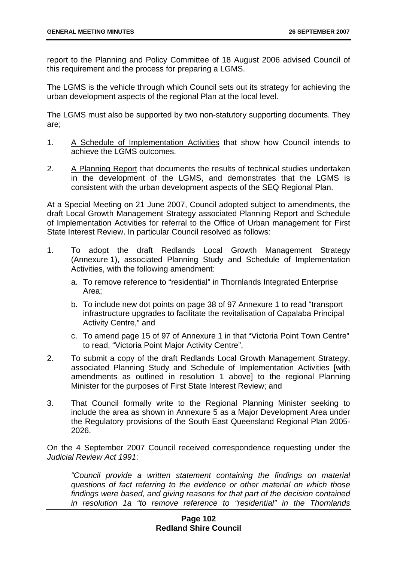report to the Planning and Policy Committee of 18 August 2006 advised Council of this requirement and the process for preparing a LGMS.

The LGMS is the vehicle through which Council sets out its strategy for achieving the urban development aspects of the regional Plan at the local level.

The LGMS must also be supported by two non-statutory supporting documents. They are;

- 1. A Schedule of Implementation Activities that show how Council intends to achieve the LGMS outcomes.
- 2. A Planning Report that documents the results of technical studies undertaken in the development of the LGMS, and demonstrates that the LGMS is consistent with the urban development aspects of the SEQ Regional Plan.

At a Special Meeting on 21 June 2007, Council adopted subject to amendments, the draft Local Growth Management Strategy associated Planning Report and Schedule of Implementation Activities for referral to the Office of Urban management for First State Interest Review. In particular Council resolved as follows:

- 1. To adopt the draft Redlands Local Growth Management Strategy (Annexure 1), associated Planning Study and Schedule of Implementation Activities, with the following amendment:
	- a. To remove reference to "residential" in Thornlands Integrated Enterprise Area;
	- b. To include new dot points on page 38 of 97 Annexure 1 to read "transport infrastructure upgrades to facilitate the revitalisation of Capalaba Principal Activity Centre," and
	- c. To amend page 15 of 97 of Annexure 1 in that "Victoria Point Town Centre" to read, "Victoria Point Major Activity Centre",
- 2. To submit a copy of the draft Redlands Local Growth Management Strategy, associated Planning Study and Schedule of Implementation Activities [with amendments as outlined in resolution 1 above] to the regional Planning Minister for the purposes of First State Interest Review; and
- 3. That Council formally write to the Regional Planning Minister seeking to include the area as shown in Annexure 5 as a Major Development Area under the Regulatory provisions of the South East Queensland Regional Plan 2005- 2026.

On the 4 September 2007 Council received correspondence requesting under the *Judicial Review Act 1991*:

*"Council provide a written statement containing the findings on material questions of fact referring to the evidence or other material on which those findings were based, and giving reasons for that part of the decision contained in resolution 1a "to remove reference to "residential" in the Thornlands* 

## **Page 102 Redland Shire Council**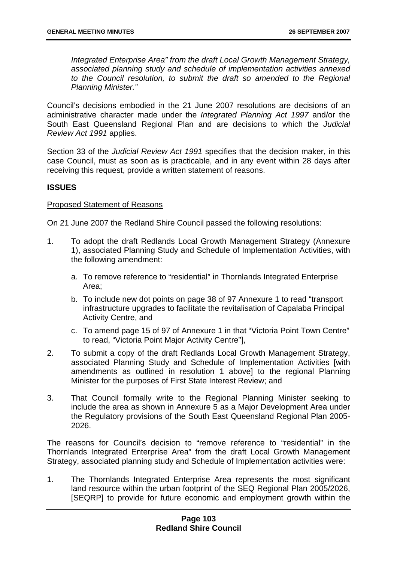*Integrated Enterprise Area" from the draft Local Growth Management Strategy, associated planning study and schedule of implementation activities annexed*  to the Council resolution, to submit the draft so amended to the Regional *Planning Minister."* 

Council's decisions embodied in the 21 June 2007 resolutions are decisions of an administrative character made under the *Integrated Planning Act 1997* and/or the South East Queensland Regional Plan and are decisions to which the *Judicial Review Act 1991* applies.

Section 33 of the *Judicial Review Act 1991* specifies that the decision maker, in this case Council, must as soon as is practicable, and in any event within 28 days after receiving this request, provide a written statement of reasons.

## **ISSUES**

### Proposed Statement of Reasons

On 21 June 2007 the Redland Shire Council passed the following resolutions:

- 1. To adopt the draft Redlands Local Growth Management Strategy (Annexure 1), associated Planning Study and Schedule of Implementation Activities, with the following amendment:
	- a. To remove reference to "residential" in Thornlands Integrated Enterprise Area;
	- b. To include new dot points on page 38 of 97 Annexure 1 to read "transport infrastructure upgrades to facilitate the revitalisation of Capalaba Principal Activity Centre, and
	- c. To amend page 15 of 97 of Annexure 1 in that "Victoria Point Town Centre" to read, "Victoria Point Major Activity Centre"],
- 2. To submit a copy of the draft Redlands Local Growth Management Strategy, associated Planning Study and Schedule of Implementation Activities [with amendments as outlined in resolution 1 above] to the regional Planning Minister for the purposes of First State Interest Review; and
- 3. That Council formally write to the Regional Planning Minister seeking to include the area as shown in Annexure 5 as a Major Development Area under the Regulatory provisions of the South East Queensland Regional Plan 2005- 2026.

The reasons for Council's decision to "remove reference to "residential" in the Thornlands Integrated Enterprise Area" from the draft Local Growth Management Strategy, associated planning study and Schedule of Implementation activities were:

1. The Thornlands Integrated Enterprise Area represents the most significant land resource within the urban footprint of the SEQ Regional Plan 2005/2026, [SEQRP] to provide for future economic and employment growth within the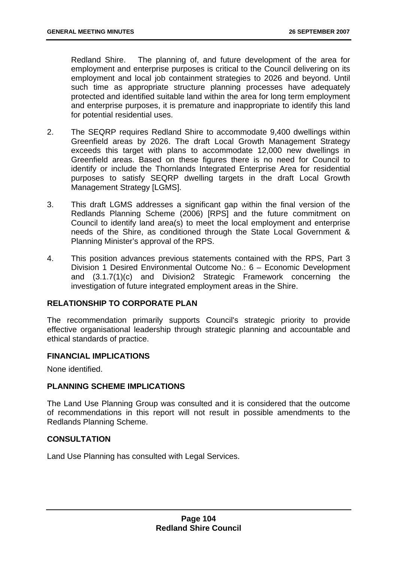Redland Shire. The planning of, and future development of the area for employment and enterprise purposes is critical to the Council delivering on its employment and local job containment strategies to 2026 and beyond. Until such time as appropriate structure planning processes have adequately protected and identified suitable land within the area for long term employment and enterprise purposes, it is premature and inappropriate to identify this land for potential residential uses.

- 2. The SEQRP requires Redland Shire to accommodate 9,400 dwellings within Greenfield areas by 2026. The draft Local Growth Management Strategy exceeds this target with plans to accommodate 12,000 new dwellings in Greenfield areas. Based on these figures there is no need for Council to identify or include the Thornlands Integrated Enterprise Area for residential purposes to satisfy SEQRP dwelling targets in the draft Local Growth Management Strategy [LGMS].
- 3. This draft LGMS addresses a significant gap within the final version of the Redlands Planning Scheme (2006) [RPS] and the future commitment on Council to identify land area(s) to meet the local employment and enterprise needs of the Shire, as conditioned through the State Local Government & Planning Minister's approval of the RPS.
- 4. This position advances previous statements contained with the RPS, Part 3 Division 1 Desired Environmental Outcome No.: 6 – Economic Development and (3.1.7(1)(c) and Division2 Strategic Framework concerning the investigation of future integrated employment areas in the Shire.

### **RELATIONSHIP TO CORPORATE PLAN**

The recommendation primarily supports Council's strategic priority to provide effective organisational leadership through strategic planning and accountable and ethical standards of practice.

### **FINANCIAL IMPLICATIONS**

None identified.

### **PLANNING SCHEME IMPLICATIONS**

The Land Use Planning Group was consulted and it is considered that the outcome of recommendations in this report will not result in possible amendments to the Redlands Planning Scheme.

### **CONSULTATION**

Land Use Planning has consulted with Legal Services.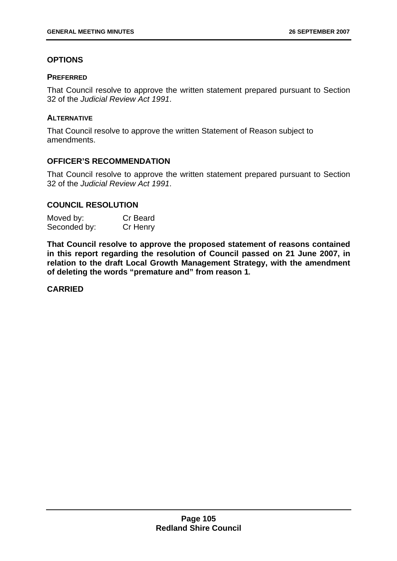# **OPTIONS**

### **PREFERRED**

That Council resolve to approve the written statement prepared pursuant to Section 32 of the *Judicial Review Act 1991*.

### **ALTERNATIVE**

That Council resolve to approve the written Statement of Reason subject to amendments.

## **OFFICER'S RECOMMENDATION**

That Council resolve to approve the written statement prepared pursuant to Section 32 of the *Judicial Review Act 1991*.

## **COUNCIL RESOLUTION**

| Moved by:    | Cr Beard |
|--------------|----------|
| Seconded by: | Cr Henry |

**That Council resolve to approve the proposed statement of reasons contained in this report regarding the resolution of Council passed on 21 June 2007, in relation to the draft Local Growth Management Strategy, with the amendment of deleting the words "premature and" from reason 1.**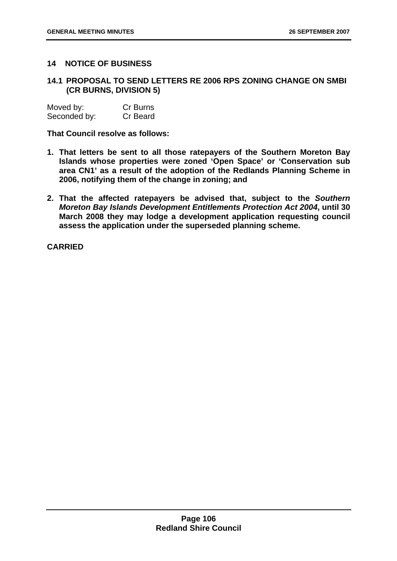## **14 NOTICE OF BUSINESS**

### **14.1 PROPOSAL TO SEND LETTERS RE 2006 RPS ZONING CHANGE ON SMBI (CR BURNS, DIVISION 5)**

| Moved by:    | Cr Burns |
|--------------|----------|
| Seconded by: | Cr Beard |

**That Council resolve as follows:** 

- **1. That letters be sent to all those ratepayers of the Southern Moreton Bay Islands whose properties were zoned 'Open Space' or 'Conservation sub area CN1' as a result of the adoption of the Redlands Planning Scheme in 2006, notifying them of the change in zoning; and**
- **2. That the affected ratepayers be advised that, subject to the** *Southern Moreton Bay Islands Development Entitlements Protection Act 2004***, until 30 March 2008 they may lodge a development application requesting council assess the application under the superseded planning scheme.**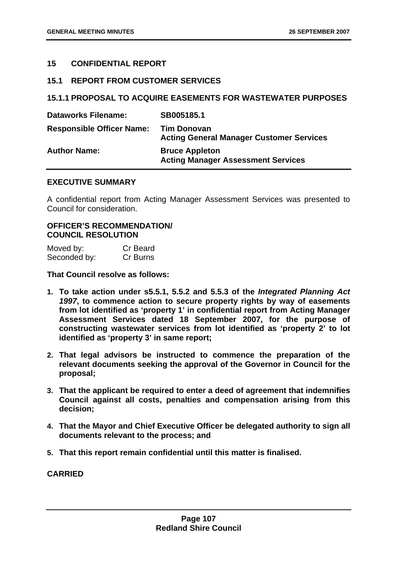## **15 CONFIDENTIAL REPORT**

### **15.1 REPORT FROM CUSTOMER SERVICES**

#### **15.1.1 PROPOSAL TO ACQUIRE EASEMENTS FOR WASTEWATER PURPOSES**

| <b>Dataworks Filename:</b>       | SB005185.1                                                            |
|----------------------------------|-----------------------------------------------------------------------|
| <b>Responsible Officer Name:</b> | <b>Tim Donovan</b><br><b>Acting General Manager Customer Services</b> |
| <b>Author Name:</b>              | <b>Bruce Appleton</b><br><b>Acting Manager Assessment Services</b>    |

#### **EXECUTIVE SUMMARY**

A confidential report from Acting Manager Assessment Services was presented to Council for consideration.

## **OFFICER'S RECOMMENDATION/ COUNCIL RESOLUTION**

| Moved by:    | Cr Beard |
|--------------|----------|
| Seconded by: | Cr Burns |

**That Council resolve as follows:** 

- **1. To take action under s5.5.1, 5.5.2 and 5.5.3 of the** *Integrated Planning Act 1997***, to commence action to secure property rights by way of easements from lot identified as 'property 1' in confidential report from Acting Manager Assessment Services dated 18 September 2007, for the purpose of constructing wastewater services from lot identified as 'property 2' to lot identified as 'property 3' in same report;**
- **2. That legal advisors be instructed to commence the preparation of the relevant documents seeking the approval of the Governor in Council for the proposal;**
- **3. That the applicant be required to enter a deed of agreement that indemnifies Council against all costs, penalties and compensation arising from this decision;**
- **4. That the Mayor and Chief Executive Officer be delegated authority to sign all documents relevant to the process; and**
- **5. That this report remain confidential until this matter is finalised.**